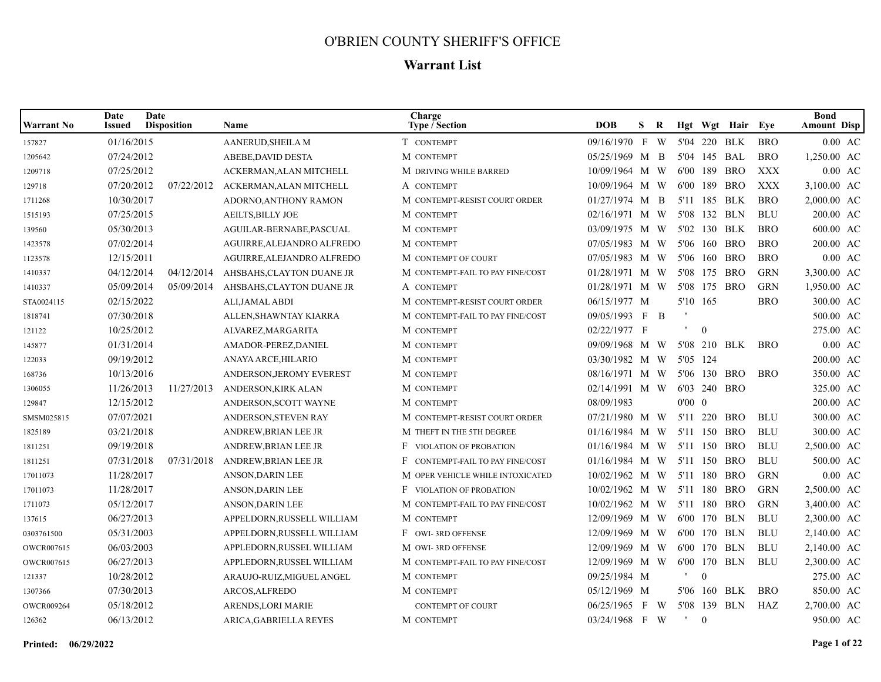## O'BRIEN COUNTY SHERIFF'S OFFICE

## **Warrant List**

| <b>Warrant No</b> | Date<br>Issued | Date<br><b>Disposition</b> | <b>Name</b>                | Charge<br>Type / Section         | <b>DOB</b>       | S.           | R |                |                  | Hgt Wgt Hair Eye |            | <b>Bond</b><br><b>Amount Disp</b> |
|-------------------|----------------|----------------------------|----------------------------|----------------------------------|------------------|--------------|---|----------------|------------------|------------------|------------|-----------------------------------|
| 157827            | 01/16/2015     |                            | AANERUD, SHEILA M          | T CONTEMPT                       | 09/16/1970 F W   |              |   |                |                  | 5'04 220 BLK     | <b>BRO</b> | $0.00$ AC                         |
| 1205642           | 07/24/2012     |                            | ABEBE, DAVID DESTA         | M CONTEMPT                       | 05/25/1969 M B   |              |   |                | 5'04 145 BAL     |                  | <b>BRO</b> | 1,250.00 AC                       |
| 1209718           | 07/25/2012     |                            | ACKERMAN, ALAN MITCHELL    | M DRIVING WHILE BARRED           | 10/09/1964 M W   |              |   |                | 6'00 189         | <b>BRO</b>       | <b>XXX</b> | $0.00$ AC                         |
| 129718            | 07/20/2012     | 07/22/2012                 | ACKERMAN, ALAN MITCHELL    | A CONTEMPT                       | 10/09/1964 M W   |              |   |                | 6'00 189         | <b>BRO</b>       | <b>XXX</b> | 3,100.00 AC                       |
| 1711268           | 10/30/2017     |                            | ADORNO, ANTHONY RAMON      | M CONTEMPT-RESIST COURT ORDER    | $01/27/1974$ M B |              |   |                | 5'11 185 BLK     |                  | <b>BRO</b> | 2,000.00 AC                       |
| 1515193           | 07/25/2015     |                            | <b>AEILTS, BILLY JOE</b>   | M CONTEMPT                       | $02/16/1971$ M W |              |   |                | 5'08 132 BLN     |                  | <b>BLU</b> | 200.00 AC                         |
| 139560            | 05/30/2013     |                            | AGUILAR-BERNABE, PASCUAL   | M CONTEMPT                       | 03/09/1975 M W   |              |   |                | 5'02 130 BLK     |                  | <b>BRO</b> | 600.00 AC                         |
| 1423578           | 07/02/2014     |                            | AGUIRRE, ALEJANDRO ALFREDO | M CONTEMPT                       | 07/05/1983 M W   |              |   |                | 5'06 160         | BRO              | <b>BRO</b> | 200.00 AC                         |
| 1123578           | 12/15/2011     |                            | AGUIRRE, ALEJANDRO ALFREDO | M CONTEMPT OF COURT              | 07/05/1983 M W   |              |   |                | 5'06 160         | <b>BRO</b>       | <b>BRO</b> | $0.00$ AC                         |
| 1410337           | 04/12/2014     | 04/12/2014                 | AHSBAHS, CLAYTON DUANE JR  | M CONTEMPT-FAIL TO PAY FINE/COST | $01/28/1971$ M W |              |   |                | 5'08 175         | <b>BRO</b>       | <b>GRN</b> | 3,300.00 AC                       |
| 1410337           | 05/09/2014     | 05/09/2014                 | AHSBAHS, CLAYTON DUANE JR  | A CONTEMPT                       | $01/28/1971$ M W |              |   |                | 5'08 175         | BRO              | <b>GRN</b> | 1,950.00 AC                       |
| STA0024115        | 02/15/2022     |                            | ALI,JAMAL ABDI             | M CONTEMPT-RESIST COURT ORDER    | 06/15/1977 M     |              |   | 5'10 165       |                  |                  | <b>BRO</b> | 300.00 AC                         |
| 1818741           | 07/30/2018     |                            | ALLEN, SHAWNTAY KIARRA     | M CONTEMPT-FAIL TO PAY FINE/COST | 09/05/1993 F B   |              |   |                |                  |                  |            | 500.00 AC                         |
| 121122            | 10/25/2012     |                            | ALVAREZ, MARGARITA         | M CONTEMPT                       | 02/22/1977 F     |              |   | $\mathbf{L}$   | $\boldsymbol{0}$ |                  |            | 275.00 AC                         |
| 145877            | 01/31/2014     |                            | AMADOR-PEREZ, DANIEL       | M CONTEMPT                       | 09/09/1968 M W   |              |   |                |                  | 5'08 210 BLK     | <b>BRO</b> | $0.00$ AC                         |
| 122033            | 09/19/2012     |                            | ANAYA ARCE, HILARIO        | M CONTEMPT                       | 03/30/1982 M W   |              |   |                | 5'05 124         |                  |            | 200.00 AC                         |
| 168736            | 10/13/2016     |                            | ANDERSON, JEROMY EVEREST   | M CONTEMPT                       | 08/16/1971 M W   |              |   |                |                  | 5'06 130 BRO     | <b>BRO</b> | 350.00 AC                         |
| 1306055           | 11/26/2013     | 11/27/2013                 | ANDERSON, KIRK ALAN        | M CONTEMPT                       | 02/14/1991 M W   |              |   |                | 6'03 240 BRO     |                  |            | 325.00 AC                         |
| 129847            | 12/15/2012     |                            | ANDERSON, SCOTT WAYNE      | M CONTEMPT                       | 08/09/1983       |              |   | $0'00 \quad 0$ |                  |                  |            | 200.00 AC                         |
| SMSM025815        | 07/07/2021     |                            | ANDERSON, STEVEN RAY       | M CONTEMPT-RESIST COURT ORDER    | 07/21/1980 M W   |              |   | 5'11           | 220              | BRO              | <b>BLU</b> | 300.00 AC                         |
| 1825189           | 03/21/2018     |                            | ANDREW, BRIAN LEE JR       | M THEFT IN THE 5TH DEGREE        | $01/16/1984$ M W |              |   |                | 5'11 150         | <b>BRO</b>       | <b>BLU</b> | 300.00 AC                         |
| 1811251           | 09/19/2018     |                            | ANDREW, BRIAN LEE JR       | <b>F</b> VIOLATION OF PROBATION  | $01/16/1984$ M W |              |   | 5'11           | 150              | <b>BRO</b>       | <b>BLU</b> | 2,500.00 AC                       |
| 1811251           | 07/31/2018     | 07/31/2018                 | ANDREW, BRIAN LEE JR       | F CONTEMPT-FAIL TO PAY FINE/COST | $01/16/1984$ M W |              |   | 5'11           | 150              | BRO              | <b>BLU</b> | 500.00 AC                         |
| 17011073          | 11/28/2017     |                            | ANSON, DARIN LEE           | M OPER VEHICLE WHILE INTOXICATED | $10/02/1962$ M W |              |   |                | 5'11 180         | BRO              | <b>GRN</b> | $0.00$ AC                         |
| 17011073          | 11/28/2017     |                            | ANSON, DARIN LEE           | F VIOLATION OF PROBATION         | 10/02/1962 M W   |              |   | 5'11           | 180              | <b>BRO</b>       | <b>GRN</b> | 2,500.00 AC                       |
| 1711073           | 05/12/2017     |                            | ANSON, DARIN LEE           | M CONTEMPT-FAIL TO PAY FINE/COST | 10/02/1962 M W   |              |   |                |                  | 5'11 180 BRO     | <b>GRN</b> | 3,400.00 AC                       |
| 137615            | 06/27/2013     |                            | APPELDORN, RUSSELL WILLIAM | M CONTEMPT                       | 12/09/1969 M W   |              |   |                | 6'00 170 BLN     |                  | <b>BLU</b> | 2,300.00 AC                       |
| 0303761500        | 05/31/2003     |                            | APPELDORN, RUSSELL WILLIAM | F OWI-3RD OFFENSE                | 12/09/1969 M W   |              |   |                | 6'00 170 BLN     |                  | <b>BLU</b> | 2,140.00 AC                       |
| <b>OWCR007615</b> | 06/03/2003     |                            | APPLEDORN, RUSSEL WILLIAM  | M OWI-3RD OFFENSE                | 12/09/1969 M W   |              |   |                | 6'00 170 BLN     |                  | <b>BLU</b> | 2,140.00 AC                       |
| OWCR007615        | 06/27/2013     |                            | APPLEDORN, RUSSEL WILLIAM  | M CONTEMPT-FAIL TO PAY FINE/COST | 12/09/1969 M W   |              |   |                | 6'00 170         | BLN              | <b>BLU</b> | 2,300.00 AC                       |
| 121337            | 10/28/2012     |                            | ARAUJO-RUIZ, MIGUEL ANGEL  | M CONTEMPT                       | 09/25/1984 M     |              |   | $\blacksquare$ | $\overline{0}$   |                  |            | 275.00 AC                         |
| 1307366           | 07/30/2013     |                            | ARCOS, ALFREDO             | M CONTEMPT                       | 05/12/1969 M     |              |   |                | 5'06 160         | BLK              | <b>BRO</b> | 850.00 AC                         |
| <b>OWCR009264</b> | 05/18/2012     |                            | <b>ARENDS, LORI MARIE</b>  | <b>CONTEMPT OF COURT</b>         | 06/25/1965       | $\mathbf{F}$ | W |                | 5'08 139         | BLN              | HAZ        | 2,700.00 AC                       |
| 126362            | 06/13/2012     |                            | ARICA.GABRIELLA REYES      | M CONTEMPT                       | $03/24/1968$ F W |              |   | $\mathbf{r}$   | $\theta$         |                  |            | 950.00 AC                         |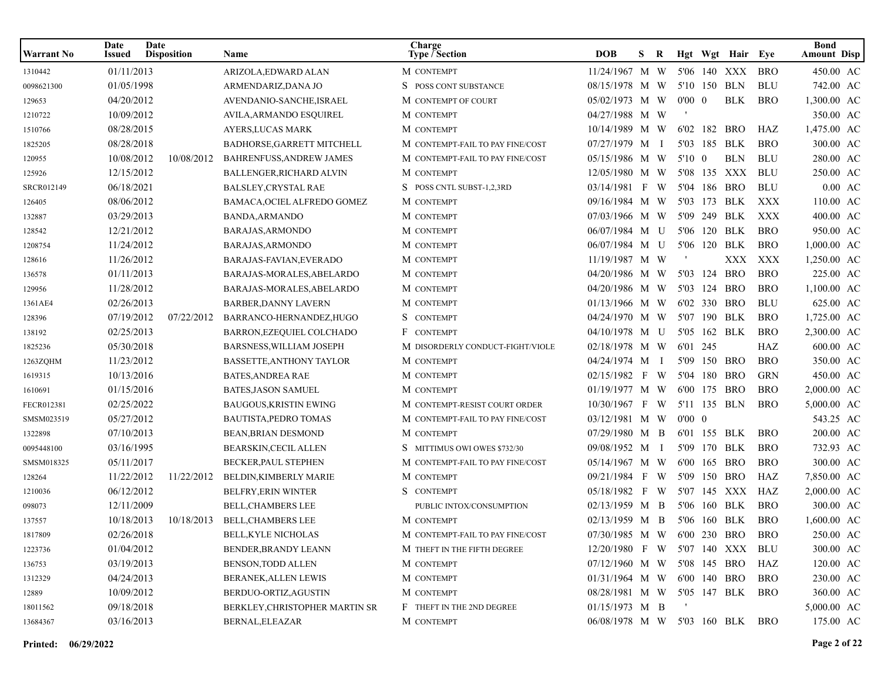| Warrant No | Date<br>Issued | Date<br><b>Disposition</b> | Name                            | Charge<br><b>Type / Section</b>  | <b>DOB</b>                      | S. | R  |                |          | Hgt Wgt Hair Eye |            | <b>Bond</b><br><b>Amount Disp</b> |
|------------|----------------|----------------------------|---------------------------------|----------------------------------|---------------------------------|----|----|----------------|----------|------------------|------------|-----------------------------------|
| 1310442    | 01/11/2013     |                            | ARIZOLA, EDWARD ALAN            | M CONTEMPT                       | 11/24/1967 M W                  |    |    |                |          | 5'06 140 XXX     | <b>BRO</b> | 450.00 AC                         |
| 0098621300 | 01/05/1998     |                            | ARMENDARIZ, DANA JO             | S POSS CONT SUBSTANCE            | 08/15/1978 M W                  |    |    |                |          | 5'10 150 BLN     | <b>BLU</b> | 742.00 AC                         |
| 129653     | 04/20/2012     |                            | AVENDANIO-SANCHE, ISRAEL        | M CONTEMPT OF COURT              | 05/02/1973 M W                  |    |    | $0'00 \quad 0$ |          | <b>BLK</b>       | <b>BRO</b> | 1,300.00 AC                       |
| 1210722    | 10/09/2012     |                            | <b>AVILA, ARMANDO ESQUIREL</b>  | M CONTEMPT                       | 04/27/1988 M W                  |    |    |                |          |                  |            | 350.00 AC                         |
| 1510766    | 08/28/2015     |                            | AYERS, LUCAS MARK               | M CONTEMPT                       | 10/14/1989 M W                  |    |    |                |          | 6'02 182 BRO     | HAZ        | 1,475.00 AC                       |
| 1825205    | 08/28/2018     |                            | BADHORSE, GARRETT MITCHELL      | M CONTEMPT-FAIL TO PAY FINE/COST | 07/27/1979 M I                  |    |    |                |          | 5'03 185 BLK     | <b>BRO</b> | 300.00 AC                         |
| 120955     | 10/08/2012     | 10/08/2012                 | <b>BAHRENFUSS, ANDREW JAMES</b> | M CONTEMPT-FAIL TO PAY FINE/COST | 05/15/1986 M W                  |    |    | 5'10 0         |          | <b>BLN</b>       | <b>BLU</b> | 280.00 AC                         |
| 125926     | 12/15/2012     |                            | BALLENGER, RICHARD ALVIN        | M CONTEMPT                       | 12/05/1980 M W                  |    |    |                |          | 5'08 135 XXX     | BLU        | 250.00 AC                         |
| SRCR012149 | 06/18/2021     |                            | <b>BALSLEY, CRYSTAL RAE</b>     | S POSS CNTL SUBST-1,2,3RD        | 03/14/1981 F                    |    | W. |                |          | 5'04 186 BRO     | <b>BLU</b> | $0.00 \text{ AC}$                 |
| 126405     | 08/06/2012     |                            | BAMACA, OCIEL ALFREDO GOMEZ     | M CONTEMPT                       | 09/16/1984 M W                  |    |    |                |          | 5'03 173 BLK     | XXX        | 110.00 AC                         |
| 132887     | 03/29/2013     |                            | BANDA, ARMANDO                  | M CONTEMPT                       | 07/03/1966 M W                  |    |    |                |          | 5'09 249 BLK     | XXX        | 400.00 AC                         |
| 128542     | 12/21/2012     |                            | BARAJAS, ARMONDO                | M CONTEMPT                       | 06/07/1984 M U                  |    |    |                |          | 5'06 120 BLK     | <b>BRO</b> | 950.00 AC                         |
| 1208754    | 11/24/2012     |                            | BARAJAS, ARMONDO                | M CONTEMPT                       | 06/07/1984 M U                  |    |    |                |          | 5'06 120 BLK     | <b>BRO</b> | 1,000.00 AC                       |
| 128616     | 11/26/2012     |                            | BARAJAS-FAVIAN, EVERADO         | M CONTEMPT                       | 11/19/1987 M W                  |    |    |                |          | XXX              | XXX        | 1,250.00 AC                       |
| 136578     | 01/11/2013     |                            | BARAJAS-MORALES, ABELARDO       | M CONTEMPT                       | 04/20/1986 M W                  |    |    |                | 5'03 124 | BRO              | <b>BRO</b> | 225.00 AC                         |
| 129956     | 11/28/2012     |                            | BARAJAS-MORALES, ABELARDO       | M CONTEMPT                       | 04/20/1986 M W                  |    |    |                |          | 5'03 124 BRO     | <b>BRO</b> | 1,100.00 AC                       |
| 1361AE4    | 02/26/2013     |                            | <b>BARBER, DANNY LAVERN</b>     | M CONTEMPT                       | 01/13/1966 M W                  |    |    |                |          | 6'02 330 BRO     | <b>BLU</b> | 625.00 AC                         |
| 128396     | 07/19/2012     | 07/22/2012                 | BARRANCO-HERNANDEZ, HUGO        | S CONTEMPT                       | 04/24/1970 M W                  |    |    |                |          | 5'07 190 BLK     | <b>BRO</b> | 1,725.00 AC                       |
| 138192     | 02/25/2013     |                            | BARRON, EZEQUIEL COLCHADO       | F CONTEMPT                       | 04/10/1978 M U                  |    |    |                |          | 5'05 162 BLK     | <b>BRO</b> | 2,300.00 AC                       |
| 1825236    | 05/30/2018     |                            | <b>BARSNESS, WILLIAM JOSEPH</b> | M DISORDERLY CONDUCT-FIGHT/VIOLE | 02/18/1978 M W                  |    |    | 6'01 245       |          |                  | HAZ        | 600.00 AC                         |
| 1263ZQHM   | 11/23/2012     |                            | <b>BASSETTE, ANTHONY TAYLOR</b> | M CONTEMPT                       | 04/24/1974 M I                  |    |    | 5'09           |          | 150 BRO          | <b>BRO</b> | 350.00 AC                         |
| 1619315    | 10/13/2016     |                            | <b>BATES, ANDREA RAE</b>        | M CONTEMPT                       | 02/15/1982 F W                  |    |    |                |          | 5'04 180 BRO     | <b>GRN</b> | 450.00 AC                         |
| 1610691    | 01/15/2016     |                            | <b>BATES, JASON SAMUEL</b>      | M CONTEMPT                       | 01/19/1977 M W                  |    |    |                |          | 6'00 175 BRO     | <b>BRO</b> | 2,000.00 AC                       |
| FECR012381 | 02/25/2022     |                            | <b>BAUGOUS, KRISTIN EWING</b>   | M CONTEMPT-RESIST COURT ORDER    | 10/30/1967 F W                  |    |    |                |          | 5'11 135 BLN     | <b>BRO</b> | 5,000.00 AC                       |
| SMSM023519 | 05/27/2012     |                            | <b>BAUTISTA, PEDRO TOMAS</b>    | M CONTEMPT-FAIL TO PAY FINE/COST | 03/12/1981 M W                  |    |    | $0'00 \quad 0$ |          |                  |            | 543.25 AC                         |
| 1322898    | 07/10/2013     |                            | <b>BEAN, BRIAN DESMOND</b>      | M CONTEMPT                       | 07/29/1980 M B                  |    |    |                |          | 6'01 155 BLK     | <b>BRO</b> | 200.00 AC                         |
| 0095448100 | 03/16/1995     |                            | <b>BEARSKIN, CECIL ALLEN</b>    | S MITTIMUS OWI OWES \$732/30     | 09/08/1952 M I                  |    |    |                |          | 5'09 170 BLK     | <b>BRO</b> | 732.93 AC                         |
| SMSM018325 | 05/11/2017     |                            | BECKER, PAUL STEPHEN            | M CONTEMPT-FAIL TO PAY FINE/COST | 05/14/1967 M W                  |    |    |                |          | 6'00 165 BRO     | <b>BRO</b> | 300.00 AC                         |
| 128264     | 11/22/2012     | 11/22/2012                 | BELDIN, KIMBERLY MARIE          | M CONTEMPT                       | 09/21/1984 F W                  |    |    |                |          | 5'09 150 BRO     | HAZ        | 7,850.00 AC                       |
| 1210036    | 06/12/2012     |                            | <b>BELFRY, ERIN WINTER</b>      | S CONTEMPT                       | 05/18/1982 F W                  |    |    |                |          | 5'07 145 XXX     | HAZ        | 2,000.00 AC                       |
| 098073     | 12/11/2009     |                            | <b>BELL, CHAMBERS LEE</b>       | PUBLIC INTOX/CONSUMPTION         | 02/13/1959 M B                  |    |    |                |          | 5'06 160 BLK     | <b>BRO</b> | 300.00 AC                         |
| 137557     | 10/18/2013     | 10/18/2013                 | <b>BELL, CHAMBERS LEE</b>       | M CONTEMPT                       | 02/13/1959 M B                  |    |    |                |          | 5'06 160 BLK     | <b>BRO</b> | 1,600.00 AC                       |
| 1817809    | 02/26/2018     |                            | BELL, KYLE NICHOLAS             | M CONTEMPT-FAIL TO PAY FINE/COST | 07/30/1985 M W 6'00 230 BRO BRO |    |    |                |          |                  |            | 250.00 AC                         |
| 1223736    | 01/04/2012     |                            | BENDER, BRANDY LEANN            | M THEFT IN THE FIFTH DEGREE      | 12/20/1980 F W 5'07 140 XXX BLU |    |    |                |          |                  |            | 300.00 AC                         |
| 136753     | 03/19/2013     |                            | <b>BENSON, TODD ALLEN</b>       | M CONTEMPT                       | 07/12/1960 M W 5'08 145 BRO     |    |    |                |          |                  | HAZ        | 120.00 AC                         |
| 1312329    | 04/24/2013     |                            | BERANEK, ALLEN LEWIS            | M CONTEMPT                       | 01/31/1964 M W 6'00 140 BRO     |    |    |                |          |                  | <b>BRO</b> | 230.00 AC                         |
| 12889      | 10/09/2012     |                            | BERDUO-ORTIZ, AGUSTIN           | M CONTEMPT                       | 08/28/1981 M W 5'05 147 BLK     |    |    |                |          |                  | BRO        | 360.00 AC                         |
| 18011562   | 09/18/2018     |                            | BERKLEY, CHRISTOPHER MARTIN SR  | F THEFT IN THE 2ND DEGREE        | 01/15/1973 M B                  |    |    |                |          |                  |            | 5,000.00 AC                       |
| 13684367   | 03/16/2013     |                            | BERNAL, ELEAZAR                 | M CONTEMPT                       | 06/08/1978 M W 5'03 160 BLK     |    |    |                |          |                  | BRO        | 175.00 AC                         |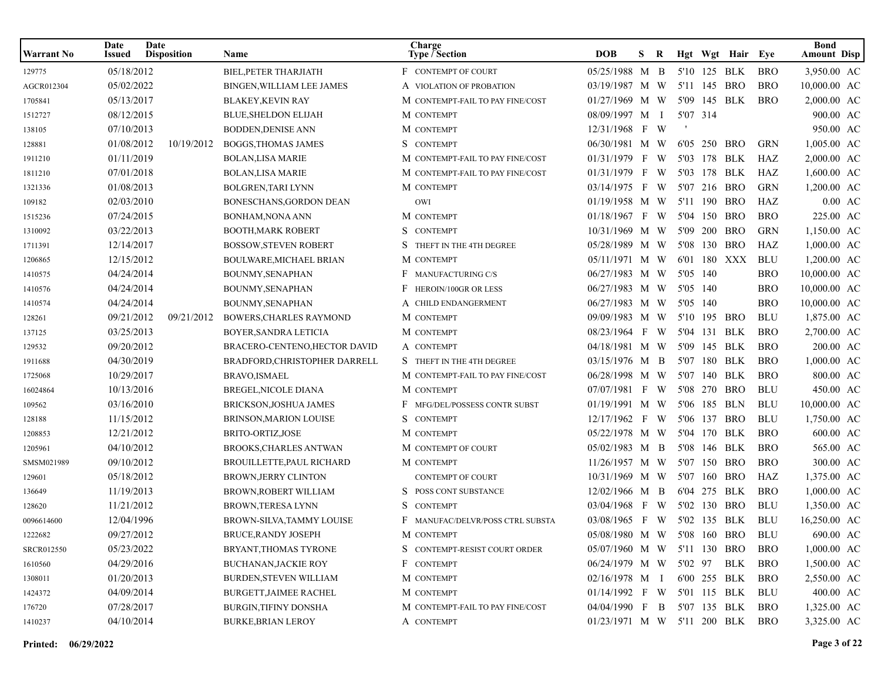| Warrant No        | Date<br>Issued | Date<br><b>Disposition</b> | Name                           | Charge<br>Type / Section             | <b>DOB</b>                      | S. | R   |          |              | Hgt Wgt Hair Eye |            | <b>Bond</b><br><b>Amount Disp</b> |                   |
|-------------------|----------------|----------------------------|--------------------------------|--------------------------------------|---------------------------------|----|-----|----------|--------------|------------------|------------|-----------------------------------|-------------------|
| 129775            | 05/18/2012     |                            | <b>BIEL, PETER THARJIATH</b>   | F CONTEMPT OF COURT                  | 05/25/1988 M B                  |    |     |          | 5'10 125 BLK |                  | <b>BRO</b> | 3,950.00 AC                       |                   |
| AGCR012304        | 05/02/2022     |                            | BINGEN, WILLIAM LEE JAMES      | A VIOLATION OF PROBATION             | 03/19/1987 M W                  |    |     |          | 5'11 145     | BRO              | <b>BRO</b> | 10,000.00 AC                      |                   |
| 1705841           | 05/13/2017     |                            | <b>BLAKEY,KEVIN RAY</b>        | M CONTEMPT-FAIL TO PAY FINE/COST     | 01/27/1969 M W                  |    |     |          | 5'09 145 BLK |                  | <b>BRO</b> | 2,000.00 AC                       |                   |
| 1512727           | 08/12/2015     |                            | <b>BLUE, SHELDON ELIJAH</b>    | M CONTEMPT                           | 08/09/1997 M                    |    | — Г | 5'07 314 |              |                  |            | 900.00 AC                         |                   |
| 138105            | 07/10/2013     |                            | <b>BODDEN, DENISE ANN</b>      | M CONTEMPT                           | 12/31/1968 F W                  |    |     |          |              |                  |            | 950.00 AC                         |                   |
| 128881            | 01/08/2012     | 10/19/2012                 | BOGGS, THOMAS JAMES            | S CONTEMPT                           | 06/30/1981 M W                  |    |     |          | 6'05 250 BRO |                  | <b>GRN</b> | 1,005.00 AC                       |                   |
| 1911210           | 01/11/2019     |                            | <b>BOLAN,LISA MARIE</b>        | M CONTEMPT-FAIL TO PAY FINE/COST     | 01/31/1979 F                    |    | W   |          | 5'03 178 BLK |                  | HAZ        | 2,000.00 AC                       |                   |
| 1811210           | 07/01/2018     |                            | <b>BOLAN,LISA MARIE</b>        | M CONTEMPT-FAIL TO PAY FINE/COST     | 01/31/1979 F                    |    | W   | 5'03     | 178          | BLK              | HAZ        | 1,600.00 AC                       |                   |
| 1321336           | 01/08/2013     |                            | <b>BOLGREN, TARI LYNN</b>      | M CONTEMPT                           | 03/14/1975 F                    |    | W   |          | 5'07 216 BRO |                  | <b>GRN</b> | 1,200.00 AC                       |                   |
| 109182            | 02/03/2010     |                            | BONESCHANS, GORDON DEAN        | OWI                                  | 01/19/1958 M W                  |    |     |          | 5'11 190     | <b>BRO</b>       | HAZ        |                                   | $0.00 \text{ AC}$ |
| 1515236           | 07/24/2015     |                            | BONHAM, NONA ANN               | M CONTEMPT                           | 01/18/1967 F                    |    | W   |          | 5'04 150 BRO |                  | <b>BRO</b> | 225.00 AC                         |                   |
| 1310092           | 03/22/2013     |                            | <b>BOOTH, MARK ROBERT</b>      | S CONTEMPT                           | 10/31/1969 M W                  |    |     |          | 5'09 200 BRO |                  | <b>GRN</b> | 1,150.00 AC                       |                   |
| 1711391           | 12/14/2017     |                            | <b>BOSSOW, STEVEN ROBERT</b>   | S THEFT IN THE 4TH DEGREE            | 05/28/1989 M W                  |    |     |          | 5'08 130 BRO |                  | HAZ        | 1,000.00 AC                       |                   |
| 1206865           | 12/15/2012     |                            | <b>BOULWARE, MICHAEL BRIAN</b> | M CONTEMPT                           | 05/11/1971 M W                  |    |     |          | 6'01 180 XXX |                  | <b>BLU</b> | 1,200.00 AC                       |                   |
| 1410575           | 04/24/2014     |                            | BOUNMY, SENAPHAN               | <b>MANUFACTURING C/S</b><br>F        | 06/27/1983 M W                  |    |     | 5'05 140 |              |                  | <b>BRO</b> | 10,000.00 AC                      |                   |
| 1410576           | 04/24/2014     |                            | BOUNMY, SENAPHAN               | F<br>HEROIN/100GR OR LESS            | 06/27/1983 M W                  |    |     | 5'05 140 |              |                  | <b>BRO</b> | 10,000.00 AC                      |                   |
| 1410574           | 04/24/2014     |                            | BOUNMY, SENAPHAN               | A CHILD ENDANGERMENT                 | 06/27/1983 M W                  |    |     | 5'05 140 |              |                  | <b>BRO</b> | 10,000.00 AC                      |                   |
| 128261            | 09/21/2012     | 09/21/2012                 | <b>BOWERS, CHARLES RAYMOND</b> | M CONTEMPT                           | 09/09/1983 M W                  |    |     |          | 5'10 195 BRO |                  | <b>BLU</b> | 1,875.00 AC                       |                   |
| 137125            | 03/25/2013     |                            | BOYER, SANDRA LETICIA          | M CONTEMPT                           | 08/23/1964 F                    |    | - W |          | 5'04 131 BLK |                  | <b>BRO</b> | 2,700.00 AC                       |                   |
| 129532            | 09/20/2012     |                            | BRACERO-CENTENO, HECTOR DAVID  | A CONTEMPT                           | 04/18/1981 M W                  |    |     |          | 5'09 145 BLK |                  | <b>BRO</b> | 200.00 AC                         |                   |
| 1911688           | 04/30/2019     |                            | BRADFORD, CHRISTOPHER DARRELL  | S THEFT IN THE 4TH DEGREE            | 03/15/1976 M B                  |    |     |          | 5'07 180 BLK |                  | <b>BRO</b> | 1,000.00 AC                       |                   |
| 1725068           | 10/29/2017     |                            | BRAVO, ISMAEL                  | M CONTEMPT-FAIL TO PAY FINE/COST     | 06/28/1998 M W                  |    |     |          | 5'07 140 BLK |                  | <b>BRO</b> | 800.00 AC                         |                   |
| 16024864          | 10/13/2016     |                            | BREGEL, NICOLE DIANA           | M CONTEMPT                           | 07/07/1981 F W                  |    |     |          | 5'08 270 BRO |                  | <b>BLU</b> | 450.00 AC                         |                   |
| 109562            | 03/16/2010     |                            | BRICKSON, JOSHUA JAMES         | F MFG/DEL/POSSESS CONTR SUBST        | 01/19/1991 M W                  |    |     |          | 5'06 185 BLN |                  | <b>BLU</b> | 10,000.00 AC                      |                   |
| 128188            | 11/15/2012     |                            | BRINSON, MARION LOUISE         | S CONTEMPT                           | 12/17/1962 F W                  |    |     |          | 5'06 137 BRO |                  | <b>BLU</b> | 1,750.00 AC                       |                   |
| 1208853           | 12/21/2012     |                            | BRITO-ORTIZ, JOSE              | M CONTEMPT                           | 05/22/1978 M W                  |    |     |          | 5'04 170 BLK |                  | <b>BRO</b> | 600.00 AC                         |                   |
| 1205961           | 04/10/2012     |                            | <b>BROOKS,CHARLES ANTWAN</b>   | M CONTEMPT OF COURT                  | 05/02/1983 M B                  |    |     |          | 5'08 146 BLK |                  | <b>BRO</b> | 565.00 AC                         |                   |
| SMSM021989        | 09/10/2012     |                            | BROUILLETTE, PAUL RICHARD      | M CONTEMPT                           | 11/26/1957 M W                  |    |     |          | 5'07 150 BRO |                  | <b>BRO</b> | 300.00 AC                         |                   |
| 129601            | 05/18/2012     |                            | <b>BROWN, JERRY CLINTON</b>    | <b>CONTEMPT OF COURT</b>             | 10/31/1969 M W                  |    |     |          | 5'07 160 BRO |                  | HAZ        | 1,375.00 AC                       |                   |
| 136649            | 11/19/2013     |                            | <b>BROWN, ROBERT WILLIAM</b>   | POSS CONT SUBSTANCE                  | 12/02/1966 M B                  |    |     |          | 6'04 275 BLK |                  | <b>BRO</b> | 1,000.00 AC                       |                   |
| 128620            | 11/21/2012     |                            | <b>BROWN, TERESA LYNN</b>      | S<br><b>CONTEMPT</b>                 | 03/04/1968 F                    |    | - W | 5'02 130 |              | <b>BRO</b>       | <b>BLU</b> | 1,350.00 AC                       |                   |
| 0096614600        | 12/04/1996     |                            | BROWN-SILVA, TAMMY LOUISE      | F.<br>MANUFAC/DELVR/POSS CTRL SUBSTA | 03/08/1965 F                    |    | W   |          | 5'02 135 BLK |                  | <b>BLU</b> | 16,250.00 AC                      |                   |
| 1222682           | 09/27/2012     |                            | BRUCE, RANDY JOSEPH            | M CONTEMPT                           | 05/08/1980 M W 5'08 160 BRO     |    |     |          |              |                  | BLU        | 690.00 AC                         |                   |
| <b>SRCR012550</b> | 05/23/2022     |                            | BRYANT, THOMAS TYRONE          | S CONTEMPT-RESIST COURT ORDER        | 05/07/1960 M W 5'11 130 BRO     |    |     |          |              |                  | <b>BRO</b> | $1,000.00$ AC                     |                   |
| 1610560           | 04/29/2016     |                            | <b>BUCHANAN, JACKIE ROY</b>    | F CONTEMPT                           | 06/24/1979 M W 5'02 97 BLK      |    |     |          |              |                  | BRO        | 1,500.00 AC                       |                   |
| 1308011           | 01/20/2013     |                            | <b>BURDEN, STEVEN WILLIAM</b>  | M CONTEMPT                           | $02/16/1978$ M I                |    |     |          |              | 6'00 255 BLK     | BRO        | 2,550.00 AC                       |                   |
| 1424372           | 04/09/2014     |                            | <b>BURGETT, JAIMEE RACHEL</b>  | M CONTEMPT                           | 01/14/1992 F W 5'01 115 BLK     |    |     |          |              |                  | BLU        | 400.00 AC                         |                   |
| 176720            | 07/28/2017     |                            | <b>BURGIN, TIFINY DONSHA</b>   | M CONTEMPT-FAIL TO PAY FINE/COST     | $04/04/1990$ F B                |    |     |          |              | 5'07 135 BLK     | BRO        | 1,325.00 AC                       |                   |
| 1410237           | 04/10/2014     |                            | <b>BURKE, BRIAN LEROY</b>      | A CONTEMPT                           | 01/23/1971 M W 5'11 200 BLK BRO |    |     |          |              |                  |            | 3,325.00 AC                       |                   |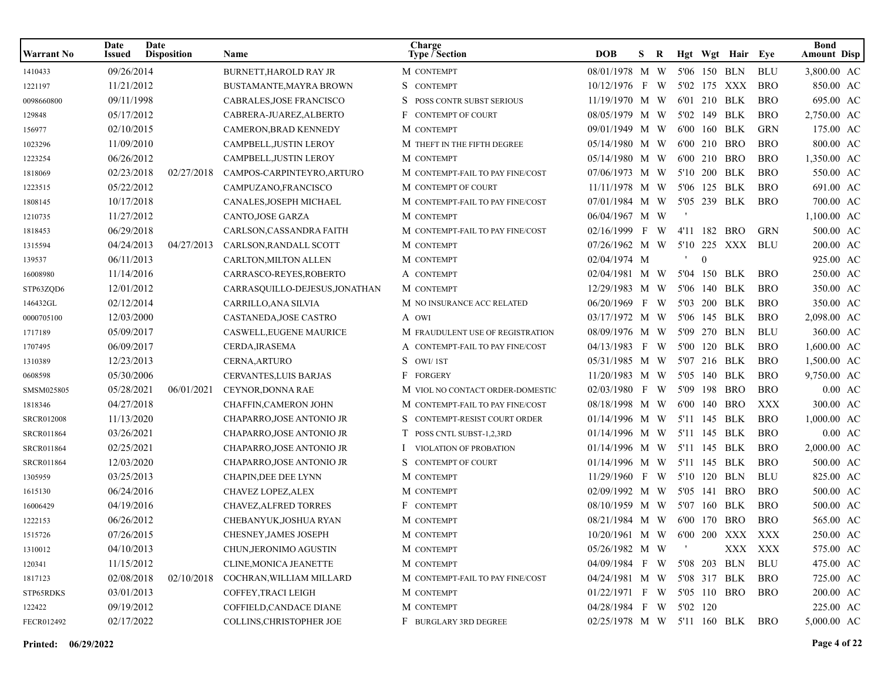| <b>Warrant No</b> | Date<br>Issued | Date<br><b>Disposition</b> | Name                           | Charge<br><b>Type / Section</b>  | <b>DOB</b>                      | S. | R |                | Hgt Wgt Hair Eye |            | <b>Bond</b><br><b>Amount Disp</b> |
|-------------------|----------------|----------------------------|--------------------------------|----------------------------------|---------------------------------|----|---|----------------|------------------|------------|-----------------------------------|
| 1410433           | 09/26/2014     |                            | <b>BURNETT.HAROLD RAY JR</b>   | M CONTEMPT                       | 08/01/1978 M W                  |    |   |                | 5'06 150 BLN     | <b>BLU</b> | 3,800.00 AC                       |
| 1221197           | 11/21/2012     |                            | BUSTAMANTE, MAYRA BROWN        | S CONTEMPT                       | 10/12/1976 F W                  |    |   |                | 5'02 175 XXX     | <b>BRO</b> | 850.00 AC                         |
| 0098660800        | 09/11/1998     |                            | CABRALES, JOSE FRANCISCO       | POSS CONTR SUBST SERIOUS         | 11/19/1970 M W                  |    |   |                | 6'01 210 BLK     | <b>BRO</b> | 695.00 AC                         |
| 129848            | 05/17/2012     |                            | CABRERA-JUAREZ, ALBERTO        | F<br><b>CONTEMPT OF COURT</b>    | 08/05/1979 M W                  |    |   |                | 5'02 149 BLK     | <b>BRO</b> | 2,750.00 AC                       |
| 156977            | 02/10/2015     |                            | CAMERON, BRAD KENNEDY          | M CONTEMPT                       | 09/01/1949 M W                  |    |   |                | 6'00 160 BLK     | <b>GRN</b> | 175.00 AC                         |
| 1023296           | 11/09/2010     |                            | CAMPBELL, JUSTIN LEROY         | M THEFT IN THE FIFTH DEGREE      | 05/14/1980 M W                  |    |   |                | 6'00 210 BRO     | <b>BRO</b> | 800.00 AC                         |
| 1223254           | 06/26/2012     |                            | CAMPBELL, JUSTIN LEROY         | M CONTEMPT                       | 05/14/1980 M W                  |    |   |                | 6'00 210 BRO     | <b>BRO</b> | 1,350.00 AC                       |
| 1818069           | 02/23/2018     | 02/27/2018                 | CAMPOS-CARPINTEYRO, ARTURO     | M CONTEMPT-FAIL TO PAY FINE/COST | 07/06/1973 M W                  |    |   |                | 5'10 200 BLK     | <b>BRO</b> | 550.00 AC                         |
| 1223515           | 05/22/2012     |                            | CAMPUZANO,FRANCISCO            | M CONTEMPT OF COURT              | 11/11/1978 M W                  |    |   |                | 5'06 125 BLK     | <b>BRO</b> | 691.00 AC                         |
| 1808145           | 10/17/2018     |                            | CANALES, JOSEPH MICHAEL        | M CONTEMPT-FAIL TO PAY FINE/COST | 07/01/1984 M W                  |    |   |                | 5'05 239 BLK     | <b>BRO</b> | 700.00 AC                         |
| 1210735           | 11/27/2012     |                            | CANTO, JOSE GARZA              | M CONTEMPT                       | 06/04/1967 M W                  |    |   |                |                  |            | 1,100.00 AC                       |
| 1818453           | 06/29/2018     |                            | CARLSON, CASSANDRA FAITH       | M CONTEMPT-FAIL TO PAY FINE/COST | $02/16/1999$ F W                |    |   |                | 4'11 182 BRO     | <b>GRN</b> | 500.00 AC                         |
| 1315594           | 04/24/2013     | 04/27/2013                 | CARLSON, RANDALL SCOTT         | M CONTEMPT                       | 07/26/1962 M W                  |    |   |                | 5'10 225 XXX     | <b>BLU</b> | 200.00 AC                         |
| 139537            | 06/11/2013     |                            | CARLTON, MILTON ALLEN          | M CONTEMPT                       | 02/04/1974 M                    |    |   | $\overline{0}$ |                  |            | 925.00 AC                         |
| 16008980          | 11/14/2016     |                            | CARRASCO-REYES, ROBERTO        | A CONTEMPT                       | 02/04/1981 M W                  |    |   |                | 5'04 150 BLK     | <b>BRO</b> | 250.00 AC                         |
| STP63ZQD6         | 12/01/2012     |                            | CARRASQUILLO-DEJESUS, JONATHAN | M CONTEMPT                       | 12/29/1983 M W                  |    |   |                | 5'06 140 BLK     | <b>BRO</b> | 350.00 AC                         |
| 146432GL          | 02/12/2014     |                            | CARRILLO, ANA SILVIA           | M NO INSURANCE ACC RELATED       | 06/20/1969 F W                  |    |   |                | 5'03 200 BLK     | <b>BRO</b> | 350.00 AC                         |
| 0000705100        | 12/03/2000     |                            | CASTANEDA,JOSE CASTRO          | A OWI                            | 03/17/1972 M W                  |    |   |                | 5'06 145 BLK     | <b>BRO</b> | 2,098.00 AC                       |
| 1717189           | 05/09/2017     |                            | CASWELL, EUGENE MAURICE        | M FRAUDULENT USE OF REGISTRATION | 08/09/1976 M W                  |    |   |                | 5'09 270 BLN     | <b>BLU</b> | 360.00 AC                         |
| 1707495           | 06/09/2017     |                            | CERDA, IRASEMA                 | A CONTEMPT-FAIL TO PAY FINE/COST | 04/13/1983 F W                  |    |   |                | 5'00 120 BLK     | <b>BRO</b> | 1,600.00 AC                       |
| 1310389           | 12/23/2013     |                            | CERNA, ARTURO                  | S OWI/1ST                        | 05/31/1985 M W                  |    |   |                | 5'07 216 BLK     | <b>BRO</b> | 1,500.00 AC                       |
| 0608598           | 05/30/2006     |                            | <b>CERVANTES, LUIS BARJAS</b>  | F FORGERY                        | 11/20/1983 M W                  |    |   |                | 5'05 140 BLK     | <b>BRO</b> | 9,750.00 AC                       |
| SMSM025805        | 05/28/2021     | 06/01/2021                 | CEYNOR, DONNA RAE              | M VIOL NO CONTACT ORDER-DOMESTIC | 02/03/1980 F W                  |    |   |                | 5'09 198 BRO     | <b>BRO</b> | $0.00 \text{ AC}$                 |
| 1818346           | 04/27/2018     |                            | <b>CHAFFIN, CAMERON JOHN</b>   | M CONTEMPT-FAIL TO PAY FINE/COST | 08/18/1998 M W                  |    |   |                | 6'00 140 BRO     | XXX        | 300.00 AC                         |
| <b>SRCR012008</b> | 11/13/2020     |                            | CHAPARRO, JOSE ANTONIO JR      | CONTEMPT-RESIST COURT ORDER      | 01/14/1996 M W                  |    |   |                | 5'11 145 BLK     | <b>BRO</b> | 1,000.00 AC                       |
| <b>SRCR011864</b> | 03/26/2021     |                            | CHAPARRO, JOSE ANTONIO JR      | POSS CNTL SUBST-1,2,3RD          | 01/14/1996 M W                  |    |   |                | 5'11 145 BLK     | <b>BRO</b> | $0.00 \text{ AC}$                 |
| <b>SRCR011864</b> | 02/25/2021     |                            | CHAPARRO, JOSE ANTONIO JR      | VIOLATION OF PROBATION           | 01/14/1996 M W                  |    |   |                | 5'11 145 BLK     | <b>BRO</b> | 2,000.00 AC                       |
| <b>SRCR011864</b> | 12/03/2020     |                            | CHAPARRO, JOSE ANTONIO JR      | <b>CONTEMPT OF COURT</b>         | 01/14/1996 M W                  |    |   |                | 5'11 145 BLK     | <b>BRO</b> | 500.00 AC                         |
| 1305959           | 03/25/2013     |                            | <b>CHAPIN, DEE DEE LYNN</b>    | M CONTEMPT                       | 11/29/1960 F W                  |    |   |                | 5'10 120 BLN     | <b>BLU</b> | 825.00 AC                         |
| 1615130           | 06/24/2016     |                            | CHAVEZ LOPEZ, ALEX             | M CONTEMPT                       | 02/09/1992 M W                  |    |   |                | 5'05 141 BRO     | <b>BRO</b> | 500.00 AC                         |
| 16006429          | 04/19/2016     |                            | <b>CHAVEZ, ALFRED TORRES</b>   | F CONTEMPT                       | 08/10/1959 M W                  |    |   |                | 5'07 160 BLK     | <b>BRO</b> | 500.00 AC                         |
| 1222153           | 06/26/2012     |                            | CHEBANYUK, JOSHUA RYAN         | M CONTEMPT                       | 08/21/1984 M W                  |    |   |                | 6'00 170 BRO     | <b>BRO</b> | 565.00 AC                         |
| 1515726           | 07/26/2015     |                            | CHESNEY, JAMES JOSEPH          | M CONTEMPT                       | 10/20/1961 M W 6'00 200 XXX XXX |    |   |                |                  |            | 250.00 AC                         |
| 1310012           | 04/10/2013     |                            | CHUN, JERONIMO AGUSTIN         | M CONTEMPT                       | 05/26/1982 M W                  |    |   |                |                  | XXX XXX    | 575.00 AC                         |
| 120341            | 11/15/2012     |                            | CLINE, MONICA JEANETTE         | M CONTEMPT                       | 04/09/1984 F W 5'08 203 BLN     |    |   |                |                  | BLU        | 475.00 AC                         |
| 1817123           | 02/08/2018     | 02/10/2018                 | COCHRAN, WILLIAM MILLARD       | M CONTEMPT-FAIL TO PAY FINE/COST | 04/24/1981 M W 5'08 317 BLK     |    |   |                |                  | BRO        | 725.00 AC                         |
| STP65RDKS         | 03/01/2013     |                            | COFFEY, TRACI LEIGH            | M CONTEMPT                       | 01/22/1971 F W 5'05 110 BRO     |    |   |                |                  | BRO        | 200.00 AC                         |
| 122422            | 09/19/2012     |                            | COFFIELD, CANDACE DIANE        | M CONTEMPT                       | 04/28/1984 F W 5'02 120         |    |   |                |                  |            | 225.00 AC                         |
| FECR012492        | 02/17/2022     |                            | COLLINS, CHRISTOPHER JOE       | F BURGLARY 3RD DEGREE            | 02/25/1978 M W 5'11 160 BLK BRO |    |   |                |                  |            | 5,000.00 AC                       |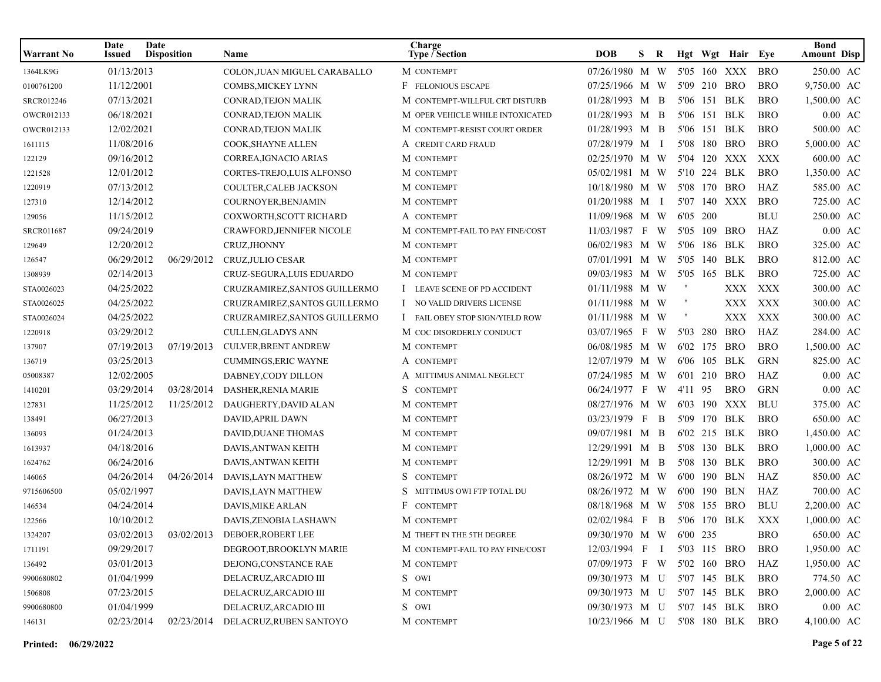| Warrant No        | Date<br><b>Issued</b> | Date<br><b>Disposition</b> | Name                                       | Charge<br><b>Type / Section</b>        | <b>DOB</b>                  | S. | R |          |          | Hgt Wgt Hair Eye |            | <b>Bond</b><br><b>Amount Disp</b> |
|-------------------|-----------------------|----------------------------|--------------------------------------------|----------------------------------------|-----------------------------|----|---|----------|----------|------------------|------------|-----------------------------------|
| 1364LK9G          | 01/13/2013            |                            | COLON, JUAN MIGUEL CARABALLO               | M CONTEMPT                             | 07/26/1980 M W              |    |   |          |          | 5'05 160 XXX     | <b>BRO</b> | 250.00 AC                         |
| 0100761200        | 11/12/2001            |                            | COMBS, MICKEY LYNN                         | F FELONIOUS ESCAPE                     | 07/25/1966 M W              |    |   |          |          | 5'09 210 BRO     | <b>BRO</b> | 9,750.00 AC                       |
| SRCR012246        | 07/13/2021            |                            | CONRAD, TEJON MALIK                        | M CONTEMPT-WILLFUL CRT DISTURB         | 01/28/1993 M B              |    |   |          |          | 5'06 151 BLK     | <b>BRO</b> | 1,500.00 AC                       |
| OWCR012133        | 06/18/2021            |                            | CONRAD, TEJON MALIK                        | M OPER VEHICLE WHILE INTOXICATED       | 01/28/1993 M B              |    |   |          |          | 5'06 151 BLK     | <b>BRO</b> | $0.00$ AC                         |
| OWCR012133        | 12/02/2021            |                            | CONRAD, TEJON MALIK                        | M CONTEMPT-RESIST COURT ORDER          | 01/28/1993 M B              |    |   |          |          | 5'06 151 BLK     | <b>BRO</b> | 500.00 AC                         |
| 1611115           | 11/08/2016            |                            | COOK, SHAYNE ALLEN                         | A CREDIT CARD FRAUD                    | 07/28/1979 M I              |    |   |          |          | 5'08 180 BRO     | <b>BRO</b> | 5,000.00 AC                       |
| 122129            | 09/16/2012            |                            | CORREA, IGNACIO ARIAS                      | M CONTEMPT                             | 02/25/1970 M W              |    |   |          |          | 5'04 120 XXX     | XXX        | 600.00 AC                         |
| 1221528           | 12/01/2012            |                            | CORTES-TREJO, LUIS ALFONSO                 | M CONTEMPT                             | 05/02/1981 M W              |    |   |          |          | 5'10 224 BLK     | <b>BRO</b> | 1,350.00 AC                       |
| 1220919           | 07/13/2012            |                            | COULTER, CALEB JACKSON                     | M CONTEMPT                             | 10/18/1980 M W              |    |   |          |          | 5'08 170 BRO     | HAZ        | 585.00 AC                         |
| 127310            | 12/14/2012            |                            | COURNOYER, BENJAMIN                        | M CONTEMPT                             | 01/20/1988 M I              |    |   |          |          | 5'07 140 XXX     | BRO        | 725.00 AC                         |
| 129056            | 11/15/2012            |                            | COXWORTH, SCOTT RICHARD                    | A CONTEMPT                             | 11/09/1968 M W              |    |   | 6'05 200 |          |                  | <b>BLU</b> | 250.00 AC                         |
| <b>SRCR011687</b> | 09/24/2019            |                            | CRAWFORD, JENNIFER NICOLE                  | M CONTEMPT-FAIL TO PAY FINE/COST       | 11/03/1987 F W              |    |   |          |          | 5'05 109 BRO     | HAZ        | $0.00$ AC                         |
| 129649            | 12/20/2012            |                            | CRUZ, JHONNY                               | M CONTEMPT                             | 06/02/1983 M W              |    |   |          |          | 5'06 186 BLK     | <b>BRO</b> | 325.00 AC                         |
| 126547            | 06/29/2012            | 06/29/2012                 | CRUZ, JULIO CESAR                          | M CONTEMPT                             | 07/01/1991 M W              |    |   |          |          | 5'05 140 BLK     | <b>BRO</b> | 812.00 AC                         |
| 1308939           | 02/14/2013            |                            | CRUZ-SEGURA, LUIS EDUARDO                  | M CONTEMPT                             | 09/03/1983 M W              |    |   |          |          | 5'05 165 BLK     | <b>BRO</b> | 725.00 AC                         |
| STA0026023        | 04/25/2022            |                            | CRUZRAMIREZ, SANTOS GUILLERMO              | I LEAVE SCENE OF PD ACCIDENT           | 01/11/1988 M W              |    |   |          |          | XXX              | XXX        | 300.00 AC                         |
| STA0026025        | 04/25/2022            |                            | CRUZRAMIREZ, SANTOS GUILLERMO              | I NO VALID DRIVERS LICENSE             | 01/11/1988 M W              |    |   |          |          | XXX              | XXX        | 300.00 AC                         |
| STA0026024        | 04/25/2022            |                            | CRUZRAMIREZ, SANTOS GUILLERMO              | <b>I</b> FAIL OBEY STOP SIGN/YIELD ROW | 01/11/1988 M W              |    |   |          |          | XXX              | XXX        | 300.00 AC                         |
| 1220918           | 03/29/2012            |                            | <b>CULLEN, GLADYS ANN</b>                  | M COC DISORDERLY CONDUCT               | 03/07/1965 F W              |    |   |          | 5'03 280 | <b>BRO</b>       | HAZ        | 284.00 AC                         |
| 137907            | 07/19/2013            | 07/19/2013                 | <b>CULVER, BRENT ANDREW</b>                | M CONTEMPT                             | 06/08/1985 M W              |    |   |          |          | 6'02 175 BRO     | <b>BRO</b> | 1,500.00 AC                       |
| 136719            | 03/25/2013            |                            | <b>CUMMINGS, ERIC WAYNE</b>                | A CONTEMPT                             | 12/07/1979 M W              |    |   |          |          | 6'06 105 BLK     | <b>GRN</b> | 825.00 AC                         |
| 05008387          | 12/02/2005            |                            | DABNEY, CODY DILLON                        | A MITTIMUS ANIMAL NEGLECT              | 07/24/1985 M W              |    |   |          |          | 6'01 210 BRO     | HAZ        | $0.00$ AC                         |
| 1410201           | 03/29/2014            | 03/28/2014                 | DASHER, RENIA MARIE                        | S CONTEMPT                             | 06/24/1977 F W              |    |   | 4'11 95  |          | <b>BRO</b>       | <b>GRN</b> | $0.00$ AC                         |
| 127831            | 11/25/2012            | 11/25/2012                 | DAUGHERTY, DAVID ALAN                      | M CONTEMPT                             | 08/27/1976 M W              |    |   |          |          | 6'03 190 XXX     | <b>BLU</b> | 375.00 AC                         |
| 138491            | 06/27/2013            |                            | DAVID, APRIL DAWN                          | M CONTEMPT                             | 03/23/1979 F B              |    |   |          |          | 5'09 170 BLK     | <b>BRO</b> | 650.00 AC                         |
| 136093            | 01/24/2013            |                            | DAVID, DUANE THOMAS                        | M CONTEMPT                             | 09/07/1981 M B              |    |   |          |          | 6'02 215 BLK     | <b>BRO</b> | 1,450.00 AC                       |
| 1613937           | 04/18/2016            |                            | DAVIS, ANTWAN KEITH                        | M CONTEMPT                             | 12/29/1991 M B              |    |   |          |          | 5'08 130 BLK     | <b>BRO</b> | 1,000.00 AC                       |
| 1624762           | 06/24/2016            |                            | DAVIS, ANTWAN KEITH                        | M CONTEMPT                             | 12/29/1991 M B              |    |   |          |          | 5'08 130 BLK     | <b>BRO</b> | 300.00 AC                         |
| 146065            | 04/26/2014            | 04/26/2014                 | DAVIS, LAYN MATTHEW                        | S CONTEMPT                             | 08/26/1972 M W              |    |   |          |          | 6'00 190 BLN     | HAZ        | 850.00 AC                         |
| 9715606500        | 05/02/1997            |                            | DAVIS, LAYN MATTHEW                        | S MITTIMUS OWI FTP TOTAL DU            | 08/26/1972 M W              |    |   |          |          | 6'00 190 BLN     | HAZ        | 700.00 AC                         |
| 146534            | 04/24/2014            |                            | DAVIS, MIKE ARLAN                          | F CONTEMPT                             | 08/18/1968 M W              |    |   |          |          | 5'08 155 BRO     | <b>BLU</b> | 2,200.00 AC                       |
| 122566            | 10/10/2012            |                            | DAVIS, ZENOBIA LASHAWN                     | M CONTEMPT                             | 02/02/1984 F B              |    |   |          |          | 5'06 170 BLK     | XXX        | 1,000.00 AC                       |
| 1324207           |                       |                            | 03/02/2013  03/02/2013  DEBOER, ROBERT LEE | M THEFT IN THE 5TH DEGREE              | 09/30/1970 M W 6'00 235     |    |   |          |          |                  | <b>BRO</b> | 650.00 AC                         |
| 1711191           | 09/29/2017            |                            | DEGROOT, BROOKLYN MARIE                    | M CONTEMPT-FAIL TO PAY FINE/COST       | 12/03/1994 F I              |    |   |          |          | 5'03 115 BRO     | <b>BRO</b> | 1,950.00 AC                       |
| 136492            | 03/01/2013            |                            | DEJONG, CONSTANCE RAE                      | M CONTEMPT                             | 07/09/1973 F W 5'02 160 BRO |    |   |          |          |                  | HAZ        | 1,950.00 AC                       |
| 9900680802        | 01/04/1999            |                            | DELACRUZ, ARCADIO III                      | S OWI                                  | 09/30/1973 M U 5'07 145 BLK |    |   |          |          |                  | <b>BRO</b> | 774.50 AC                         |
| 1506808           | 07/23/2015            |                            | DELACRUZ, ARCADIO III                      | M CONTEMPT                             | 09/30/1973 M U 5'07 145 BLK |    |   |          |          |                  | BRO        | 2,000.00 AC                       |
| 9900680800        | 01/04/1999            |                            | DELACRUZ, ARCADIO III                      | S OWI                                  | 09/30/1973 M U 5'07 145 BLK |    |   |          |          |                  | <b>BRO</b> | $0.00\;\;{\rm AC}$                |
| 146131            | 02/23/2014            | 02/23/2014                 | DELACRUZ, RUBEN SANTOYO                    | M CONTEMPT                             | 10/23/1966 M U 5'08 180 BLK |    |   |          |          |                  | BRO        | 4,100.00 AC                       |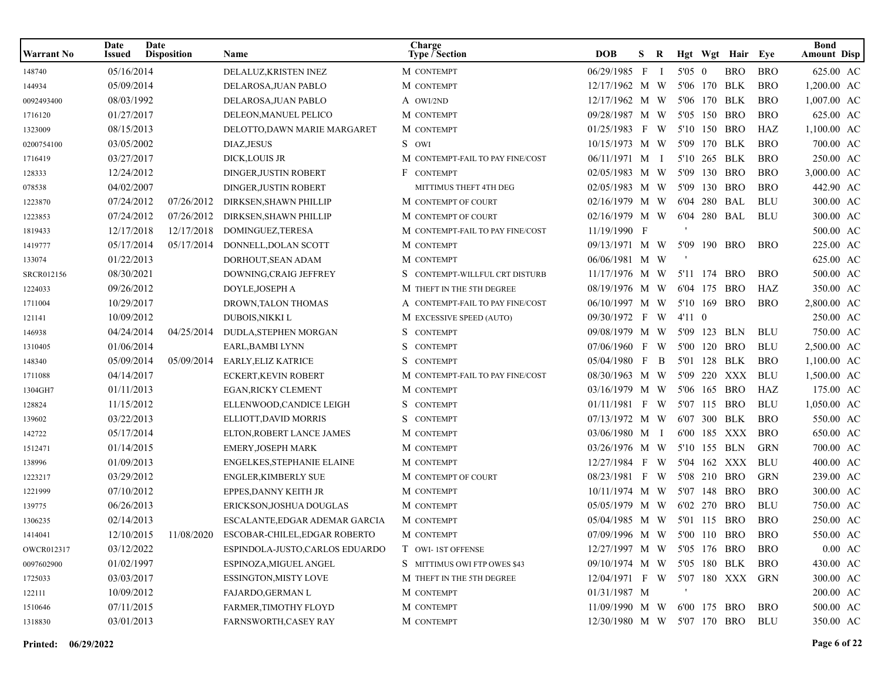| Warrant No | Date<br>Issued | Date<br><b>Disposition</b> | Name                                                  | Charge<br>Type $\bar{ }$ Section | <b>DOB</b>                      | S. | R              |                |              | Hgt Wgt Hair Eye |            | <b>Bond</b><br><b>Amount Disp</b> |
|------------|----------------|----------------------------|-------------------------------------------------------|----------------------------------|---------------------------------|----|----------------|----------------|--------------|------------------|------------|-----------------------------------|
| 148740     | 05/16/2014     |                            | DELALUZ, KRISTEN INEZ                                 | M CONTEMPT                       | 06/29/1985 F                    |    | $\blacksquare$ | 5'05 0         |              | <b>BRO</b>       | <b>BRO</b> | 625.00 AC                         |
| 144934     | 05/09/2014     |                            | DELAROSA, JUAN PABLO                                  | M CONTEMPT                       | 12/17/1962 M W                  |    |                |                | 5'06 170 BLK |                  | <b>BRO</b> | 1,200.00 AC                       |
| 0092493400 | 08/03/1992     |                            | DELAROSA, JUAN PABLO                                  | A OWI/2ND                        | 12/17/1962 M W                  |    |                |                | 5'06 170 BLK |                  | <b>BRO</b> | 1,007.00 AC                       |
| 1716120    | 01/27/2017     |                            | DELEON, MANUEL PELICO                                 | M CONTEMPT                       | 09/28/1987 M W                  |    |                |                | 5'05 150 BRO |                  | <b>BRO</b> | 625.00 AC                         |
| 1323009    | 08/15/2013     |                            | DELOTTO, DAWN MARIE MARGARET                          | M CONTEMPT                       | 01/25/1983 F W                  |    |                |                | 5'10 150 BRO |                  | HAZ        | 1,100.00 AC                       |
| 0200754100 | 03/05/2002     |                            | DIAZ, JESUS                                           | S OWI                            | 10/15/1973 M W                  |    |                |                | 5'09 170 BLK |                  | <b>BRO</b> | 700.00 AC                         |
| 1716419    | 03/27/2017     |                            | <b>DICK,LOUIS JR</b>                                  | M CONTEMPT-FAIL TO PAY FINE/COST | 06/11/1971 M I                  |    |                |                | 5'10 265 BLK |                  | <b>BRO</b> | 250.00 AC                         |
| 128333     | 12/24/2012     |                            | <b>DINGER, JUSTIN ROBERT</b>                          | F CONTEMPT                       | 02/05/1983 M W                  |    |                | 5'09           | 130 BRO      |                  | <b>BRO</b> | 3,000.00 AC                       |
| 078538     | 04/02/2007     |                            | <b>DINGER, JUSTIN ROBERT</b>                          | MITTIMUS THEFT 4TH DEG           | 02/05/1983 M W                  |    |                |                | 5'09 130 BRO |                  | <b>BRO</b> | 442.90 AC                         |
| 1223870    | 07/24/2012     | 07/26/2012                 | DIRKSEN, SHAWN PHILLIP                                | M CONTEMPT OF COURT              | 02/16/1979 M W                  |    |                |                | 6'04 280 BAL |                  | <b>BLU</b> | 300.00 AC                         |
| 1223853    | 07/24/2012     | 07/26/2012                 | DIRKSEN, SHAWN PHILLIP                                | M CONTEMPT OF COURT              | 02/16/1979 M W                  |    |                |                | 6'04 280 BAL |                  | BLU        | 300.00 AC                         |
| 1819433    | 12/17/2018     | 12/17/2018                 | DOMINGUEZ, TERESA                                     | M CONTEMPT-FAIL TO PAY FINE/COST | 11/19/1990 F                    |    |                |                |              |                  |            | 500.00 AC                         |
| 1419777    | 05/17/2014     | 05/17/2014                 | DONNELL, DOLAN SCOTT                                  | M CONTEMPT                       | 09/13/1971 M W                  |    |                |                | 5'09 190 BRO |                  | <b>BRO</b> | 225.00 AC                         |
| 133074     | 01/22/2013     |                            | DORHOUT, SEAN ADAM                                    | M CONTEMPT                       | 06/06/1981 M W                  |    |                |                |              |                  |            | 625.00 AC                         |
| SRCR012156 | 08/30/2021     |                            | DOWNING, CRAIG JEFFREY                                | CONTEMPT-WILLFUL CRT DISTURB     | $11/17/1976$ M W                |    |                |                | 5'11 174 BRO |                  | <b>BRO</b> | 500.00 AC                         |
| 1224033    | 09/26/2012     |                            | DOYLE, JOSEPH A                                       | M THEFT IN THE 5TH DEGREE        | 08/19/1976 M W                  |    |                |                | 6'04 175 BRO |                  | HAZ        | 350.00 AC                         |
| 1711004    | 10/29/2017     |                            | DROWN, TALON THOMAS                                   | A CONTEMPT-FAIL TO PAY FINE/COST | 06/10/1997 M W                  |    |                |                | 5'10 169 BRO |                  | <b>BRO</b> | 2,800.00 AC                       |
| 121141     | 10/09/2012     |                            | DUBOIS, NIKKI L                                       | M EXCESSIVE SPEED (AUTO)         | 09/30/1972 F W                  |    |                | $4'11 \quad 0$ |              |                  |            | 250.00 AC                         |
| 146938     | 04/24/2014     | 04/25/2014                 | DUDLA, STEPHEN MORGAN                                 | S CONTEMPT                       | 09/08/1979 M W                  |    |                |                | 5'09 123 BLN |                  | BLU        | 750.00 AC                         |
| 1310405    | 01/06/2014     |                            | EARL, BAMBI LYNN                                      | S.<br><b>CONTEMPT</b>            | 07/06/1960 F W                  |    |                |                | 5'00 120 BRO |                  | <b>BLU</b> | 2,500.00 AC                       |
| 148340     | 05/09/2014     | 05/09/2014                 | <b>EARLY, ELIZ KATRICE</b>                            | <b>CONTEMPT</b><br>S             | 05/04/1980 F                    |    | B              |                | 5'01 128 BLK |                  | <b>BRO</b> | 1,100.00 AC                       |
| 1711088    | 04/14/2017     |                            | <b>ECKERT, KEVIN ROBERT</b>                           | M CONTEMPT-FAIL TO PAY FINE/COST | 08/30/1963 M W                  |    |                |                |              | 5'09 220 XXX     | <b>BLU</b> | 1,500.00 AC                       |
| 1304GH7    | 01/11/2013     |                            | <b>EGAN,RICKY CLEMENT</b>                             | M CONTEMPT                       | 03/16/1979 M W                  |    |                |                | 5'06 165 BRO |                  | HAZ        | 175.00 AC                         |
| 128824     | 11/15/2012     |                            | ELLENWOOD,CANDICE LEIGH                               | S CONTEMPT                       | 01/11/1981 F W                  |    |                |                | 5'07 115 BRO |                  | <b>BLU</b> | 1,050.00 AC                       |
| 139602     | 03/22/2013     |                            | ELLIOTT, DAVID MORRIS                                 | S CONTEMPT                       | 07/13/1972 M W                  |    |                |                | 6'07 300 BLK |                  | <b>BRO</b> | 550.00 AC                         |
| 142722     | 05/17/2014     |                            | ELTON, ROBERT LANCE JAMES                             | M CONTEMPT                       | 03/06/1980 M I                  |    |                |                |              | 6'00 185 XXX     | <b>BRO</b> | 650.00 AC                         |
| 1512471    | 01/14/2015     |                            | <b>EMERY, JOSEPH MARK</b>                             | M CONTEMPT                       | 03/26/1976 M W                  |    |                |                | 5'10 155 BLN |                  | GRN        | 700.00 AC                         |
| 138996     | 01/09/2013     |                            | ENGELKES, STEPHANIE ELAINE                            | M CONTEMPT                       | 12/27/1984 F W                  |    |                |                |              | 5'04 162 XXX     | <b>BLU</b> | 400.00 AC                         |
| 1223217    | 03/29/2012     |                            | <b>ENGLER, KIMBERLY SUE</b>                           | M CONTEMPT OF COURT              | 08/23/1981 F W                  |    |                |                | 5'08 210 BRO |                  | <b>GRN</b> | 239.00 AC                         |
| 1221999    | 07/10/2012     |                            | EPPES, DANNY KEITH JR                                 | M CONTEMPT                       | 10/11/1974 M W                  |    |                |                | 5'07 148 BRO |                  | <b>BRO</b> | 300.00 AC                         |
| 139775     | 06/26/2013     |                            | ERICKSON, JOSHUA DOUGLAS                              | M CONTEMPT                       | 05/05/1979 M W                  |    |                |                | 6'02 270 BRO |                  | <b>BLU</b> | 750.00 AC                         |
| 1306235    | 02/14/2013     |                            | ESCALANTE, EDGAR ADEMAR GARCIA                        | M CONTEMPT                       | 05/04/1985 M W                  |    |                |                | 5'01 115 BRO |                  | <b>BRO</b> | 250.00 AC                         |
| 1414041    |                |                            | 12/10/2015  11/08/2020  ESCOBAR-CHILEL, EDGAR ROBERTO | M CONTEMPT                       | 07/09/1996 M W 5'00 110 BRO BRO |    |                |                |              |                  |            | 550.00 AC                         |
| OWCR012317 | 03/12/2022     |                            | ESPINDOLA-JUSTO,CARLOS EDUARDO                        | T OWI-1ST OFFENSE                | 12/27/1997 M W 5'05 176 BRO     |    |                |                |              |                  | <b>BRO</b> | $0.00\text{ AC}$                  |
| 0097602900 | 01/02/1997     |                            | ESPINOZA, MIGUEL ANGEL                                | S MITTIMUS OWI FTP OWES \$43     | 09/10/1974 M W 5'05 180 BLK     |    |                |                |              |                  | BRO        | 430.00 AC                         |
| 1725033    | 03/03/2017     |                            | <b>ESSINGTON, MISTY LOVE</b>                          | M THEFT IN THE 5TH DEGREE        | 12/04/1971 F W 5'07 180 XXX GRN |    |                |                |              |                  |            | 300.00 AC                         |
| 122111     | 10/09/2012     |                            | FAJARDO, GERMAN L                                     | M CONTEMPT                       | 01/31/1987 M                    |    |                |                |              |                  |            | 200.00 AC                         |
| 1510646    | 07/11/2015     |                            | FARMER, TIMOTHY FLOYD                                 | M CONTEMPT                       | 11/09/1990 M W                  |    |                |                | 6'00 175 BRO |                  | <b>BRO</b> | 500.00 AC                         |
| 1318830    | 03/01/2013     |                            | FARNSWORTH, CASEY RAY                                 | M CONTEMPT                       | 12/30/1980 M W 5'07 170 BRO     |    |                |                |              |                  | BLU        | 350.00 AC                         |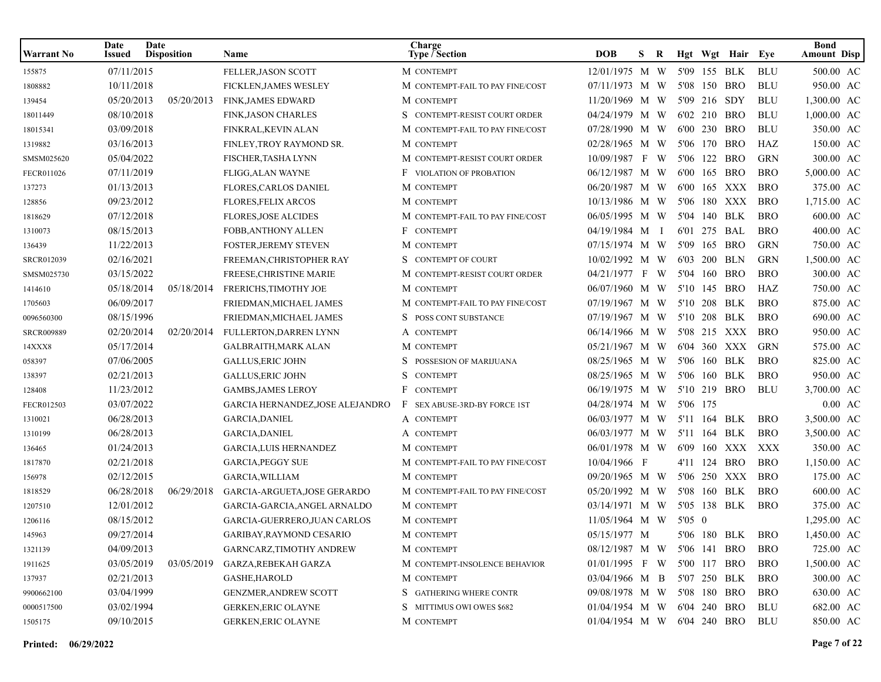| <b>Warrant No</b> | Date<br>Issued | Date<br><b>Disposition</b> | Name                            | Charge<br><b>Type / Section</b>  | <b>DOB</b>                  | S. | R |          | Hgt Wgt Hair Eye |            | <b>Bond</b><br><b>Amount Disp</b> |  |
|-------------------|----------------|----------------------------|---------------------------------|----------------------------------|-----------------------------|----|---|----------|------------------|------------|-----------------------------------|--|
| 155875            | 07/11/2015     |                            | FELLER, JASON SCOTT             | M CONTEMPT                       | 12/01/1975 M W              |    |   |          | 5'09 155 BLK     | <b>BLU</b> | 500.00 AC                         |  |
| 1808882           | 10/11/2018     |                            | <b>FICKLEN, JAMES WESLEY</b>    | M CONTEMPT-FAIL TO PAY FINE/COST | 07/11/1973 M W              |    |   |          | 5'08 150 BRO     | <b>BLU</b> | 950.00 AC                         |  |
| 139454            | 05/20/2013     | 05/20/2013                 | <b>FINK, JAMES EDWARD</b>       | M CONTEMPT                       | 11/20/1969 M W              |    |   |          | 5'09 216 SDY     | <b>BLU</b> | 1,300.00 AC                       |  |
| 18011449          | 08/10/2018     |                            | <b>FINK, JASON CHARLES</b>      | S CONTEMPT-RESIST COURT ORDER    | 04/24/1979 M W              |    |   |          | 6'02 210 BRO     | <b>BLU</b> | 1,000.00 AC                       |  |
| 18015341          | 03/09/2018     |                            | FINKRAL, KEVIN ALAN             | M CONTEMPT-FAIL TO PAY FINE/COST | 07/28/1990 M W              |    |   |          | 6'00 230 BRO     | <b>BLU</b> | 350.00 AC                         |  |
| 1319882           | 03/16/2013     |                            | FINLEY, TROY RAYMOND SR.        | M CONTEMPT                       | 02/28/1965 M W              |    |   |          | 5'06 170 BRO     | HAZ        | 150.00 AC                         |  |
| SMSM025620        | 05/04/2022     |                            | FISCHER, TASHA LYNN             | M CONTEMPT-RESIST COURT ORDER    | 10/09/1987 F W              |    |   |          | 5'06 122 BRO     | <b>GRN</b> | 300.00 AC                         |  |
| FECR011026        | 07/11/2019     |                            | FLIGG, ALAN WAYNE               | <b>F</b> VIOLATION OF PROBATION  | 06/12/1987 M W              |    |   |          | 6'00 165 BRO     | <b>BRO</b> | 5,000.00 AC                       |  |
| 137273            | 01/13/2013     |                            | <b>FLORES, CARLOS DANIEL</b>    | M CONTEMPT                       | 06/20/1987 M W              |    |   |          | 6'00 165 XXX     | <b>BRO</b> | 375.00 AC                         |  |
| 128856            | 09/23/2012     |                            | <b>FLORES, FELIX ARCOS</b>      | M CONTEMPT                       | 10/13/1986 M W              |    |   |          | 5'06 180 XXX     | BRO        | 1,715.00 AC                       |  |
| 1818629           | 07/12/2018     |                            | <b>FLORES, JOSE ALCIDES</b>     | M CONTEMPT-FAIL TO PAY FINE/COST | 06/05/1995 M W              |    |   |          | 5'04 140 BLK     | <b>BRO</b> | 600.00 AC                         |  |
| 1310073           | 08/15/2013     |                            | FOBB, ANTHONY ALLEN             | F CONTEMPT                       | 04/19/1984 M I              |    |   |          | 6'01 275 BAL     | <b>BRO</b> | 400.00 AC                         |  |
| 136439            | 11/22/2013     |                            | FOSTER, JEREMY STEVEN           | M CONTEMPT                       | 07/15/1974 M W              |    |   |          | 5'09 165 BRO     | GRN        | 750.00 AC                         |  |
| SRCR012039        | 02/16/2021     |                            | FREEMAN, CHRISTOPHER RAY        | S CONTEMPT OF COURT              | 10/02/1992 M W              |    |   |          | 6'03 200 BLN     | <b>GRN</b> | 1,500.00 AC                       |  |
| SMSM025730        | 03/15/2022     |                            | FREESE, CHRISTINE MARIE         | M CONTEMPT-RESIST COURT ORDER    | 04/21/1977 F W              |    |   |          | 5'04 160 BRO     | <b>BRO</b> | 300.00 AC                         |  |
| 1414610           | 05/18/2014     | 05/18/2014                 | FRERICHS, TIMOTHY JOE           | M CONTEMPT                       | 06/07/1960 M W              |    |   |          | 5'10 145 BRO     | HAZ        | 750.00 AC                         |  |
| 1705603           | 06/09/2017     |                            | FRIEDMAN, MICHAEL JAMES         | M CONTEMPT-FAIL TO PAY FINE/COST | 07/19/1967 M W              |    |   |          | 5'10 208 BLK     | <b>BRO</b> | 875.00 AC                         |  |
| 0096560300        | 08/15/1996     |                            | FRIEDMAN, MICHAEL JAMES         | S POSS CONT SUBSTANCE            | 07/19/1967 M W              |    |   |          | 5'10 208 BLK     | <b>BRO</b> | 690.00 AC                         |  |
| <b>SRCR009889</b> | 02/20/2014     | 02/20/2014                 | FULLERTON, DARREN LYNN          | A CONTEMPT                       | 06/14/1966 M W              |    |   |          | 5'08 215 XXX     | BRO        | 950.00 AC                         |  |
| 14XXX8            | 05/17/2014     |                            | <b>GALBRAITH, MARK ALAN</b>     | M CONTEMPT                       | 05/21/1967 M W              |    |   |          | 6'04 360 XXX     | GRN        | 575.00 AC                         |  |
| 058397            | 07/06/2005     |                            | <b>GALLUS, ERIC JOHN</b>        | POSSESION OF MARIJUANA           | 08/25/1965 M W              |    |   |          | 5'06 160 BLK     | <b>BRO</b> | 825.00 AC                         |  |
| 138397            | 02/21/2013     |                            | <b>GALLUS, ERIC JOHN</b>        | <b>CONTEMPT</b>                  | 08/25/1965 M W              |    |   |          | 5'06 160 BLK     | <b>BRO</b> | 950.00 AC                         |  |
| 128408            | 11/23/2012     |                            | <b>GAMBS, JAMES LEROY</b>       | F CONTEMPT                       | 06/19/1975 M W              |    |   |          | 5'10 219 BRO     | <b>BLU</b> | 3,700.00 AC                       |  |
| FECR012503        | 03/07/2022     |                            | GARCIA HERNANDEZ,JOSE ALEJANDRO | F SEX ABUSE-3RD-BY FORCE 1ST     | 04/28/1974 M W              |    |   | 5'06 175 |                  |            | $0.00 \text{ AC}$                 |  |
| 1310021           | 06/28/2013     |                            | <b>GARCIA, DANIEL</b>           | A CONTEMPT                       | 06/03/1977 M W              |    |   |          | 5'11 164 BLK     | BRO        | 3,500.00 AC                       |  |
| 1310199           | 06/28/2013     |                            | <b>GARCIA, DANIEL</b>           | A CONTEMPT                       | 06/03/1977 M W              |    |   |          | 5'11 164 BLK     | <b>BRO</b> | 3,500.00 AC                       |  |
| 136465            | 01/24/2013     |                            | <b>GARCIA, LUIS HERNANDEZ</b>   | M CONTEMPT                       | 06/01/1978 M W              |    |   |          | 6'09 160 XXX     | XXX        | 350.00 AC                         |  |
| 1817870           | 02/21/2018     |                            | <b>GARCIA, PEGGY SUE</b>        | M CONTEMPT-FAIL TO PAY FINE/COST | 10/04/1966 F                |    |   |          | 4'11 124 BRO     | <b>BRO</b> | 1,150.00 AC                       |  |
| 156978            | 02/12/2015     |                            | GARCIA, WILLIAM                 | M CONTEMPT                       | 09/20/1965 M W              |    |   |          | 5'06 250 XXX     | <b>BRO</b> | 175.00 AC                         |  |
| 1818529           | 06/28/2018     | 06/29/2018                 | GARCIA-ARGUETA, JOSE GERARDO    | M CONTEMPT-FAIL TO PAY FINE/COST | 05/20/1992 M W              |    |   |          | 5'08 160 BLK     | <b>BRO</b> | 600.00 AC                         |  |
| 1207510           | 12/01/2012     |                            | GARCIA-GARCIA, ANGEL ARNALDO    | M CONTEMPT                       | 03/14/1971 M W              |    |   |          | 5'05 138 BLK     | BRO        | 375.00 AC                         |  |
| 1206116           | 08/15/2012     |                            | GARCIA-GUERRERO, JUAN CARLOS    | M CONTEMPT                       | $11/05/1964$ M W            |    |   | 5'05 0   |                  |            | 1,295.00 AC                       |  |
| 145963            | 09/27/2014     |                            | GARIBAY, RAYMOND CESARIO        | M CONTEMPT                       | 05/15/1977 M                |    |   |          | 5'06 180 BLK BRO |            | 1,450.00 AC                       |  |
| 1321139           | 04/09/2013     |                            | <b>GARNCARZ,TIMOTHY ANDREW</b>  | M CONTEMPT                       | 08/12/1987 M W              |    |   |          | 5'06 141 BRO     | <b>BRO</b> | 725.00 AC                         |  |
| 1911625           | 03/05/2019     | 03/05/2019                 | GARZA,REBEKAH GARZA             | M CONTEMPT-INSOLENCE BEHAVIOR    | $01/01/1995$ F W            |    |   |          | 5'00 117 BRO     | <b>BRO</b> | 1,500.00 AC                       |  |
| 137937            | 02/21/2013     |                            | GASHE,HAROLD                    | M CONTEMPT                       | $03/04/1966$ M B            |    |   |          | 5'07 250 BLK     | <b>BRO</b> | 300.00 AC                         |  |
| 9900662100        | 03/04/1999     |                            | <b>GENZMER, ANDREW SCOTT</b>    | S GATHERING WHERE CONTR          | 09/08/1978 M W              |    |   |          | 5'08 180 BRO     | <b>BRO</b> | 630.00 AC                         |  |
| 0000517500        | 03/02/1994     |                            | <b>GERKEN, ERIC OLAYNE</b>      | S MITTIMUS OWI OWES \$682        | $01/04/1954$ M W            |    |   |          | 6'04 240 BRO     | BLU        | 682.00 AC                         |  |
| 1505175           | 09/10/2015     |                            | <b>GERKEN, ERIC OLAYNE</b>      | M CONTEMPT                       | 01/04/1954 M W 6'04 240 BRO |    |   |          |                  | BLU        | 850.00 AC                         |  |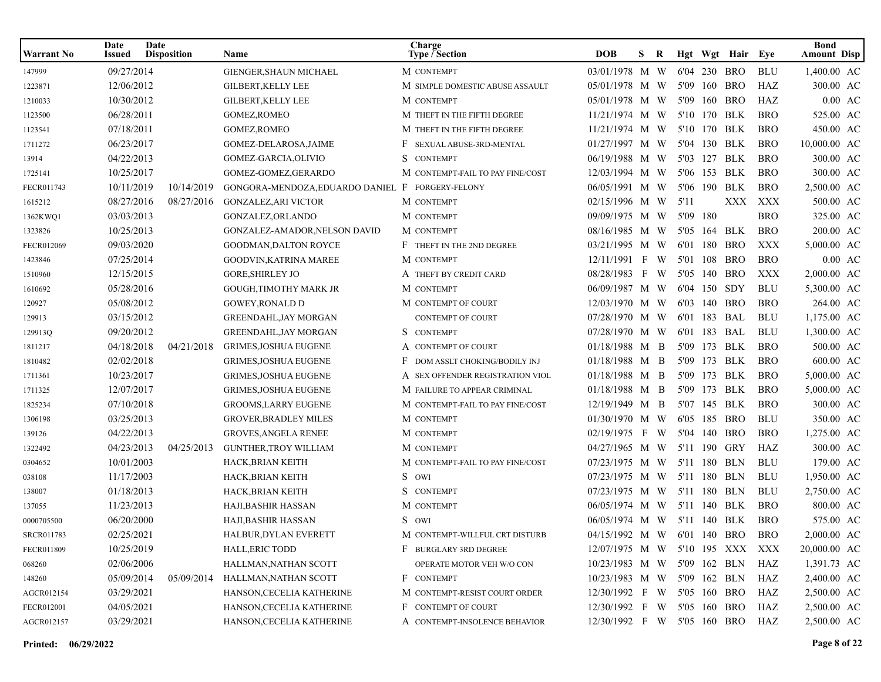| <b>Warrant No</b> | Date<br><b>Issued</b> | Date<br><b>Disposition</b> | <b>Name</b>                                      | Charge<br>Type / Section         | <b>DOB</b>                      | S   | R |          | Hgt Wgt Hair Eye |            | <b>Bond</b><br><b>Amount Disp</b> |
|-------------------|-----------------------|----------------------------|--------------------------------------------------|----------------------------------|---------------------------------|-----|---|----------|------------------|------------|-----------------------------------|
| 147999            | 09/27/2014            |                            | GIENGER, SHAUN MICHAEL                           | M CONTEMPT                       | 03/01/1978 M W                  |     |   |          | 6'04 230 BRO     | <b>BLU</b> | 1,400.00 AC                       |
| 1223871           | 12/06/2012            |                            | <b>GILBERT, KELLY LEE</b>                        | M SIMPLE DOMESTIC ABUSE ASSAULT  | 05/01/1978 M W                  |     |   |          | 5'09 160 BRO     | HAZ        | 300.00 AC                         |
| 1210033           | 10/30/2012            |                            | GILBERT, KELLY LEE                               | M CONTEMPT                       | 05/01/1978 M W                  |     |   |          | 5'09 160 BRO     | HAZ        | $0.00$ AC                         |
| 1123500           | 06/28/2011            |                            | GOMEZ, ROMEO                                     | M THEFT IN THE FIFTH DEGREE      | 11/21/1974 M W                  |     |   |          | 5'10 170 BLK     | <b>BRO</b> | 525.00 AC                         |
| 1123541           | 07/18/2011            |                            | GOMEZ, ROMEO                                     | M THEFT IN THE FIFTH DEGREE      | 11/21/1974 M W                  |     |   |          | 5'10 170 BLK     | <b>BRO</b> | 450.00 AC                         |
| 1711272           | 06/23/2017            |                            | GOMEZ-DELAROSA, JAIME                            | F SEXUAL ABUSE-3RD-MENTAL        | 01/27/1997 M W                  |     |   |          | 5'04 130 BLK     | <b>BRO</b> | 10,000.00 AC                      |
| 13914             | 04/22/2013            |                            | GOMEZ-GARCIA, OLIVIO                             | S CONTEMPT                       | 06/19/1988 M W                  |     |   |          | 5'03 127 BLK     | <b>BRO</b> | 300.00 AC                         |
| 1725141           | 10/25/2017            |                            | GOMEZ-GOMEZ, GERARDO                             | M CONTEMPT-FAIL TO PAY FINE/COST | 12/03/1994 M W                  |     |   |          | 5'06 153 BLK     | <b>BRO</b> | 300.00 AC                         |
| FECR011743        | 10/11/2019            | 10/14/2019                 | GONGORA-MENDOZA, EDUARDO DANIEL F FORGERY-FELONY |                                  | 06/05/1991 M W                  |     |   |          | 5'06 190 BLK     | <b>BRO</b> | 2,500.00 AC                       |
| 1615212           | 08/27/2016            | 08/27/2016                 | <b>GONZALEZ, ARI VICTOR</b>                      | M CONTEMPT                       | 02/15/1996 M W                  |     |   | 5'11     | XXX              | XXX        | 500.00 AC                         |
| 1362KWQ1          | 03/03/2013            |                            | GONZALEZ, ORLANDO                                | M CONTEMPT                       | 09/09/1975 M W                  |     |   | 5'09 180 |                  | <b>BRO</b> | 325.00 AC                         |
| 1323826           | 10/25/2013            |                            | GONZALEZ-AMADOR, NELSON DAVID                    | M CONTEMPT                       | 08/16/1985 M W                  |     |   |          | 5'05 164 BLK     | <b>BRO</b> | 200.00 AC                         |
| FECR012069        | 09/03/2020            |                            | <b>GOODMAN, DALTON ROYCE</b>                     | F THEFT IN THE 2ND DEGREE        | 03/21/1995 M W                  |     |   |          | 6'01 180 BRO     | <b>XXX</b> | 5,000.00 AC                       |
| 1423846           | 07/25/2014            |                            | GOODVIN, KATRINA MAREE                           | M CONTEMPT                       | 12/11/1991 F W                  |     |   |          | 5'01 108 BRO     | <b>BRO</b> | $0.00 \text{ AC}$                 |
| 1510960           | 12/15/2015            |                            | <b>GORE, SHIRLEY JO</b>                          | A THEFT BY CREDIT CARD           | 08/28/1983                      | F W |   |          | 5'05 140 BRO     | XXX        | 2,000.00 AC                       |
| 1610692           | 05/28/2016            |                            | <b>GOUGH,TIMOTHY MARK JR</b>                     | M CONTEMPT                       | 06/09/1987 M W                  |     |   |          | 6'04 150 SDY     | <b>BLU</b> | 5,300.00 AC                       |
| 120927            | 05/08/2012            |                            | <b>GOWEY, RONALD D</b>                           | M CONTEMPT OF COURT              | 12/03/1970 M W                  |     |   |          | 6'03 140 BRO     | <b>BRO</b> | 264.00 AC                         |
| 129913            | 03/15/2012            |                            | <b>GREENDAHL, JAY MORGAN</b>                     | <b>CONTEMPT OF COURT</b>         | 07/28/1970 M W                  |     |   |          | 6'01 183 BAL     | <b>BLU</b> | 1,175.00 AC                       |
| 129913Q           | 09/20/2012            |                            | <b>GREENDAHL, JAY MORGAN</b>                     | S CONTEMPT                       | 07/28/1970 M W                  |     |   |          | 6'01 183 BAL     | <b>BLU</b> | 1,300.00 AC                       |
| 1811217           | 04/18/2018            | 04/21/2018                 | <b>GRIMES, JOSHUA EUGENE</b>                     | A CONTEMPT OF COURT              | 01/18/1988 M B                  |     |   |          | 5'09 173 BLK     | <b>BRO</b> | 500.00 AC                         |
| 1810482           | 02/02/2018            |                            | <b>GRIMES, JOSHUA EUGENE</b>                     | DOM ASSLT CHOKING/BODILY INJ     | 01/18/1988 M B                  |     |   |          | 5'09 173 BLK     | <b>BRO</b> | 600.00 AC                         |
| 1711361           | 10/23/2017            |                            | <b>GRIMES, JOSHUA EUGENE</b>                     | A SEX OFFENDER REGISTRATION VIOL | 01/18/1988 M B                  |     |   |          | 5'09 173 BLK     | <b>BRO</b> | 5,000.00 AC                       |
| 1711325           | 12/07/2017            |                            | GRIMES, JOSHUA EUGENE                            | M FAILURE TO APPEAR CRIMINAL     | 01/18/1988 M B                  |     |   |          | 5'09 173 BLK     | <b>BRO</b> | 5,000.00 AC                       |
| 1825234           | 07/10/2018            |                            | GROOMS, LARRY EUGENE                             | M CONTEMPT-FAIL TO PAY FINE/COST | 12/19/1949 M B                  |     |   |          | 5'07 145 BLK     | <b>BRO</b> | 300.00 AC                         |
| 1306198           | 03/25/2013            |                            | <b>GROVER, BRADLEY MILES</b>                     | M CONTEMPT                       | 01/30/1970 M W                  |     |   |          | 6'05 185 BRO     | <b>BLU</b> | 350.00 AC                         |
| 139126            | 04/22/2013            |                            | <b>GROVES, ANGELA RENEE</b>                      | M CONTEMPT                       | 02/19/1975 F W                  |     |   |          | 5'04 140 BRO     | <b>BRO</b> | 1,275.00 AC                       |
| 1322492           | 04/23/2013            | 04/25/2013                 | <b>GUNTHER, TROY WILLIAM</b>                     | M CONTEMPT                       | 04/27/1965 M W                  |     |   |          | 5'11 190 GRY     | HAZ        | 300.00 AC                         |
| 0304652           | 10/01/2003            |                            | HACK, BRIAN KEITH                                | M CONTEMPT-FAIL TO PAY FINE/COST | 07/23/1975 M W                  |     |   |          | 5'11 180 BLN     | <b>BLU</b> | 179.00 AC                         |
| 038108            | 11/17/2003            |                            | HACK, BRIAN KEITH                                | S OWI                            | 07/23/1975 M W                  |     |   |          | 5'11 180 BLN     | <b>BLU</b> | 1,950.00 AC                       |
| 138007            | 01/18/2013            |                            | HACK,BRIAN KEITH                                 | S CONTEMPT                       | 07/23/1975 M W                  |     |   |          | 5'11 180 BLN     | <b>BLU</b> | 2,750.00 AC                       |
| 137055            | 11/23/2013            |                            | HAJI, BASHIR HASSAN                              | M CONTEMPT                       | 06/05/1974 M W                  |     |   |          | 5'11 140 BLK     | <b>BRO</b> | 800.00 AC                         |
| 0000705500        | 06/20/2000            |                            | <b>HAJI.BASHIR HASSAN</b>                        | S OWI                            | 06/05/1974 M W 5'11 140 BLK     |     |   |          |                  | <b>BRO</b> | 575.00 AC                         |
| SRCR011783        | 02/25/2021            |                            | HALBUR, DYLAN EVERETT                            | M CONTEMPT-WILLFUL CRT DISTURB   | 04/15/1992 M W 6'01 140 BRO BRO |     |   |          |                  |            | 2,000.00 AC                       |
| FECR011809        | 10/25/2019            |                            | HALL, ERIC TODD                                  | F BURGLARY 3RD DEGREE            | 12/07/1975 M W 5'10 195 XXX XXX |     |   |          |                  |            | 20,000.00 AC                      |
| 068260            | 02/06/2006            |                            | HALLMAN, NATHAN SCOTT                            | OPERATE MOTOR VEH W/O CON        | 10/23/1983 M W 5'09 162 BLN     |     |   |          |                  | HAZ        | 1,391.73 AC                       |
| 148260            | 05/09/2014            | 05/09/2014                 | HALLMAN, NATHAN SCOTT                            | F CONTEMPT                       | 10/23/1983 M W 5'09 162 BLN     |     |   |          |                  | HAZ        | 2,400.00 AC                       |
| AGCR012154        | 03/29/2021            |                            | HANSON,CECELIA KATHERINE                         | M CONTEMPT-RESIST COURT ORDER    | 12/30/1992 F W 5'05 160 BRO     |     |   |          |                  | HAZ        | 2,500.00 AC                       |
| FECR012001        | 04/05/2021            |                            | HANSON,CECELIA KATHERINE                         | F CONTEMPT OF COURT              | 12/30/1992 F W                  |     |   |          | 5'05 160 BRO     | HAZ        | 2,500.00 AC                       |
| AGCR012157        | 03/29/2021            |                            | HANSON,CECELIA KATHERINE                         | A CONTEMPT-INSOLENCE BEHAVIOR    | 12/30/1992 F W 5'05 160 BRO HAZ |     |   |          |                  |            | 2,500.00 AC                       |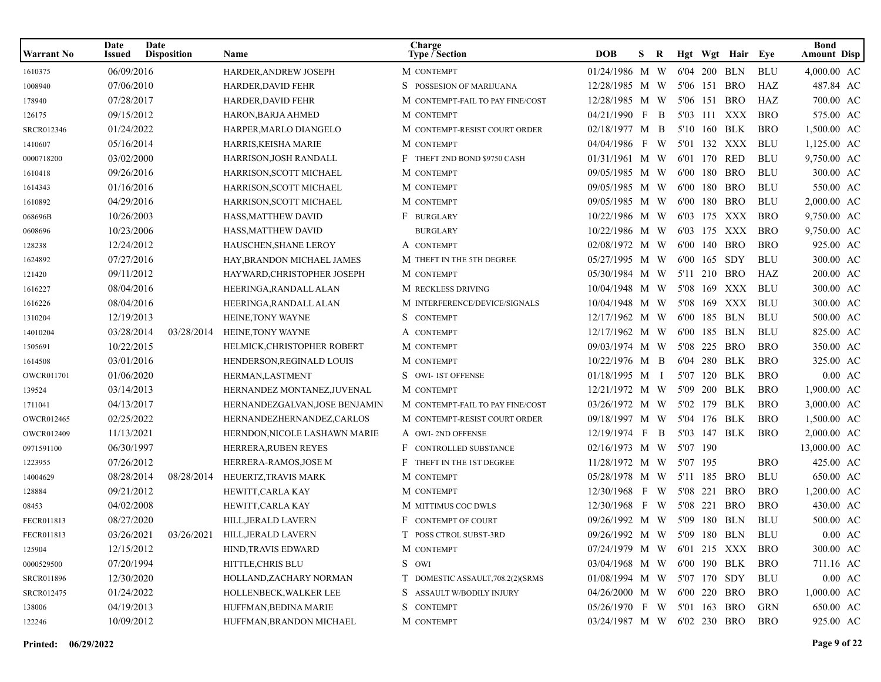| <b>Warrant No</b> | Date<br>Issued | Date<br><b>Disposition</b> | Name                                          | Charge<br><b>Type / Section</b>   | <b>DOB</b>                  | S. | R              |          |              | Hgt Wgt Hair Eye |            | <b>Bond</b><br><b>Amount Disp</b> |
|-------------------|----------------|----------------------------|-----------------------------------------------|-----------------------------------|-----------------------------|----|----------------|----------|--------------|------------------|------------|-----------------------------------|
| 1610375           | 06/09/2016     |                            | HARDER, ANDREW JOSEPH                         | M CONTEMPT                        | 01/24/1986 M W              |    |                |          | 6'04 200 BLN |                  | <b>BLU</b> | 4,000.00 AC                       |
| 1008940           | 07/06/2010     |                            | HARDER, DAVID FEHR                            | S POSSESION OF MARIJUANA          | 12/28/1985 M W              |    |                |          | 5'06 151     | <b>BRO</b>       | HAZ        | 487.84 AC                         |
| 178940            | 07/28/2017     |                            | HARDER, DAVID FEHR                            | M CONTEMPT-FAIL TO PAY FINE/COST  | 12/28/1985 M W              |    |                |          | 5'06 151     | BRO              | HAZ        | 700.00 AC                         |
| 126175            | 09/15/2012     |                            | HARON, BARJA AHMED                            | M CONTEMPT                        | 04/21/1990 F                |    | $\overline{B}$ |          |              | 5'03 111 XXX     | <b>BRO</b> | 575.00 AC                         |
| SRCR012346        | 01/24/2022     |                            | HARPER, MARLO DIANGELO                        | M CONTEMPT-RESIST COURT ORDER     | 02/18/1977 M B              |    |                |          | 5'10 160 BLK |                  | <b>BRO</b> | 1,500.00 AC                       |
| 1410607           | 05/16/2014     |                            | HARRIS,KEISHA MARIE                           | M CONTEMPT                        | 04/04/1986 F W              |    |                |          |              | 5'01 132 XXX     | BLU        | 1,125.00 AC                       |
| 0000718200        | 03/02/2000     |                            | HARRISON, JOSH RANDALL                        | F THEFT 2ND BOND \$9750 CASH      | 01/31/1961 M W              |    |                |          | 6'01 170 RED |                  | <b>BLU</b> | 9,750.00 AC                       |
| 1610418           | 09/26/2016     |                            | HARRISON, SCOTT MICHAEL                       | M CONTEMPT                        | 09/05/1985 M W              |    |                | 6'00 180 |              | <b>BRO</b>       | <b>BLU</b> | 300.00 AC                         |
| 1614343           | 01/16/2016     |                            | HARRISON, SCOTT MICHAEL                       | M CONTEMPT                        | 09/05/1985 M W              |    |                |          | 6'00 180     | <b>BRO</b>       | <b>BLU</b> | 550.00 AC                         |
| 1610892           | 04/29/2016     |                            | HARRISON, SCOTT MICHAEL                       | M CONTEMPT                        | 09/05/1985 M W              |    |                |          | 6'00 180     | <b>BRO</b>       | <b>BLU</b> | 2,000.00 AC                       |
| 068696B           | 10/26/2003     |                            | HASS, MATTHEW DAVID                           | F BURGLARY                        | 10/22/1986 M W              |    |                |          |              | 6'03 175 XXX     | <b>BRO</b> | 9,750.00 AC                       |
| 0608696           | 10/23/2006     |                            | HASS, MATTHEW DAVID                           | <b>BURGLARY</b>                   | $10/22/1986$ M W            |    |                |          |              | 6'03 175 XXX     | <b>BRO</b> | 9,750.00 AC                       |
| 128238            | 12/24/2012     |                            | <b>HAUSCHEN, SHANE LEROY</b>                  | A CONTEMPT                        | 02/08/1972 M W              |    |                |          | 6'00 140     | BRO              | <b>BRO</b> | 925.00 AC                         |
| 1624892           | 07/27/2016     |                            | HAY, BRANDON MICHAEL JAMES                    | M THEFT IN THE 5TH DEGREE         | 05/27/1995 M W              |    |                |          | 6'00 165 SDY |                  | <b>BLU</b> | 300.00 AC                         |
| 121420            | 09/11/2012     |                            | HAYWARD, CHRISTOPHER JOSEPH                   | M CONTEMPT                        | 05/30/1984 M W              |    |                |          | 5'11 210     | BRO              | HAZ        | 200.00 AC                         |
| 1616227           | 08/04/2016     |                            | HEERINGA, RANDALL ALAN                        | M RECKLESS DRIVING                | 10/04/1948 M W              |    |                |          |              | 5'08 169 XXX     | BLU        | 300.00 AC                         |
| 1616226           | 08/04/2016     |                            | HEERINGA, RANDALL ALAN                        | M INTERFERENCE/DEVICE/SIGNALS     | 10/04/1948 M W              |    |                |          |              | 5'08 169 XXX     | BLU        | 300.00 AC                         |
| 1310204           | 12/19/2013     |                            | HEINE, TONY WAYNE                             | S CONTEMPT                        | 12/17/1962 M W              |    |                |          | 6'00 185 BLN |                  | <b>BLU</b> | 500.00 AC                         |
| 14010204          | 03/28/2014     | 03/28/2014                 | HEINE, TONY WAYNE                             | A CONTEMPT                        | 12/17/1962 M W              |    |                |          | 6'00 185 BLN |                  | <b>BLU</b> | 825.00 AC                         |
| 1505691           | 10/22/2015     |                            | HELMICK, CHRISTOPHER ROBERT                   | M CONTEMPT                        | 09/03/1974 M W              |    |                | 5'08     | 225          | <b>BRO</b>       | <b>BRO</b> | 350.00 AC                         |
| 1614508           | 03/01/2016     |                            | HENDERSON, REGINALD LOUIS                     | M CONTEMPT                        | 10/22/1976 M B              |    |                | 6'04     | 280          | BLK              | <b>BRO</b> | 325.00 AC                         |
| OWCR011701        | 01/06/2020     |                            | HERMAN, LASTMENT                              | S OWI-1ST OFFENSE                 | 01/18/1995 M I              |    |                |          | 5'07 120     | BLK              | <b>BRO</b> | $0.00 \text{ AC}$                 |
| 139524            | 03/14/2013     |                            | HERNANDEZ MONTANEZ, JUVENAL                   | M CONTEMPT                        | 12/21/1972 M W              |    |                |          | 5'09 200 BLK |                  | <b>BRO</b> | 1,900.00 AC                       |
| 1711041           | 04/13/2017     |                            | HERNANDEZGALVAN, JOSE BENJAMIN                | M CONTEMPT-FAIL TO PAY FINE/COST  | 03/26/1972 M W              |    |                |          | 5'02 179 BLK |                  | <b>BRO</b> | 3,000.00 AC                       |
| <b>OWCR012465</b> | 02/25/2022     |                            | HERNANDEZHERNANDEZ, CARLOS                    | M CONTEMPT-RESIST COURT ORDER     | 09/18/1997 M W              |    |                |          | 5'04 176 BLK |                  | <b>BRO</b> | 1,500.00 AC                       |
| OWCR012409        | 11/13/2021     |                            | HERNDON, NICOLE LASHAWN MARIE                 | A OWI-2ND OFFENSE                 | 12/19/1974 F                |    | $\mathbf B$    |          | 5'03 147 BLK |                  | <b>BRO</b> | 2,000.00 AC                       |
| 0971591100        | 06/30/1997     |                            | HERRERA, RUBEN REYES                          | F<br>CONTROLLED SUBSTANCE         | 02/16/1973 M W              |    |                | 5'07 190 |              |                  |            | 13,000.00 AC                      |
| 1223955           | 07/26/2012     |                            | HERRERA-RAMOS, JOSE M                         | F<br>THEFT IN THE 1ST DEGREE      | 11/28/1972 M W              |    |                | 5'07 195 |              |                  | <b>BRO</b> | 425.00 AC                         |
| 14004629          | 08/28/2014     | 08/28/2014                 | HEUERTZ, TRAVIS MARK                          | M CONTEMPT                        | 05/28/1978 M W              |    |                |          | 5'11 185 BRO |                  | <b>BLU</b> | 650.00 AC                         |
| 128884            | 09/21/2012     |                            | HEWITT, CARLA KAY                             | M CONTEMPT                        | 12/30/1968 F W              |    |                | 5'08 221 |              | <b>BRO</b>       | <b>BRO</b> | 1,200.00 AC                       |
| 08453             | 04/02/2008     |                            | HEWITT, CARLA KAY                             | M MITTIMUS COC DWLS               | 12/30/1968 F W              |    |                | 5'08 221 |              | <b>BRO</b>       | <b>BRO</b> | 430.00 AC                         |
| FECR011813        | 08/27/2020     |                            | HILL, JERALD LAVERN                           | F CONTEMPT OF COURT               | 09/26/1992 M W              |    |                |          | 5'09 180 BLN |                  | <b>BLU</b> | 500.00 AC                         |
| FECR011813        |                |                            | 03/26/2021   03/26/2021   HILL, JERALD LAVERN | T POSS CTROL SUBST-3RD            | 09/26/1992 M W 5'09 180 BLN |    |                |          |              |                  | <b>BLU</b> | $0.00~\mathrm{AC}$                |
| 125904            | 12/15/2012     |                            | HIND, TRAVIS EDWARD                           | M CONTEMPT                        | 07/24/1979 M W              |    |                |          |              | 6'01 215 XXX BRO |            | 300.00 AC                         |
| 0000529500        | 07/20/1994     |                            | HITTLE, CHRIS BLU                             | S OWI                             | 03/04/1968 M W              |    |                |          |              | 6'00 190 BLK     | BRO        | 711.16 AC                         |
| <b>SRCR011896</b> | 12/30/2020     |                            | HOLLAND, ZACHARY NORMAN                       | T DOMESTIC ASSAULT, 708.2(2)(SRMS | 01/08/1994 M W 5'07 170 SDY |    |                |          |              |                  | BLU        | $0.00$ AC                         |
| SRCR012475        | 01/24/2022     |                            | HOLLENBECK, WALKER LEE                        | S ASSAULT W/BODILY INJURY         | 04/26/2000 M W              |    |                |          | 6'00 220 BRO |                  | <b>BRO</b> | 1,000.00 AC                       |
| 138006            | 04/19/2013     |                            | HUFFMAN, BEDINA MARIE                         | S.<br><b>CONTEMPT</b>             | 05/26/1970 F W              |    |                |          | 5'01 163 BRO |                  | <b>GRN</b> | 650.00 AC                         |
| 122246            | 10/09/2012     |                            | HUFFMAN, BRANDON MICHAEL                      | M CONTEMPT                        | 03/24/1987 M W 6'02 230 BRO |    |                |          |              |                  | BRO        | 925.00 AC                         |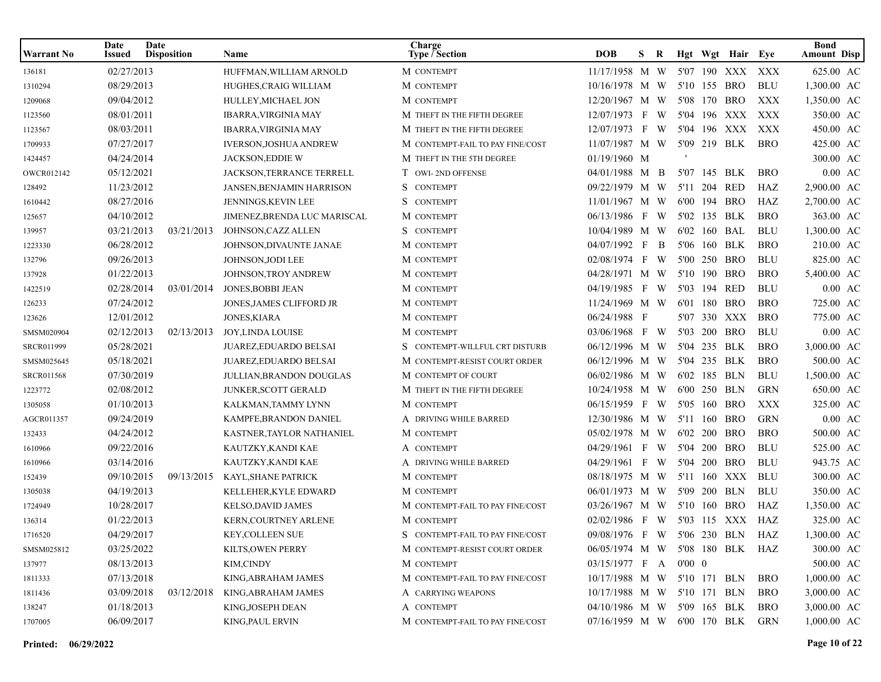| <b>Warrant No</b> | Date<br>Issued | Date<br><b>Disposition</b> | <b>Name</b>                      | Charge<br><b>Type / Section</b>  | <b>DOB</b>                      | S.  | R              |  | Hgt Wgt Hair Eye |            | <b>Bond</b><br><b>Amount Disp</b> |
|-------------------|----------------|----------------------------|----------------------------------|----------------------------------|---------------------------------|-----|----------------|--|------------------|------------|-----------------------------------|
| 136181            | 02/27/2013     |                            | HUFFMAN, WILLIAM ARNOLD          | M CONTEMPT                       | 11/17/1958 M W                  |     |                |  | 5'07 190 XXX     | XXX        | 625.00 AC                         |
| 1310294           | 08/29/2013     |                            | HUGHES, CRAIG WILLIAM            | M CONTEMPT                       | 10/16/1978 M W                  |     |                |  | 5'10 155 BRO     | <b>BLU</b> | 1,300.00 AC                       |
| 1209068           | 09/04/2012     |                            | HULLEY, MICHAEL JON              | M CONTEMPT                       | 12/20/1967 M W                  |     |                |  | 5'08 170 BRO     | XXX        | 1,350.00 AC                       |
| 1123560           | 08/01/2011     |                            | <b>IBARRA, VIRGINIA MAY</b>      | M THEFT IN THE FIFTH DEGREE      | 12/07/1973                      | F W |                |  | 5'04 196 XXX     | XXX        | 350.00 AC                         |
| 1123567           | 08/03/2011     |                            | <b>IBARRA, VIRGINIA MAY</b>      | M THEFT IN THE FIFTH DEGREE      | 12/07/1973 F W                  |     |                |  | 5'04 196 XXX XXX |            | 450.00 AC                         |
| 1709933           | 07/27/2017     |                            | <b>IVERSON, JOSHUA ANDREW</b>    | M CONTEMPT-FAIL TO PAY FINE/COST | 11/07/1987 M W                  |     |                |  | 5'09 219 BLK     | <b>BRO</b> | 425.00 AC                         |
| 1424457           | 04/24/2014     |                            | <b>JACKSON, EDDIE W</b>          | M THEFT IN THE 5TH DEGREE        | 01/19/1960 M                    |     |                |  |                  |            | 300.00 AC                         |
| OWCR012142        | 05/12/2021     |                            | JACKSON, TERRANCE TERRELL        | T OWI-2ND OFFENSE                | 04/01/1988 M B                  |     |                |  | 5'07 145 BLK     | <b>BRO</b> | $0.00 \text{ AC}$                 |
| 128492            | 11/23/2012     |                            | <b>JANSEN, BENJAMIN HARRISON</b> | S<br><b>CONTEMPT</b>             | 09/22/1979 M W                  |     |                |  | 5'11 204 RED     | HAZ        | 2,900.00 AC                       |
| 1610442           | 08/27/2016     |                            | JENNINGS, KEVIN LEE              | S<br><b>CONTEMPT</b>             | $11/01/1967$ M W                |     |                |  | 6'00 194 BRO     | HAZ        | 2,700.00 AC                       |
| 125657            | 04/10/2012     |                            | JIMENEZ, BRENDA LUC MARISCAL     | M CONTEMPT                       | 06/13/1986 F W                  |     |                |  | 5'02 135 BLK     | <b>BRO</b> | 363.00 AC                         |
| 139957            | 03/21/2013     | 03/21/2013                 | JOHNSON, CAZZ ALLEN              | S CONTEMPT                       | 10/04/1989 M W                  |     |                |  | 6'02 160 BAL     | <b>BLU</b> | 1,300.00 AC                       |
| 1223330           | 06/28/2012     |                            | JOHNSON, DIVAUNTE JANAE          | M CONTEMPT                       | 04/07/1992 F                    |     | $\overline{B}$ |  | 5'06 160 BLK     | <b>BRO</b> | 210.00 AC                         |
| 132796            | 09/26/2013     |                            | JOHNSON, JODI LEE                | M CONTEMPT                       | 02/08/1974 F W                  |     |                |  | 5'00 250 BRO     | <b>BLU</b> | 825.00 AC                         |
| 137928            | 01/22/2013     |                            | JOHNSON, TROY ANDREW             | M CONTEMPT                       | 04/28/1971 M W                  |     |                |  | 5'10 190 BRO     | <b>BRO</b> | 5,400.00 AC                       |
| 1422519           | 02/28/2014     | 03/01/2014                 | JONES, BOBBI JEAN                | M CONTEMPT                       | 04/19/1985 F W                  |     |                |  | 5'03 194 RED     | <b>BLU</b> | $0.00 \text{ AC}$                 |
| 126233            | 07/24/2012     |                            | JONES, JAMES CLIFFORD JR         | M CONTEMPT                       | 11/24/1969 M W                  |     |                |  | 6'01 180 BRO     | <b>BRO</b> | 725.00 AC                         |
| 123626            | 12/01/2012     |                            | <b>JONES, KIARA</b>              | M CONTEMPT                       | 06/24/1988 F                    |     |                |  | 5'07 330 XXX     | <b>BRO</b> | 775.00 AC                         |
| SMSM020904        | 02/12/2013     | 02/13/2013                 | <b>JOY, LINDA LOUISE</b>         | M CONTEMPT                       | 03/06/1968 F W                  |     |                |  | 5'03 200 BRO     | <b>BLU</b> | $0.00 \text{ AC}$                 |
| SRCR011999        | 05/28/2021     |                            | <b>JUAREZ,EDUARDO BELSAI</b>     | S CONTEMPT-WILLFUL CRT DISTURB   | 06/12/1996 M W                  |     |                |  | 5'04 235 BLK     | <b>BRO</b> | 3,000.00 AC                       |
| SMSM025645        | 05/18/2021     |                            | JUAREZ, EDUARDO BELSAI           | M CONTEMPT-RESIST COURT ORDER    | 06/12/1996 M W                  |     |                |  | 5'04 235 BLK     | <b>BRO</b> | 500.00 AC                         |
| <b>SRCR011568</b> | 07/30/2019     |                            | <b>JULLIAN, BRANDON DOUGLAS</b>  | M CONTEMPT OF COURT              | 06/02/1986 M W                  |     |                |  | 6'02 185 BLN     | <b>BLU</b> | 1,500.00 AC                       |
| 1223772           | 02/08/2012     |                            | <b>JUNKER, SCOTT GERALD</b>      | M THEFT IN THE FIFTH DEGREE      | 10/24/1958 M W                  |     |                |  | 6'00 250 BLN     | <b>GRN</b> | 650.00 AC                         |
| 1305058           | 01/10/2013     |                            | KALKMAN,TAMMY LYNN               | M CONTEMPT                       | 06/15/1959 F W                  |     |                |  | 5'05 160 BRO     | XXX        | 325.00 AC                         |
| AGCR011357        | 09/24/2019     |                            | KAMPFE, BRANDON DANIEL           | A DRIVING WHILE BARRED           | 12/30/1986 M W                  |     |                |  | 5'11 160 BRO     | <b>GRN</b> | $0.00$ AC                         |
| 132433            | 04/24/2012     |                            | KASTNER, TAYLOR NATHANIEL        | M CONTEMPT                       | 05/02/1978 M W                  |     |                |  | 6'02 200 BRO     | <b>BRO</b> | 500.00 AC                         |
| 1610966           | 09/22/2016     |                            | KAUTZKY,KANDI KAE                | A CONTEMPT                       | 04/29/1961 F W                  |     |                |  | 5'04 200 BRO     | <b>BLU</b> | 525.00 AC                         |
| 1610966           | 03/14/2016     |                            | KAUTZKY, KANDI KAE               | A DRIVING WHILE BARRED           | 04/29/1961 F                    |     | W              |  | 5'04 200 BRO     | <b>BLU</b> | 943.75 AC                         |
| 152439            | 09/10/2015     | 09/13/2015                 | KAYL, SHANE PATRICK              | M CONTEMPT                       | 08/18/1975 M W                  |     |                |  | 5'11 160 XXX     | BLU        | 300.00 AC                         |
| 1305038           | 04/19/2013     |                            | KELLEHER,KYLE EDWARD             | M CONTEMPT                       | 06/01/1973 M W                  |     |                |  | 5'09 200 BLN     | <b>BLU</b> | 350.00 AC                         |
| 1724949           | 10/28/2017     |                            | KELSO, DAVID JAMES               | M CONTEMPT-FAIL TO PAY FINE/COST | 03/26/1967 M W                  |     |                |  | 5'10 160 BRO     | HAZ        | 1,350.00 AC                       |
| 136314            | 01/22/2013     |                            | KERN, COURTNEY ARLENE            | M CONTEMPT                       | 02/02/1986 F W                  |     |                |  | 5'03 115 XXX HAZ |            | 325.00 AC                         |
| 1716520           | 04/29/2017     |                            | KEY, COLLEEN SUE                 | S CONTEMPT-FAIL TO PAY FINE/COST | 09/08/1976 F W 5'06 230 BLN HAZ |     |                |  |                  |            | 1,300.00 AC                       |
| SMSM025812        | 03/25/2022     |                            | KILTS, OWEN PERRY                | M CONTEMPT-RESIST COURT ORDER    | 06/05/1974 M W 5'08 180 BLK HAZ |     |                |  |                  |            | 300.00 AC                         |
| 137977            | 08/13/2013     |                            | KIM,CINDY                        | M CONTEMPT                       | 03/15/1977 F A 0'00 0           |     |                |  |                  |            | 500.00 AC                         |
| 1811333           | 07/13/2018     |                            | KING, ABRAHAM JAMES              | M CONTEMPT-FAIL TO PAY FINE/COST | 10/17/1988 M W 5'10 171 BLN     |     |                |  |                  | <b>BRO</b> | 1,000.00 AC                       |
| 1811436           | 03/09/2018     | 03/12/2018                 | KING,ABRAHAM JAMES               | A CARRYING WEAPONS               | 10/17/1988 M W 5'10 171 BLN     |     |                |  |                  | <b>BRO</b> | 3,000.00 AC                       |
| 138247            | 01/18/2013     |                            | KING,JOSEPH DEAN                 | A CONTEMPT                       | 04/10/1986 M W 5'09 165 BLK     |     |                |  |                  | BRO        | 3,000.00 AC                       |
| 1707005           | 06/09/2017     |                            | KING, PAUL ERVIN                 | M CONTEMPT-FAIL TO PAY FINE/COST | 07/16/1959 M W 6'00 170 BLK GRN |     |                |  |                  |            | $1,000.00$ AC                     |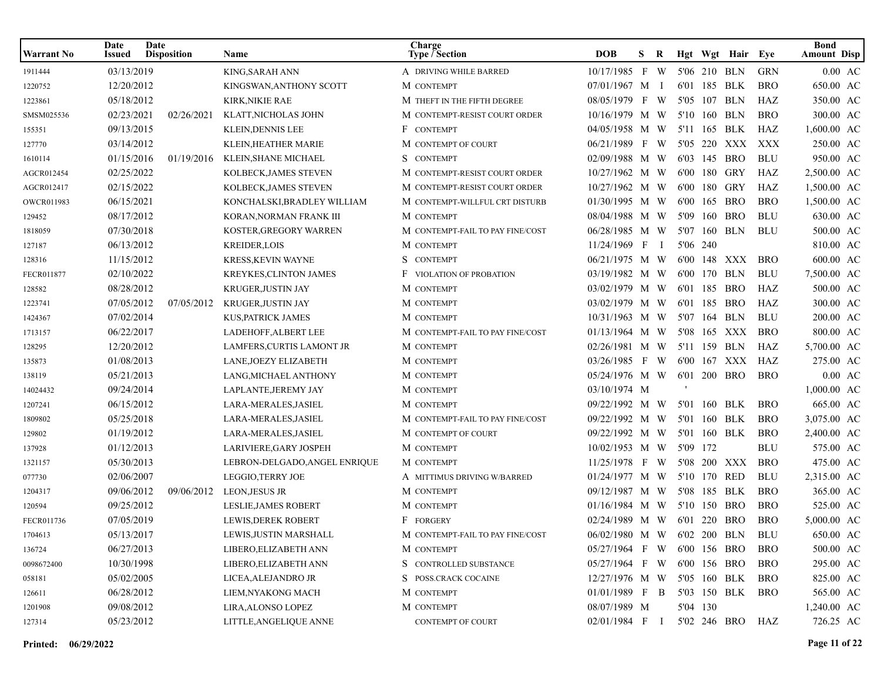| Warrant No | Date<br>Issued | Date<br><b>Disposition</b> | Name                          | Charge<br><b>Type / Section</b>  | <b>DOB</b>                      | S. | R   |          |          | Hgt Wgt Hair Eye |            | <b>Bond</b><br><b>Amount Disp</b> |
|------------|----------------|----------------------------|-------------------------------|----------------------------------|---------------------------------|----|-----|----------|----------|------------------|------------|-----------------------------------|
| 1911444    | 03/13/2019     |                            | KING, SARAH ANN               | A DRIVING WHILE BARRED           | 10/17/1985 F W                  |    |     |          |          | 5'06 210 BLN     | <b>GRN</b> | $0.00$ AC                         |
| 1220752    | 12/20/2012     |                            | KINGSWAN, ANTHONY SCOTT       | M CONTEMPT                       | 07/01/1967 M I                  |    |     |          |          | 6'01 185 BLK     | <b>BRO</b> | 650.00 AC                         |
| 1223861    | 05/18/2012     |                            | KIRK, NIKIE RAE               | M THEFT IN THE FIFTH DEGREE      | 08/05/1979 F                    |    | W.  |          |          | 5'05 107 BLN     | HAZ        | 350.00 AC                         |
| SMSM025536 | 02/23/2021     | 02/26/2021                 | KLATT, NICHOLAS JOHN          | M CONTEMPT-RESIST COURT ORDER    | 10/16/1979 M W                  |    |     |          |          | 5'10 160 BLN     | <b>BRO</b> | 300.00 AC                         |
| 155351     | 09/13/2015     |                            | KLEIN, DENNIS LEE             | F CONTEMPT                       | 04/05/1958 M W                  |    |     |          |          | 5'11 165 BLK     | HAZ        | 1,600.00 AC                       |
| 127770     | 03/14/2012     |                            | KLEIN, HEATHER MARIE          | M CONTEMPT OF COURT              | 06/21/1989 F W                  |    |     |          |          | 5'05 220 XXX     | XXX        | 250.00 AC                         |
| 1610114    | 01/15/2016     | 01/19/2016                 | KLEIN, SHANE MICHAEL          | S CONTEMPT                       | 02/09/1988 M W                  |    |     |          |          | 6'03 145 BRO     | <b>BLU</b> | 950.00 AC                         |
| AGCR012454 | 02/25/2022     |                            | KOLBECK, JAMES STEVEN         | M CONTEMPT-RESIST COURT ORDER    | 10/27/1962 M W                  |    |     |          |          | 6'00 180 GRY     | HAZ        | 2,500.00 AC                       |
| AGCR012417 | 02/15/2022     |                            | KOLBECK, JAMES STEVEN         | M CONTEMPT-RESIST COURT ORDER    | 10/27/1962 M W                  |    |     |          |          | 6'00 180 GRY     | HAZ        | 1,500.00 AC                       |
| OWCR011983 | 06/15/2021     |                            | KONCHALSKI, BRADLEY WILLIAM   | M CONTEMPT-WILLFUL CRT DISTURB   | 01/30/1995 M W                  |    |     |          |          | 6'00 165 BRO     | <b>BRO</b> | 1,500.00 AC                       |
| 129452     | 08/17/2012     |                            | KORAN, NORMAN FRANK III       | M CONTEMPT                       | 08/04/1988 M W                  |    |     |          |          | 5'09 160 BRO     | <b>BLU</b> | 630.00 AC                         |
| 1818059    | 07/30/2018     |                            | KOSTER, GREGORY WARREN        | M CONTEMPT-FAIL TO PAY FINE/COST | 06/28/1985 M W                  |    |     |          |          | 5'07 160 BLN     | <b>BLU</b> | 500.00 AC                         |
| 127187     | 06/13/2012     |                            | <b>KREIDER,LOIS</b>           | M CONTEMPT                       | 11/24/1969 F                    |    | - 1 | 5'06 240 |          |                  |            | 810.00 AC                         |
| 128316     | 11/15/2012     |                            | <b>KRESS, KEVIN WAYNE</b>     | S CONTEMPT                       | 06/21/1975 M W                  |    |     |          |          | 6'00 148 XXX     | <b>BRO</b> | 600.00 AC                         |
| FECR011877 | 02/10/2022     |                            | <b>KREYKES, CLINTON JAMES</b> | <b>F</b> VIOLATION OF PROBATION  | 03/19/1982 M W                  |    |     |          |          | 6'00 170 BLN     | <b>BLU</b> | 7,500.00 AC                       |
| 128582     | 08/28/2012     |                            | KRUGER, JUSTIN JAY            | M CONTEMPT                       | 03/02/1979 M W                  |    |     |          |          | 6'01 185 BRO     | HAZ        | 500.00 AC                         |
| 1223741    | 07/05/2012     | 07/05/2012                 | KRUGER, JUSTIN JAY            | M CONTEMPT                       | 03/02/1979 M W                  |    |     |          |          | 6'01 185 BRO     | HAZ        | 300.00 AC                         |
| 1424367    | 07/02/2014     |                            | <b>KUS, PATRICK JAMES</b>     | M CONTEMPT                       | 10/31/1963 M W                  |    |     |          |          | 5'07 164 BLN     | <b>BLU</b> | 200.00 AC                         |
| 1713157    | 06/22/2017     |                            | LADEHOFF, ALBERT LEE          | M CONTEMPT-FAIL TO PAY FINE/COST | 01/13/1964 M W                  |    |     |          |          | 5'08 165 XXX     | <b>BRO</b> | 800.00 AC                         |
| 128295     | 12/20/2012     |                            | LAMFERS, CURTIS LAMONT JR     | M CONTEMPT                       | 02/26/1981 M W                  |    |     |          |          | 5'11 159 BLN     | HAZ        | 5,700.00 AC                       |
| 135873     | 01/08/2013     |                            | LANE, JOEZY ELIZABETH         | M CONTEMPT                       | 03/26/1985 F W                  |    |     |          |          | 6'00 167 XXX     | HAZ        | 275.00 AC                         |
| 138119     | 05/21/2013     |                            | LANG, MICHAEL ANTHONY         | M CONTEMPT                       | 05/24/1976 M W                  |    |     |          |          | 6'01 200 BRO     | <b>BRO</b> | $0.00 \text{ AC}$                 |
| 14024432   | 09/24/2014     |                            | LAPLANTE, JEREMY JAY          | M CONTEMPT                       | 03/10/1974 M                    |    |     |          |          |                  |            | 1,000.00 AC                       |
| 1207241    | 06/15/2012     |                            | LARA-MERALES, JASIEL          | M CONTEMPT                       | 09/22/1992 M W 5'01 160 BLK     |    |     |          |          |                  | <b>BRO</b> | 665.00 AC                         |
| 1809802    | 05/25/2018     |                            | LARA-MERALES, JASIEL          | M CONTEMPT-FAIL TO PAY FINE/COST | 09/22/1992 M W                  |    |     |          |          | 5'01 160 BLK     | <b>BRO</b> | 3,075.00 AC                       |
| 129802     | 01/19/2012     |                            | LARA-MERALES, JASIEL          | M CONTEMPT OF COURT              | 09/22/1992 M W                  |    |     |          |          | 5'01 160 BLK     | <b>BRO</b> | 2,400.00 AC                       |
| 137928     | 01/12/2013     |                            | LARIVIERE, GARY JOSPEH        | M CONTEMPT                       | 10/02/1953 M W                  |    |     | 5'09 172 |          |                  | <b>BLU</b> | 575.00 AC                         |
| 1321157    | 05/30/2013     |                            | LEBRON-DELGADO, ANGEL ENRIQUE | M CONTEMPT                       | 11/25/1978 F W                  |    |     |          |          | 5'08 200 XXX     | <b>BRO</b> | 475.00 AC                         |
| 077730     | 02/06/2007     |                            | LEGGIO, TERRY JOE             | A MITTIMUS DRIVING W/BARRED      | 01/24/1977 M W                  |    |     |          |          | 5'10 170 RED     | <b>BLU</b> | 2,315.00 AC                       |
| 1204317    | 09/06/2012     | 09/06/2012                 | <b>LEON, JESUS JR</b>         | M CONTEMPT                       | 09/12/1987 M W                  |    |     |          |          | 5'08 185 BLK     | <b>BRO</b> | 365.00 AC                         |
| 120594     | 09/25/2012     |                            | LESLIE, JAMES ROBERT          | M CONTEMPT                       | 01/16/1984 M W                  |    |     |          |          | 5'10 150 BRO     | <b>BRO</b> | 525.00 AC                         |
| FECR011736 | 07/05/2019     |                            | <b>LEWIS, DEREK ROBERT</b>    | F FORGERY                        | 02/24/1989 M W                  |    |     |          |          | 6'01 220 BRO     | <b>BRO</b> | 5,000.00 AC                       |
| 1704613    | 05/13/2017     |                            | LEWIS, JUSTIN MARSHALL        | M CONTEMPT-FAIL TO PAY FINE/COST | 06/02/1980 M W 6'02 200 BLN BLU |    |     |          |          |                  |            | 650.00 AC                         |
| 136724     | 06/27/2013     |                            | LIBERO, ELIZABETH ANN         | M CONTEMPT                       | 05/27/1964 F W 6'00 156 BRO     |    |     |          |          |                  | <b>BRO</b> | 500.00 AC                         |
| 0098672400 | 10/30/1998     |                            | LIBERO, ELIZABETH ANN         | S CONTROLLED SUBSTANCE           | 05/27/1964 F W 6'00 156 BRO     |    |     |          |          |                  | <b>BRO</b> | 295.00 AC                         |
| 058181     | 05/02/2005     |                            | LICEA, ALEJANDRO JR           | S POSS.CRACK COCAINE             | 12/27/1976 M W 5'05 160 BLK     |    |     |          |          |                  | <b>BRO</b> | 825.00 AC                         |
| 126611     | 06/28/2012     |                            | LIEM,NYAKONG MACH             | M CONTEMPT                       | $01/01/1989$ F B                |    |     |          |          | 5'03 150 BLK     | BRO        | 565.00 AC                         |
| 1201908    | 09/08/2012     |                            | LIRA, ALONSO LOPEZ            | M CONTEMPT                       | 08/07/1989 M                    |    |     |          | 5'04 130 |                  |            | 1,240.00 AC                       |
| 127314     | 05/23/2012     |                            | LITTLE, ANGELIQUE ANNE        | <b>CONTEMPT OF COURT</b>         | 02/01/1984 F I                  |    |     |          |          | 5'02 246 BRO     | HAZ        | 726.25 AC                         |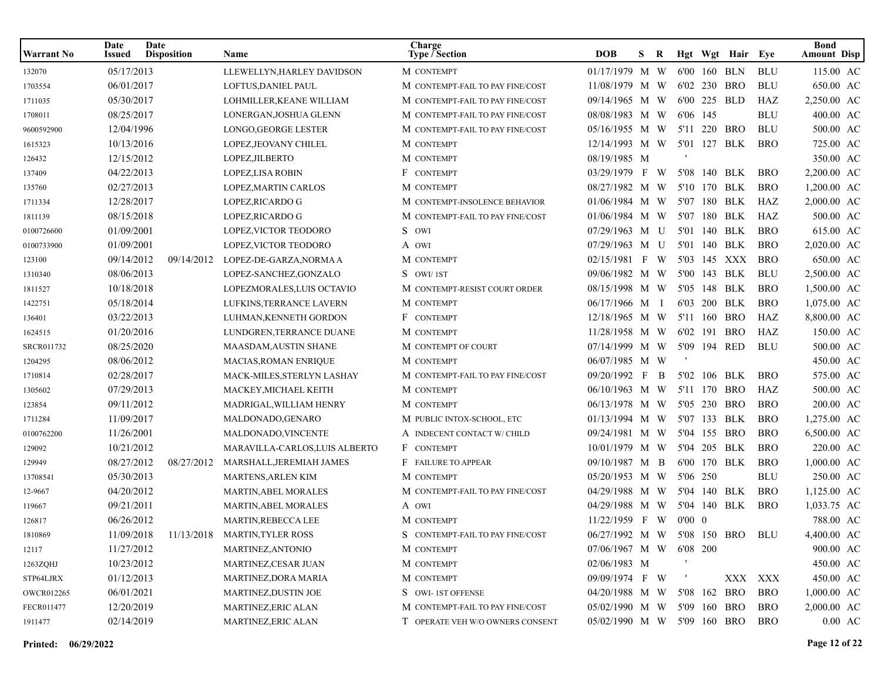| <b>Warrant No</b> | Date<br>Issued | Date<br><b>Disposition</b> | <b>Name</b>                                | Charge<br><b>Type / Section</b>  | <b>DOB</b>                      | S.           | R            |                |              | Hgt Wgt Hair Eye |            | <b>Bond</b><br><b>Amount Disp</b> |
|-------------------|----------------|----------------------------|--------------------------------------------|----------------------------------|---------------------------------|--------------|--------------|----------------|--------------|------------------|------------|-----------------------------------|
| 132070            | 05/17/2013     |                            | LLEWELLYN, HARLEY DAVIDSON                 | M CONTEMPT                       | 01/17/1979 M W                  |              |              |                | 6'00 160 BLN |                  | <b>BLU</b> | 115.00 AC                         |
| 1703554           | 06/01/2017     |                            | LOFTUS, DANIEL PAUL                        | M CONTEMPT-FAIL TO PAY FINE/COST | 11/08/1979 M W                  |              |              |                | 6'02 230 BRO |                  | <b>BLU</b> | 650.00 AC                         |
| 1711035           | 05/30/2017     |                            | LOHMILLER, KEANE WILLIAM                   | M CONTEMPT-FAIL TO PAY FINE/COST | 09/14/1965 M W                  |              |              |                | 6'00 225 BLD |                  | HAZ        | 2,250.00 AC                       |
| 1708011           | 08/25/2017     |                            | LONERGAN, JOSHUA GLENN                     | M CONTEMPT-FAIL TO PAY FINE/COST | 08/08/1983 M W                  |              |              | 6'06 145       |              |                  | <b>BLU</b> | 400.00 AC                         |
| 9600592900        | 12/04/1996     |                            | LONGO, GEORGE LESTER                       | M CONTEMPT-FAIL TO PAY FINE/COST | 05/16/1955 M W 5'11 220 BRO     |              |              |                |              |                  | <b>BLU</b> | 500.00 AC                         |
| 1615323           | 10/13/2016     |                            | LOPEZ, JEOVANY CHILEL                      | M CONTEMPT                       | 12/14/1993 M W                  |              |              |                |              | 5'01 127 BLK     | <b>BRO</b> | 725.00 AC                         |
| 126432            | 12/15/2012     |                            | LOPEZ, JILBERTO                            | M CONTEMPT                       | 08/19/1985 M                    |              |              |                |              |                  |            | 350.00 AC                         |
| 137409            | 04/22/2013     |                            | LOPEZ,LISA ROBIN                           | F CONTEMPT                       | 03/29/1979 F W                  |              |              |                | 5'08 140 BLK |                  | <b>BRO</b> | 2,200.00 AC                       |
| 135760            | 02/27/2013     |                            | LOPEZ, MARTIN CARLOS                       | M CONTEMPT                       | 08/27/1982 M W                  |              |              |                | 5'10 170 BLK |                  | <b>BRO</b> | 1,200.00 AC                       |
| 1711334           | 12/28/2017     |                            | LOPEZ, RICARDO G                           | M CONTEMPT-INSOLENCE BEHAVIOR    | 01/06/1984 M W                  |              |              |                | 5'07 180 BLK |                  | HAZ        | 2,000.00 AC                       |
| 1811139           | 08/15/2018     |                            | LOPEZ, RICARDO G                           | M CONTEMPT-FAIL TO PAY FINE/COST | 01/06/1984 M W                  |              |              |                | 5'07 180 BLK |                  | HAZ        | 500.00 AC                         |
| 0100726600        | 01/09/2001     |                            | LOPEZ, VICTOR TEODORO                      | S OWI                            | 07/29/1963 M U                  |              |              |                |              | 5'01 140 BLK     | <b>BRO</b> | 615.00 AC                         |
| 0100733900        | 01/09/2001     |                            | LOPEZ, VICTOR TEODORO                      | A OWI                            | 07/29/1963 M U                  |              |              |                | 5'01 140 BLK |                  | <b>BRO</b> | 2,020.00 AC                       |
| 123100            | 09/14/2012     | 09/14/2012                 | LOPEZ-DE-GARZA, NORMA A                    | M CONTEMPT                       | 02/15/1981 F W                  |              |              |                |              | 5'03 145 XXX     | <b>BRO</b> | 650.00 AC                         |
| 1310340           | 08/06/2013     |                            | LOPEZ-SANCHEZ, GONZALO                     | S OWI/1ST                        | 09/06/1982 M W                  |              |              |                |              | 5'00 143 BLK     | <b>BLU</b> | 2,500.00 AC                       |
| 1811527           | 10/18/2018     |                            | LOPEZMORALES, LUIS OCTAVIO                 | M CONTEMPT-RESIST COURT ORDER    | 08/15/1998 M W                  |              |              |                | 5'05 148 BLK |                  | <b>BRO</b> | 1,500.00 AC                       |
| 1422751           | 05/18/2014     |                            | LUFKINS, TERRANCE LAVERN                   | M CONTEMPT                       | 06/17/1966 M I                  |              |              |                | 6'03 200 BLK |                  | <b>BRO</b> | 1,075.00 AC                       |
| 136401            | 03/22/2013     |                            | LUHMAN, KENNETH GORDON                     | F CONTEMPT                       | 12/18/1965 M W                  |              |              |                | 5'11 160 BRO |                  | HAZ        | 8,800.00 AC                       |
| 1624515           | 01/20/2016     |                            | LUNDGREN, TERRANCE DUANE                   | M CONTEMPT                       | 11/28/1958 M W                  |              |              |                | 6'02 191 BRO |                  | HAZ        | 150.00 AC                         |
| SRCR011732        | 08/25/2020     |                            | <b>MAASDAM, AUSTIN SHANE</b>               | M CONTEMPT OF COURT              | 07/14/1999 M W                  |              |              |                | 5'09 194 RED |                  | <b>BLU</b> | 500.00 AC                         |
| 1204295           | 08/06/2012     |                            | <b>MACIAS, ROMAN ENRIQUE</b>               | M CONTEMPT                       | 06/07/1985 M W                  |              |              |                |              |                  |            | 450.00 AC                         |
| 1710814           | 02/28/2017     |                            | MACK-MILES, STERLYN LASHAY                 | M CONTEMPT-FAIL TO PAY FINE/COST | 09/20/1992                      | $\mathbf{F}$ | $\mathbf{B}$ |                | 5'02 106 BLK |                  | <b>BRO</b> | 575.00 AC                         |
| 1305602           | 07/29/2013     |                            | MACKEY, MICHAEL KEITH                      | M CONTEMPT                       | 06/10/1963 M W                  |              |              |                |              | 5'11 170 BRO     | HAZ        | 500.00 AC                         |
| 123854            | 09/11/2012     |                            | MADRIGAL, WILLIAM HENRY                    | M CONTEMPT                       | 06/13/1978 M W                  |              |              |                | 5'05 230 BRO |                  | <b>BRO</b> | 200.00 AC                         |
| 1711284           | 11/09/2017     |                            | MALDONADO, GENARO                          | M PUBLIC INTOX-SCHOOL, ETC       | 01/13/1994 M W                  |              |              |                | 5'07 133 BLK |                  | <b>BRO</b> | 1,275.00 AC                       |
| 0100762200        | 11/26/2001     |                            | MALDONADO, VINCENTE                        | A INDECENT CONTACT W/ CHILD      | 09/24/1981 M W                  |              |              |                | 5'04 155 BRO |                  | <b>BRO</b> | 6,500.00 AC                       |
| 129092            | 10/21/2012     |                            | MARAVILLA-CARLOS, LUIS ALBERTO             | F CONTEMPT                       | 10/01/1979 M W                  |              |              |                | 5'04 205 BLK |                  | <b>BRO</b> | 220.00 AC                         |
| 129949            | 08/27/2012     | 08/27/2012                 | MARSHALL, JEREMIAH JAMES                   | F FAILURE TO APPEAR              | 09/10/1987 M B                  |              |              |                | 6'00 170 BLK |                  | <b>BRO</b> | 1,000.00 AC                       |
| 13708541          | 05/30/2013     |                            | MARTENS, ARLEN KIM                         | M CONTEMPT                       | 05/20/1953 M W                  |              |              | 5'06 250       |              |                  | <b>BLU</b> | 250.00 AC                         |
| 12-9667           | 04/20/2012     |                            | <b>MARTIN, ABEL MORALES</b>                | M CONTEMPT-FAIL TO PAY FINE/COST | 04/29/1988 M W                  |              |              |                |              | 5'04 140 BLK     | <b>BRO</b> | 1,125.00 AC                       |
| 119667            | 09/21/2011     |                            | <b>MARTIN, ABEL MORALES</b>                | A OWI                            | 04/29/1988 M W                  |              |              |                | 5'04 140 BLK |                  | <b>BRO</b> | 1,033.75 AC                       |
| 126817            | 06/26/2012     |                            | MARTIN, REBECCA LEE                        | M CONTEMPT                       | 11/22/1959 F W                  |              |              | $0'00 \quad 0$ |              |                  |            | 788.00 AC                         |
| 1810869           |                |                            | 11/09/2018  11/13/2018  MARTIN, TYLER ROSS | S CONTEMPT-FAIL TO PAY FINE/COST | 06/27/1992 M W 5'08 150 BRO BLU |              |              |                |              |                  |            | 4,400.00 AC                       |
| 12117             | 11/27/2012     |                            | MARTINEZ, ANTONIO                          | M CONTEMPT                       | 07/06/1967 M W                  |              |              | 6'08 200       |              |                  |            | 900.00 AC                         |
| 1263ZQHJ          | 10/23/2012     |                            | MARTINEZ,CESAR JUAN                        | M CONTEMPT                       | 02/06/1983 M                    |              |              |                |              |                  |            | 450.00 AC                         |
| STP64LJRX         | 01/12/2013     |                            | MARTINEZ, DORA MARIA                       | M CONTEMPT                       | 09/09/1974 F W                  |              |              |                |              | XXX XXX          |            | 450.00 AC                         |
| OWCR012265        | 06/01/2021     |                            | <b>MARTINEZ, DUSTIN JOE</b>                | S OWI-1ST OFFENSE                | 04/20/1988 M W                  |              |              |                | 5'08 162 BRO |                  | <b>BRO</b> | 1,000.00 AC                       |
| FECR011477        | 12/20/2019     |                            | <b>MARTINEZ, ERIC ALAN</b>                 | M CONTEMPT-FAIL TO PAY FINE/COST | 05/02/1990 M W                  |              |              |                |              | 5'09 160 BRO     | <b>BRO</b> | 2,000.00 AC                       |
| 1911477           | 02/14/2019     |                            | <b>MARTINEZ, ERIC ALAN</b>                 | T OPERATE VEH W/O OWNERS CONSENT | 05/02/1990 M W 5'09 160 BRO     |              |              |                |              |                  | <b>BRO</b> | $0.00\;\;{\rm AC}$                |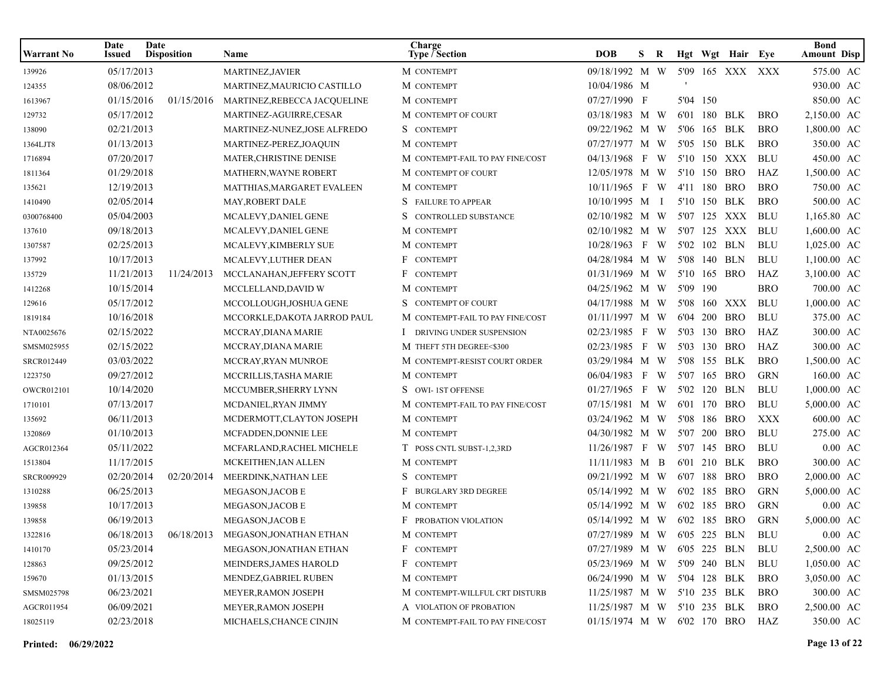| Warrant No | Date<br>Issued | Date<br><b>Disposition</b> | Name                                              | Charge<br><b>Type / Section</b>  | <b>DOB</b>                      | S.  | R |          |              | Hgt Wgt Hair Eye |            | <b>Bond</b><br><b>Amount Disp</b> |
|------------|----------------|----------------------------|---------------------------------------------------|----------------------------------|---------------------------------|-----|---|----------|--------------|------------------|------------|-----------------------------------|
| 139926     | 05/17/2013     |                            | <b>MARTINEZ, JAVIER</b>                           | M CONTEMPT                       | 09/18/1992 M W                  |     |   |          |              | 5'09 165 XXX XXX |            | 575.00 AC                         |
| 124355     | 08/06/2012     |                            | MARTINEZ, MAURICIO CASTILLO                       | M CONTEMPT                       | 10/04/1986 M                    |     |   |          |              |                  |            | 930.00 AC                         |
| 1613967    | 01/15/2016     | 01/15/2016                 | MARTINEZ, REBECCA JACQUELINE                      | M CONTEMPT                       | 07/27/1990 F                    |     |   |          | 5'04 150     |                  |            | 850.00 AC                         |
| 129732     | 05/17/2012     |                            | MARTINEZ-AGUIRRE,CESAR                            | M CONTEMPT OF COURT              | 03/18/1983 M W                  |     |   |          |              | 6'01 180 BLK     | <b>BRO</b> | 2,150.00 AC                       |
| 138090     | 02/21/2013     |                            | MARTINEZ-NUNEZ, JOSE ALFREDO                      | S CONTEMPT                       | 09/22/1962 M W                  |     |   |          |              | 5'06 165 BLK     | <b>BRO</b> | 1,800.00 AC                       |
| 1364LJT8   | 01/13/2013     |                            | MARTINEZ-PEREZ, JOAQUIN                           | M CONTEMPT                       | 07/27/1977 M W                  |     |   |          |              | 5'05 150 BLK     | <b>BRO</b> | 350.00 AC                         |
| 1716894    | 07/20/2017     |                            | MATER, CHRISTINE DENISE                           | M CONTEMPT-FAIL TO PAY FINE/COST | 04/13/1968 F                    |     | W |          |              | 5'10 150 XXX     | <b>BLU</b> | 450.00 AC                         |
| 1811364    | 01/29/2018     |                            | <b>MATHERN, WAYNE ROBERT</b>                      | M CONTEMPT OF COURT              | 12/05/1978 M W                  |     |   |          |              | 5'10 150 BRO     | HAZ        | 1,500.00 AC                       |
| 135621     | 12/19/2013     |                            | MATTHIAS, MARGARET EVALEEN                        | M CONTEMPT                       | 10/11/1965 F W                  |     |   |          |              | 4'11 180 BRO     | <b>BRO</b> | 750.00 AC                         |
| 1410490    | 02/05/2014     |                            | MAY, ROBERT DALE                                  | S FAILURE TO APPEAR              | 10/10/1995 M I                  |     |   |          |              | 5'10 150 BLK     | <b>BRO</b> | 500.00 AC                         |
| 0300768400 | 05/04/2003     |                            | MCALEVY, DANIEL GENE                              | S CONTROLLED SUBSTANCE           | 02/10/1982 M W                  |     |   |          |              | 5'07 125 XXX     | <b>BLU</b> | 1,165.80 AC                       |
| 137610     | 09/18/2013     |                            | MCALEVY, DANIEL GENE                              | M CONTEMPT                       | 02/10/1982 M W                  |     |   |          |              | 5'07 125 XXX     | <b>BLU</b> | 1,600.00 AC                       |
| 1307587    | 02/25/2013     |                            | MCALEVY, KIMBERLY SUE                             | M CONTEMPT                       | 10/28/1963 F W                  |     |   |          |              | 5'02 102 BLN     | <b>BLU</b> | 1,025.00 AC                       |
| 137992     | 10/17/2013     |                            | MCALEVY, LUTHER DEAN                              | F CONTEMPT                       | 04/28/1984 M W                  |     |   |          | 5'08 140 BLN |                  | <b>BLU</b> | 1,100.00 AC                       |
| 135729     | 11/21/2013     | 11/24/2013                 | MCCLANAHAN, JEFFERY SCOTT                         | F CONTEMPT                       | 01/31/1969 M W                  |     |   |          |              | 5'10 165 BRO     | HAZ        | 3,100.00 AC                       |
| 1412268    | 10/15/2014     |                            | MCCLELLAND, DAVID W                               | M CONTEMPT                       | 04/25/1962 M W                  |     |   | 5'09 190 |              |                  | <b>BRO</b> | 700.00 AC                         |
| 129616     | 05/17/2012     |                            | MCCOLLOUGH, JOSHUA GENE                           | S CONTEMPT OF COURT              | 04/17/1988 M W                  |     |   |          |              | 5'08 160 XXX     | <b>BLU</b> | 1,000.00 AC                       |
| 1819184    | 10/16/2018     |                            | MCCORKLE, DAKOTA JARROD PAUL                      | M CONTEMPT-FAIL TO PAY FINE/COST | 01/11/1997 M W                  |     |   |          |              | 6'04 200 BRO     | <b>BLU</b> | 375.00 AC                         |
| NTA0025676 | 02/15/2022     |                            | MCCRAY.DIANA MARIE                                | DRIVING UNDER SUSPENSION         | 02/23/1985 F W                  |     |   |          |              | 5'03 130 BRO     | HAZ        | 300.00 AC                         |
| SMSM025955 | 02/15/2022     |                            | MCCRAY, DIANA MARIE                               | M THEFT 5TH DEGREE<\$300         | 02/23/1985 F                    |     | W |          |              | 5'03 130 BRO     | HAZ        | 300.00 AC                         |
| SRCR012449 | 03/03/2022     |                            | MCCRAY, RYAN MUNROE                               | M CONTEMPT-RESIST COURT ORDER    | 03/29/1984 M W                  |     |   |          |              | 5'08 155 BLK     | <b>BRO</b> | 1,500.00 AC                       |
| 1223750    | 09/27/2012     |                            | MCCRILLIS, TASHA MARIE                            | M CONTEMPT                       | 06/04/1983                      | F W |   |          |              | 5'07 165 BRO     | <b>GRN</b> | 160.00 AC                         |
| OWCR012101 | 10/14/2020     |                            | MCCUMBER, SHERRY LYNN                             | S OWI-1ST OFFENSE                | 01/27/1965 F W                  |     |   |          |              | 5'02 120 BLN     | <b>BLU</b> | 1,000.00 AC                       |
| 1710101    | 07/13/2017     |                            | MCDANIEL, RYAN JIMMY                              | M CONTEMPT-FAIL TO PAY FINE/COST | 07/15/1981 M W                  |     |   |          |              | 6'01 170 BRO     | <b>BLU</b> | 5,000.00 AC                       |
| 135692     | 06/11/2013     |                            | MCDERMOTT, CLAYTON JOSEPH                         | M CONTEMPT                       | 03/24/1962 M W                  |     |   |          |              | 5'08 186 BRO     | <b>XXX</b> | 600.00 AC                         |
| 1320869    | 01/10/2013     |                            | MCFADDEN, DONNIE LEE                              | M CONTEMPT                       | 04/30/1982 M W                  |     |   | 5'07     |              | 200 BRO          | <b>BLU</b> | 275.00 AC                         |
| AGCR012364 | 05/11/2022     |                            | MCFARLAND, RACHEL MICHELE                         | T POSS CNTL SUBST-1,2,3RD        | 11/26/1987 F W                  |     |   |          |              | 5'07 145 BRO     | <b>BLU</b> | $0.00~\mathrm{AC}$                |
| 1513804    | 11/17/2015     |                            | MCKEITHEN, IAN ALLEN                              | M CONTEMPT                       | 11/11/1983 M B                  |     |   |          |              | 6'01 210 BLK     | <b>BRO</b> | 300.00 AC                         |
| SRCR009929 | 02/20/2014     | 02/20/2014                 | MEERDINK, NATHAN LEE                              | S CONTEMPT                       | 09/21/1992 M W                  |     |   |          |              | 6'07 188 BRO     | <b>BRO</b> | 2,000.00 AC                       |
| 1310288    | 06/25/2013     |                            | MEGASON, JACOB E                                  | F BURGLARY 3RD DEGREE            | 05/14/1992 M W                  |     |   |          |              | 6'02 185 BRO     | <b>GRN</b> | 5,000.00 AC                       |
| 139858     | 10/17/2013     |                            | MEGASON, JACOB E                                  | M CONTEMPT                       | 05/14/1992 M W                  |     |   |          |              | 6'02 185 BRO     | <b>GRN</b> | $0.00 \text{ AC}$                 |
| 139858     | 06/19/2013     |                            | MEGASON, JACOB E                                  | <b>F</b> PROBATION VIOLATION     | 05/14/1992 M W                  |     |   |          |              | 6'02 185 BRO     | <b>GRN</b> | 5,000.00 AC                       |
| 1322816    |                |                            | 06/18/2013   06/18/2013   MEGASON, JONATHAN ETHAN | M CONTEMPT                       | 07/27/1989 M W 6'05 225 BLN BLU |     |   |          |              |                  |            | $0.00\;\;{\rm AC}$                |
| 1410170    | 05/23/2014     |                            | MEGASON, JONATHAN ETHAN                           | F CONTEMPT                       | 07/27/1989 M W 6'05 225 BLN     |     |   |          |              |                  | BLU        | 2,500.00 AC                       |
| 128863     | 09/25/2012     |                            | MEINDERS, JAMES HAROLD                            | F CONTEMPT                       | 05/23/1969 M W 5'09 240 BLN     |     |   |          |              |                  | BLU        | 1,050.00 AC                       |
| 159670     | 01/13/2015     |                            | MENDEZ, GABRIEL RUBEN                             | M CONTEMPT                       | 06/24/1990 M W 5'04 128 BLK     |     |   |          |              |                  | BRO        | 3,050.00 AC                       |
| SMSM025798 | 06/23/2021     |                            | MEYER, RAMON JOSEPH                               | M CONTEMPT-WILLFUL CRT DISTURB   | 11/25/1987 M W 5'10 235 BLK     |     |   |          |              |                  | <b>BRO</b> | 300.00 AC                         |
| AGCR011954 | 06/09/2021     |                            | MEYER, RAMON JOSEPH                               | A VIOLATION OF PROBATION         | 11/25/1987 M W 5'10 235 BLK     |     |   |          |              |                  | <b>BRO</b> | 2,500.00 AC                       |
| 18025119   | 02/23/2018     |                            | MICHAELS, CHANCE CINJIN                           | M CONTEMPT-FAIL TO PAY FINE/COST | 01/15/1974 M W 6'02 170 BRO     |     |   |          |              |                  | HAZ        | 350.00 AC                         |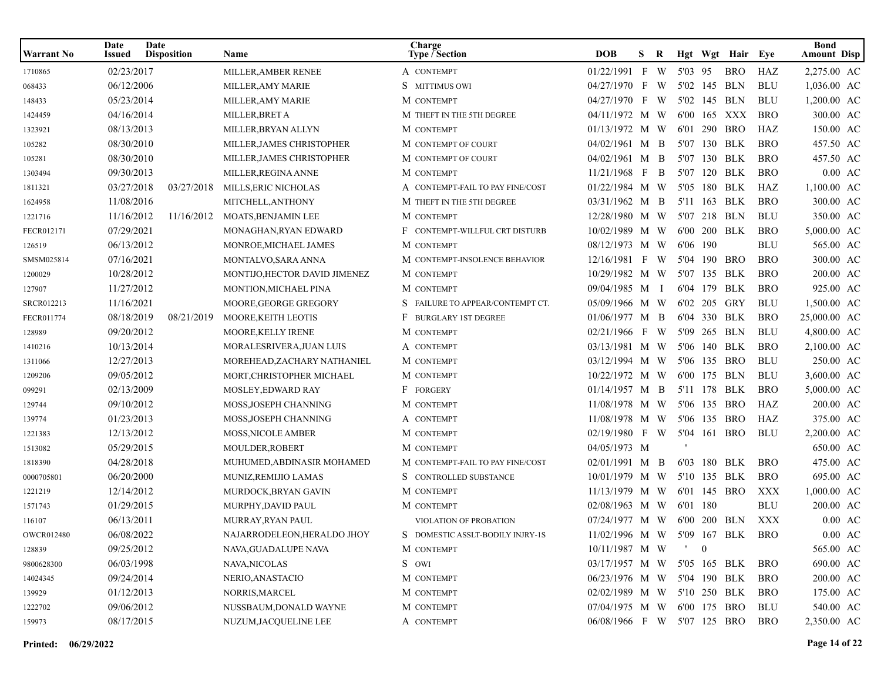| Warrant No        | Date<br><b>Issued</b> | Date<br><b>Disposition</b> | Name                          | Charge<br><b>Type / Section</b>  | <b>DOB</b>                  | S. | R |          |                  | Hgt Wgt Hair Eye |            | <b>Bond</b><br><b>Amount Disp</b> |
|-------------------|-----------------------|----------------------------|-------------------------------|----------------------------------|-----------------------------|----|---|----------|------------------|------------------|------------|-----------------------------------|
| 1710865           | 02/23/2017            |                            | MILLER.AMBER RENEE            | A CONTEMPT                       | $01/22/1991$ F W            |    |   | 5'03 95  |                  | <b>BRO</b>       | HAZ        | 2,275.00 AC                       |
| 068433            | 06/12/2006            |                            | MILLER, AMY MARIE             | S MITTIMUS OWI                   | 04/27/1970 F                |    | W |          |                  | 5'02 145 BLN     | <b>BLU</b> | 1,036.00 AC                       |
| 148433            | 05/23/2014            |                            | MILLER, AMY MARIE             | M CONTEMPT                       | 04/27/1970 F                |    | W |          |                  | 5'02 145 BLN     | <b>BLU</b> | 1,200.00 AC                       |
| 1424459           | 04/16/2014            |                            | MILLER, BRET A                | M THEFT IN THE 5TH DEGREE        | 04/11/1972 M W              |    |   |          |                  | 6'00 165 XXX     | <b>BRO</b> | 300.00 AC                         |
| 1323921           | 08/13/2013            |                            | MILLER, BRYAN ALLYN           | M CONTEMPT                       | 01/13/1972 M W              |    |   |          |                  | 6'01 290 BRO     | HAZ        | 150.00 AC                         |
| 105282            | 08/30/2010            |                            | MILLER, JAMES CHRISTOPHER     | M CONTEMPT OF COURT              | 04/02/1961 M B              |    |   |          |                  | 5'07 130 BLK     | <b>BRO</b> | 457.50 AC                         |
| 105281            | 08/30/2010            |                            | MILLER, JAMES CHRISTOPHER     | M CONTEMPT OF COURT              | 04/02/1961 M B              |    |   |          |                  | 5'07 130 BLK     | <b>BRO</b> | 457.50 AC                         |
| 1303494           | 09/30/2013            |                            | MILLER, REGINA ANNE           | M CONTEMPT                       | 11/21/1968 F                |    | B | 5'07     |                  | 120 BLK          | <b>BRO</b> | $0.00 \text{ AC}$                 |
| 1811321           | 03/27/2018            | 03/27/2018                 | MILLS, ERIC NICHOLAS          | A CONTEMPT-FAIL TO PAY FINE/COST | 01/22/1984 M W              |    |   |          |                  | 5'05 180 BLK     | HAZ        | 1.100.00 AC                       |
| 1624958           | 11/08/2016            |                            | MITCHELL, ANTHONY             | M THEFT IN THE 5TH DEGREE        | 03/31/1962 M B              |    |   |          |                  | 5'11 163 BLK     | <b>BRO</b> | 300.00 AC                         |
| 1221716           | 11/16/2012            | 11/16/2012                 | MOATS, BENJAMIN LEE           | M CONTEMPT                       | 12/28/1980 M W              |    |   |          |                  | 5'07 218 BLN     | <b>BLU</b> | 350.00 AC                         |
| FECR012171        | 07/29/2021            |                            | MONAGHAN, RYAN EDWARD         | F CONTEMPT-WILLFUL CRT DISTURB   | 10/02/1989 M W              |    |   |          |                  | 6'00 200 BLK     | <b>BRO</b> | 5,000.00 AC                       |
| 126519            | 06/13/2012            |                            | MONROE, MICHAEL JAMES         | M CONTEMPT                       | 08/12/1973 M W              |    |   | 6'06 190 |                  |                  | <b>BLU</b> | 565.00 AC                         |
| SMSM025814        | 07/16/2021            |                            | MONTALVO, SARA ANNA           | M CONTEMPT-INSOLENCE BEHAVIOR    | 12/16/1981 F W              |    |   | 5'04     |                  | 190 BRO          | <b>BRO</b> | 300.00 AC                         |
| 1200029           | 10/28/2012            |                            | MONTIJO, HECTOR DAVID JIMENEZ | M CONTEMPT                       | 10/29/1982 M W              |    |   |          |                  | 5'07 135 BLK     | <b>BRO</b> | 200.00 AC                         |
| 127907            | 11/27/2012            |                            | MONTION, MICHAEL PINA         | M CONTEMPT                       | 09/04/1985 M I              |    |   |          |                  | 6'04 179 BLK     | <b>BRO</b> | 925.00 AC                         |
| SRCR012213        | 11/16/2021            |                            | MOORE, GEORGE GREGORY         | S FAILURE TO APPEAR/CONTEMPT CT. | 05/09/1966 M W              |    |   |          |                  | 6'02 205 GRY     | <b>BLU</b> | 1,500.00 AC                       |
| FECR011774        | 08/18/2019            | 08/21/2019                 | MOORE, KEITH LEOTIS           | F BURGLARY 1ST DEGREE            | 01/06/1977 M B              |    |   |          |                  | 6'04 330 BLK     | <b>BRO</b> | 25,000.00 AC                      |
| 128989            | 09/20/2012            |                            | MOORE, KELLY IRENE            | M CONTEMPT                       | 02/21/1966 F W              |    |   |          |                  | 5'09 265 BLN     | <b>BLU</b> | 4,800.00 AC                       |
| 1410216           | 10/13/2014            |                            | MORALESRIVERA, JUAN LUIS      | A CONTEMPT                       | 03/13/1981 M W              |    |   |          |                  | 5'06 140 BLK     | <b>BRO</b> | 2,100.00 AC                       |
| 1311066           | 12/27/2013            |                            | MOREHEAD, ZACHARY NATHANIEL   | M CONTEMPT                       | 03/12/1994 M W              |    |   |          |                  | 5'06 135 BRO     | <b>BLU</b> | 250.00 AC                         |
| 1209206           | 09/05/2012            |                            | MORT, CHRISTOPHER MICHAEL     | M CONTEMPT                       | 10/22/1972 M W              |    |   |          |                  | 6'00 175 BLN     | <b>BLU</b> | 3,600.00 AC                       |
| 099291            | 02/13/2009            |                            | MOSLEY, EDWARD RAY            | F FORGERY                        | 01/14/1957 M B              |    |   |          |                  | 5'11 178 BLK     | <b>BRO</b> | 5,000.00 AC                       |
| 129744            | 09/10/2012            |                            | MOSS, JOSEPH CHANNING         | M CONTEMPT                       | 11/08/1978 M W              |    |   |          |                  | 5'06 135 BRO     | HAZ        | 200.00 AC                         |
| 139774            | 01/23/2013            |                            | MOSS, JOSEPH CHANNING         | A CONTEMPT                       | 11/08/1978 M W              |    |   |          |                  | 5'06 135 BRO     | HAZ        | 375.00 AC                         |
| 1221383           | 12/13/2012            |                            | MOSS, NICOLE AMBER            | M CONTEMPT                       | 02/19/1980 F W              |    |   |          |                  | 5'04 161 BRO     | <b>BLU</b> | 2,200.00 AC                       |
| 1513082           | 05/29/2015            |                            | MOULDER, ROBERT               | M CONTEMPT                       | 04/05/1973 M                |    |   |          |                  |                  |            | 650.00 AC                         |
| 1818390           | 04/28/2018            |                            | MUHUMED, ABDINASIR MOHAMED    | M CONTEMPT-FAIL TO PAY FINE/COST | 02/01/1991 M B              |    |   |          |                  | 6'03 180 BLK     | <b>BRO</b> | 475.00 AC                         |
| 0000705801        | 06/20/2000            |                            | MUNIZ, REMIJIO LAMAS          | S CONTROLLED SUBSTANCE           | 10/01/1979 M W              |    |   |          |                  | 5'10 135 BLK     | <b>BRO</b> | 695.00 AC                         |
| 1221219           | 12/14/2012            |                            | MURDOCK, BRYAN GAVIN          | M CONTEMPT                       | 11/13/1979 M W              |    |   |          |                  | 6'01 145 BRO     | XXX        | 1,000.00 AC                       |
| 1571743           | 01/29/2015            |                            | MURPHY, DAVID PAUL            | M CONTEMPT                       | 02/08/1963 M W              |    |   | 6'01 180 |                  |                  | <b>BLU</b> | 200.00 AC                         |
| 116107            | 06/13/2011            |                            | <b>MURRAY, RYAN PAUL</b>      | VIOLATION OF PROBATION           | 07/24/1977 M W              |    |   |          |                  | 6'00 200 BLN     | <b>XXX</b> | $0.00 \text{ AC}$                 |
| <b>OWCR012480</b> | 06/08/2022            |                            | NAJARRODELEON, HERALDO JHOY   | S DOMESTIC ASSLT-BODILY INJRY-1S | 11/02/1996 M W 5'09 167 BLK |    |   |          |                  |                  | <b>BRO</b> | $0.00\;\;{\rm AC}$                |
| 128839            | 09/25/2012            |                            | NAVA, GUADALUPE NAVA          | M CONTEMPT                       | $10/11/1987$ M W            |    |   |          | $\boldsymbol{0}$ |                  |            | 565.00 AC                         |
| 9800628300        | 06/03/1998            |                            | <b>NAVA, NICOLAS</b>          | S OWI                            | 03/17/1957 M W 5'05 165 BLK |    |   |          |                  |                  | BRO        | 690.00 AC                         |
| 14024345          | 09/24/2014            |                            | NERIO, ANASTACIO              | M CONTEMPT                       | 06/23/1976 M W 5'04 190 BLK |    |   |          |                  |                  | <b>BRO</b> | 200.00 AC                         |
| 139929            | 01/12/2013            |                            | NORRIS, MARCEL                | M CONTEMPT                       | 02/02/1989 M W 5'10 250 BLK |    |   |          |                  |                  | <b>BRO</b> | 175.00 AC                         |
| 1222702           | 09/06/2012            |                            | NUSSBAUM, DONALD WAYNE        | M CONTEMPT                       | 07/04/1975 M W 6'00 175 BRO |    |   |          |                  |                  | BLU        | 540.00 AC                         |
| 159973            | 08/17/2015            |                            | NUZUM, JACQUELINE LEE         | A CONTEMPT                       | 06/08/1966 F W 5'07 125 BRO |    |   |          |                  |                  | BRO        | 2,350.00 AC                       |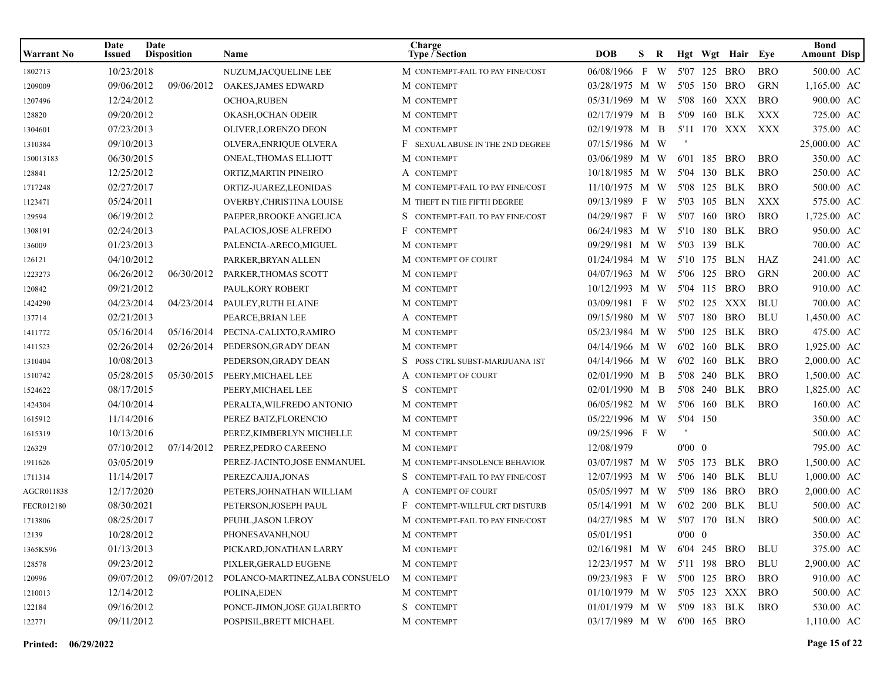| <b>Warrant No</b> | Date<br><b>Issued</b> | Date<br><b>Disposition</b> | Name                            | Charge<br>Type / Section         | <b>DOB</b>                      | S. | R |                |              | Hgt Wgt Hair Eye |            | <b>Bond</b><br><b>Amount Disp</b> |
|-------------------|-----------------------|----------------------------|---------------------------------|----------------------------------|---------------------------------|----|---|----------------|--------------|------------------|------------|-----------------------------------|
| 1802713           | 10/23/2018            |                            | NUZUM, JACQUELINE LEE           | M CONTEMPT-FAIL TO PAY FINE/COST | 06/08/1966 F W                  |    |   |                | 5'07 125 BRO |                  | <b>BRO</b> | 500.00 AC                         |
| 1209009           | 09/06/2012            | 09/06/2012                 | OAKES, JAMES EDWARD             | M CONTEMPT                       | 03/28/1975 M W                  |    |   |                | 5'05 150 BRO |                  | <b>GRN</b> | 1,165.00 AC                       |
| 1207496           | 12/24/2012            |                            | OCHOA,RUBEN                     | M CONTEMPT                       | 05/31/1969 M W                  |    |   |                | 5'08 160 XXX |                  | <b>BRO</b> | 900.00 AC                         |
| 128820            | 09/20/2012            |                            | OKASH.OCHAN ODEIR               | M CONTEMPT                       | 02/17/1979 M B                  |    |   |                | 5'09 160 BLK |                  | XXX        | 725.00 AC                         |
| 1304601           | 07/23/2013            |                            | OLIVER, LORENZO DEON            | M CONTEMPT                       | 02/19/1978 M B                  |    |   |                |              | 5'11 170 XXX XXX |            | 375.00 AC                         |
| 1310384           | 09/10/2013            |                            | OLVERA, ENRIQUE OLVERA          | F SEXUAL ABUSE IN THE 2ND DEGREE | 07/15/1986 M W                  |    |   |                |              |                  |            | 25,000.00 AC                      |
| 150013183         | 06/30/2015            |                            | ONEAL, THOMAS ELLIOTT           | M CONTEMPT                       | 03/06/1989 M W                  |    |   |                | 6'01 185 BRO |                  | <b>BRO</b> | 350.00 AC                         |
| 128841            | 12/25/2012            |                            | ORTIZ, MARTIN PINEIRO           | A CONTEMPT                       | 10/18/1985 M W                  |    |   |                | 5'04 130 BLK |                  | <b>BRO</b> | 250.00 AC                         |
| 1717248           | 02/27/2017            |                            | ORTIZ-JUAREZ,LEONIDAS           | M CONTEMPT-FAIL TO PAY FINE/COST | 11/10/1975 M W                  |    |   |                | 5'08 125 BLK |                  | <b>BRO</b> | 500.00 AC                         |
| 1123471           | 05/24/2011            |                            | OVERBY, CHRISTINA LOUISE        | M THEFT IN THE FIFTH DEGREE      | 09/13/1989 F W                  |    |   |                | 5'03 105 BLN |                  | XXX        | 575.00 AC                         |
| 129594            | 06/19/2012            |                            | PAEPER, BROOKE ANGELICA         | S CONTEMPT-FAIL TO PAY FINE/COST | 04/29/1987 F W                  |    |   |                | 5'07 160 BRO |                  | <b>BRO</b> | 1,725.00 AC                       |
| 1308191           | 02/24/2013            |                            | PALACIOS, JOSE ALFREDO          | F CONTEMPT                       | 06/24/1983 M W                  |    |   |                | 5'10 180 BLK |                  | <b>BRO</b> | 950.00 AC                         |
| 136009            | 01/23/2013            |                            | PALENCIA-ARECO, MIGUEL          | M CONTEMPT                       | 09/29/1981 M W                  |    |   |                | 5'03 139 BLK |                  |            | 700.00 AC                         |
| 126121            | 04/10/2012            |                            | PARKER, BRYAN ALLEN             | M CONTEMPT OF COURT              | 01/24/1984 M W                  |    |   |                | 5'10 175 BLN |                  | HAZ        | 241.00 AC                         |
| 1223273           | 06/26/2012            | 06/30/2012                 | PARKER, THOMAS SCOTT            | M CONTEMPT                       | 04/07/1963 M W                  |    |   |                | 5'06 125 BRO |                  | <b>GRN</b> | 200.00 AC                         |
| 120842            | 09/21/2012            |                            | PAUL, KORY ROBERT               | M CONTEMPT                       | 10/12/1993 M W                  |    |   |                | 5'04 115 BRO |                  | <b>BRO</b> | 910.00 AC                         |
| 1424290           | 04/23/2014            | 04/23/2014                 | PAULEY, RUTH ELAINE             | M CONTEMPT                       | 03/09/1981 F W                  |    |   |                | 5'02 125 XXX |                  | <b>BLU</b> | 700.00 AC                         |
| 137714            | 02/21/2013            |                            | PEARCE, BRIAN LEE               | A CONTEMPT                       | 09/15/1980 M W                  |    |   |                | 5'07 180 BRO |                  | <b>BLU</b> | 1,450.00 AC                       |
| 1411772           | 05/16/2014            | 05/16/2014                 | PECINA-CALIXTO,RAMIRO           | M CONTEMPT                       | 05/23/1984 M W                  |    |   |                | 5'00 125 BLK |                  | <b>BRO</b> | 475.00 AC                         |
| 1411523           | 02/26/2014            | 02/26/2014                 | PEDERSON, GRADY DEAN            | M CONTEMPT                       | 04/14/1966 M W                  |    |   |                | 6'02 160 BLK |                  | <b>BRO</b> | 1,925.00 AC                       |
| 1310404           | 10/08/2013            |                            | PEDERSON, GRADY DEAN            | POSS CTRL SUBST-MARIJUANA 1ST    | 04/14/1966 M W                  |    |   |                | 6'02 160 BLK |                  | <b>BRO</b> | 2,000.00 AC                       |
| 1510742           | 05/28/2015            | 05/30/2015                 | PEERY, MICHAEL LEE              | A CONTEMPT OF COURT              | 02/01/1990 M B                  |    |   |                | 5'08 240 BLK |                  | <b>BRO</b> | 1,500.00 AC                       |
| 1524622           | 08/17/2015            |                            | PEERY, MICHAEL LEE              | S CONTEMPT                       | 02/01/1990 M B                  |    |   |                | 5'08 240 BLK |                  | <b>BRO</b> | 1,825.00 AC                       |
| 1424304           | 04/10/2014            |                            | PERALTA, WILFREDO ANTONIO       | M CONTEMPT                       | 06/05/1982 M W                  |    |   |                | 5'06 160 BLK |                  | <b>BRO</b> | 160.00 AC                         |
| 1615912           | 11/14/2016            |                            | PEREZ BATZ, FLORENCIO           | M CONTEMPT                       | 05/22/1996 M W                  |    |   | 5'04 150       |              |                  |            | 350.00 AC                         |
| 1615319           | 10/13/2016            |                            | PEREZ, KIMBERLYN MICHELLE       | M CONTEMPT                       | 09/25/1996 F W                  |    |   |                |              |                  |            | 500.00 AC                         |
| 126329            | 07/10/2012            | 07/14/2012                 | PEREZ, PEDRO CAREENO            | M CONTEMPT                       | 12/08/1979                      |    |   | $0'00 \quad 0$ |              |                  |            | 795.00 AC                         |
| 1911626           | 03/05/2019            |                            | PEREZ-JACINTO, JOSE ENMANUEL    | M CONTEMPT-INSOLENCE BEHAVIOR    | 03/07/1987 M W                  |    |   |                | 5'05 173 BLK |                  | <b>BRO</b> | 1,500.00 AC                       |
| 1711314           | 11/14/2017            |                            | PEREZCAJIJA, JONAS              | S CONTEMPT-FAIL TO PAY FINE/COST | 12/07/1993 M W                  |    |   |                | 5'06 140 BLK |                  | <b>BLU</b> | 1,000.00 AC                       |
| AGCR011838        | 12/17/2020            |                            | PETERS, JOHNATHAN WILLIAM       | A CONTEMPT OF COURT              | 05/05/1997 M W                  |    |   |                | 5'09 186 BRO |                  | <b>BRO</b> | 2,000.00 AC                       |
| FECR012180        | 08/30/2021            |                            | PETERSON, JOSEPH PAUL           | F CONTEMPT-WILLFUL CRT DISTURB   | 05/14/1991 M W                  |    |   |                | 6'02 200 BLK |                  | <b>BLU</b> | 500.00 AC                         |
| 1713806           | 08/25/2017            |                            | PFUHL, JASON LEROY              | M CONTEMPT-FAIL TO PAY FINE/COST | 04/27/1985 M W                  |    |   |                | 5'07 170 BLN |                  | <b>BRO</b> | 500.00 AC                         |
| 12139             | 10/28/2012            |                            | PHONESAVANH, NOU                | M CONTEMPT                       | 05/01/1951                      |    |   | $0'00 \quad 0$ |              |                  |            | 350.00 AC                         |
| 1365KS96          | 01/13/2013            |                            | PICKARD, JONATHAN LARRY         | M CONTEMPT                       | 02/16/1981 M W 6'04 245 BRO     |    |   |                |              |                  | BLU        | 375.00 AC                         |
| 128578            | 09/23/2012            |                            | PIXLER, GERALD EUGENE           | M CONTEMPT                       | 12/23/1957 M W 5'11 198 BRO     |    |   |                |              |                  | BLU        | 2,900.00 AC                       |
| 120996            | 09/07/2012            | 09/07/2012                 | POLANCO-MARTINEZ, ALBA CONSUELO | M CONTEMPT                       | 09/23/1983 F W 5'00 125 BRO     |    |   |                |              |                  | <b>BRO</b> | 910.00 AC                         |
| 1210013           | 12/14/2012            |                            | POLINA, EDEN                    | M CONTEMPT                       | 01/10/1979 M W 5'05 123 XXX BRO |    |   |                |              |                  |            | 500.00 AC                         |
| 122184            | 09/16/2012            |                            | PONCE-JIMON, JOSE GUALBERTO     | S CONTEMPT                       | 01/01/1979 M W 5'09 183 BLK     |    |   |                |              |                  | <b>BRO</b> | 530.00 AC                         |
| 122771            | 09/11/2012            |                            | POSPISIL, BRETT MICHAEL         | M CONTEMPT                       | 03/17/1989 M W 6'00 165 BRO     |    |   |                |              |                  |            | 1,110.00 AC                       |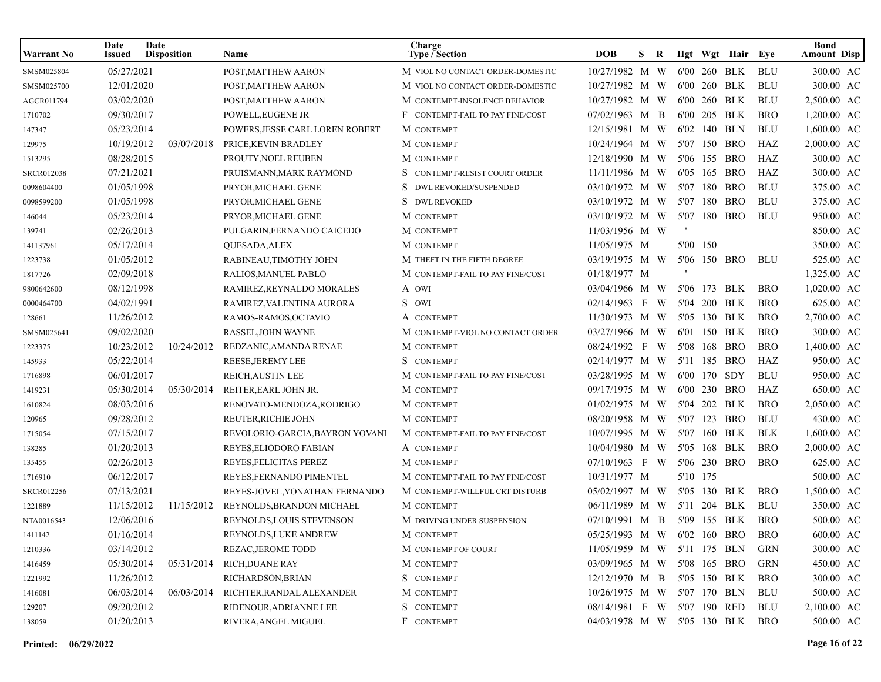| <b>Warrant No</b> | Date<br>Issued | Date<br><b>Disposition</b> | Name                            | Charge<br>Type / Section         | <b>DOB</b>                  | S. | R |          | Hgt Wgt Hair Eye |            | <b>Bond</b><br><b>Amount Disp</b> |
|-------------------|----------------|----------------------------|---------------------------------|----------------------------------|-----------------------------|----|---|----------|------------------|------------|-----------------------------------|
| SMSM025804        | 05/27/2021     |                            | POST, MATTHEW AARON             | M VIOL NO CONTACT ORDER-DOMESTIC | 10/27/1982 M W              |    |   |          | 6'00 260 BLK     | <b>BLU</b> | 300.00 AC                         |
| SMSM025700        | 12/01/2020     |                            | POST, MATTHEW AARON             | M VIOL NO CONTACT ORDER-DOMESTIC | 10/27/1982 M W              |    |   |          | 6'00 260 BLK     | <b>BLU</b> | 300.00 AC                         |
| AGCR011794        | 03/02/2020     |                            | POST, MATTHEW AARON             | M CONTEMPT-INSOLENCE BEHAVIOR    | 10/27/1982 M W              |    |   |          | 6'00 260 BLK     | <b>BLU</b> | 2,500.00 AC                       |
| 1710702           | 09/30/2017     |                            | POWELL, EUGENE JR               | F CONTEMPT-FAIL TO PAY FINE/COST | 07/02/1963 M B              |    |   |          | 6'00 205 BLK     | <b>BRO</b> | 1,200.00 AC                       |
| 147347            | 05/23/2014     |                            | POWERS, JESSE CARL LOREN ROBERT | M CONTEMPT                       | 12/15/1981 M W              |    |   |          | 6'02 140 BLN     | <b>BLU</b> | 1,600.00 AC                       |
| 129975            | 10/19/2012     | 03/07/2018                 | PRICE, KEVIN BRADLEY            | M CONTEMPT                       | 10/24/1964 M W              |    |   |          | 5'07 150 BRO     | HAZ        | 2,000.00 AC                       |
| 1513295           | 08/28/2015     |                            | PROUTY, NOEL REUBEN             | M CONTEMPT                       | 12/18/1990 M W              |    |   |          | 5'06 155 BRO     | HAZ        | 300.00 AC                         |
| SRCR012038        | 07/21/2021     |                            | PRUISMANN, MARK RAYMOND         | S CONTEMPT-RESIST COURT ORDER    | 11/11/1986 M W              |    |   |          | 6'05 165 BRO     | HAZ        | 300.00 AC                         |
| 0098604400        | 01/05/1998     |                            | PRYOR, MICHAEL GENE             | DWL REVOKED/SUSPENDED            | 03/10/1972 M W              |    |   |          | 5'07 180 BRO     | <b>BLU</b> | 375.00 AC                         |
| 0098599200        | 01/05/1998     |                            | PRYOR, MICHAEL GENE             | S<br><b>DWL REVOKED</b>          | 03/10/1972 M W              |    |   | 5'07 180 | BRO              | <b>BLU</b> | 375.00 AC                         |
| 146044            | 05/23/2014     |                            | PRYOR, MICHAEL GENE             | M CONTEMPT                       | 03/10/1972 M W              |    |   |          | 5'07 180 BRO     | <b>BLU</b> | 950.00 AC                         |
| 139741            | 02/26/2013     |                            | PULGARIN, FERNANDO CAICEDO      | M CONTEMPT                       | $11/03/1956$ M W            |    |   |          |                  |            | 850.00 AC                         |
| 141137961         | 05/17/2014     |                            | QUESADA, ALEX                   | M CONTEMPT                       | 11/05/1975 M                |    |   | 5'00 150 |                  |            | 350.00 AC                         |
| 1223738           | 01/05/2012     |                            | RABINEAU, TIMOTHY JOHN          | M THEFT IN THE FIFTH DEGREE      | 03/19/1975 M W              |    |   |          | 5'06 150 BRO     | <b>BLU</b> | 525.00 AC                         |
| 1817726           | 02/09/2018     |                            | RALIOS, MANUEL PABLO            | M CONTEMPT-FAIL TO PAY FINE/COST | 01/18/1977 M                |    |   |          |                  |            | 1,325.00 AC                       |
| 9800642600        | 08/12/1998     |                            | RAMIREZ, REYNALDO MORALES       | A OWI                            | 03/04/1966 M W              |    |   |          | 5'06 173 BLK     | <b>BRO</b> | 1,020.00 AC                       |
| 0000464700        | 04/02/1991     |                            | RAMIREZ, VALENTINA AURORA       | S OWI                            | $02/14/1963$ F W            |    |   |          | 5'04 200 BLK     | <b>BRO</b> | 625.00 AC                         |
| 128661            | 11/26/2012     |                            | RAMOS-RAMOS, OCTAVIO            | A CONTEMPT                       | $11/30/1973$ M W            |    |   |          | 5'05 130 BLK     | <b>BRO</b> | 2,700.00 AC                       |
| SMSM025641        | 09/02/2020     |                            | RASSEL, JOHN WAYNE              | M CONTEMPT-VIOL NO CONTACT ORDER | 03/27/1966 M W              |    |   |          | 6'01 150 BLK     | <b>BRO</b> | 300.00 AC                         |
| 1223375           | 10/23/2012     | 10/24/2012                 | REDZANIC, AMANDA RENAE          | M CONTEMPT                       | 08/24/1992 F W              |    |   | 5'08 168 | BRO              | <b>BRO</b> | 1,400.00 AC                       |
| 145933            | 05/22/2014     |                            | REESE, JEREMY LEE               | S CONTEMPT                       | 02/14/1977 M W              |    |   |          | 5'11 185 BRO     | HAZ        | 950.00 AC                         |
| 1716898           | 06/01/2017     |                            | REICH, AUSTIN LEE               | M CONTEMPT-FAIL TO PAY FINE/COST | 03/28/1995 M W              |    |   |          | 6'00 170 SDY     | <b>BLU</b> | 950.00 AC                         |
| 1419231           | 05/30/2014     | 05/30/2014                 | REITER, EARL JOHN JR.           | M CONTEMPT                       | 09/17/1975 M W              |    |   |          | 6'00 230 BRO     | HAZ        | 650.00 AC                         |
| 1610824           | 08/03/2016     |                            | RENOVATO-MENDOZA, RODRIGO       | M CONTEMPT                       | $01/02/1975$ M W            |    |   |          | 5'04 202 BLK     | <b>BRO</b> | 2,050.00 AC                       |
| 120965            | 09/28/2012     |                            | REUTER, RICHIE JOHN             | M CONTEMPT                       | 08/20/1958 M W              |    |   |          | 5'07 123 BRO     | <b>BLU</b> | 430.00 AC                         |
| 1715054           | 07/15/2017     |                            | REVOLORIO-GARCIA,BAYRON YOVANI  | M CONTEMPT-FAIL TO PAY FINE/COST | 10/07/1995 M W              |    |   | 5'07 160 | BLK              | <b>BLK</b> | 1,600.00 AC                       |
| 138285            | 01/20/2013     |                            | REYES, ELIODORO FABIAN          | A CONTEMPT                       | 10/04/1980 M W              |    |   |          | 5'05 168 BLK     | <b>BRO</b> | 2,000.00 AC                       |
| 135455            | 02/26/2013     |                            | REYES, FELICITAS PEREZ          | M CONTEMPT                       | 07/10/1963 F W              |    |   |          | 5'06 230 BRO     | <b>BRO</b> | 625.00 AC                         |
| 1716910           | 06/12/2017     |                            | REYES, FERNANDO PIMENTEL        | M CONTEMPT-FAIL TO PAY FINE/COST | 10/31/1977 M                |    |   | 5'10 175 |                  |            | 500.00 AC                         |
| SRCR012256        | 07/13/2021     |                            | REYES-JOVEL, YONATHAN FERNANDO  | M CONTEMPT-WILLFUL CRT DISTURB   | 05/02/1997 M W              |    |   |          | 5'05 130 BLK     | <b>BRO</b> | 1,500.00 AC                       |
| 1221889           | 11/15/2012     | 11/15/2012                 | REYNOLDS, BRANDON MICHAEL       | M CONTEMPT                       | 06/11/1989 M W              |    |   |          | 5'11 204 BLK     | <b>BLU</b> | 350.00 AC                         |
| NTA0016543        | 12/06/2016     |                            | REYNOLDS, LOUIS STEVENSON       | M DRIVING UNDER SUSPENSION       | 07/10/1991 M B              |    |   |          | 5'09 155 BLK     | <b>BRO</b> | 500.00 AC                         |
| 1411142           | 01/16/2014     |                            | REYNOLDS, LUKE ANDREW           | M CONTEMPT                       | 05/25/1993 M W 6'02 160 BRO |    |   |          |                  | <b>BRO</b> | 600.00 AC                         |
| 1210336           | 03/14/2012     |                            | REZAC, JEROME TODD              | M CONTEMPT OF COURT              | 11/05/1959 M W 5'11 175 BLN |    |   |          |                  | <b>GRN</b> | 300.00 AC                         |
| 1416459           | 05/30/2014     | 05/31/2014                 | <b>RICH, DUANE RAY</b>          | M CONTEMPT                       | 03/09/1965 M W 5'08 165 BRO |    |   |          |                  | <b>GRN</b> | 450.00 AC                         |
| 1221992           | 11/26/2012     |                            | RICHARDSON, BRIAN               | S CONTEMPT                       | $12/12/1970$ M B            |    |   |          | 5'05 150 BLK     | <b>BRO</b> | 300.00 AC                         |
| 1416081           | 06/03/2014     | 06/03/2014                 | RICHTER, RANDAL ALEXANDER       | M CONTEMPT                       | $10/26/1975$ M W            |    |   |          | 5'07 170 BLN     | BLU        | 500.00 AC                         |
| 129207            | 09/20/2012     |                            | RIDENOUR, ADRIANNE LEE          | S CONTEMPT                       | 08/14/1981 F W              |    |   |          | 5'07 190 RED     | BLU        | 2,100.00 AC                       |
| 138059            | 01/20/2013     |                            | RIVERA, ANGEL MIGUEL            | F CONTEMPT                       | 04/03/1978 M W 5'05 130 BLK |    |   |          |                  | <b>BRO</b> | 500.00 AC                         |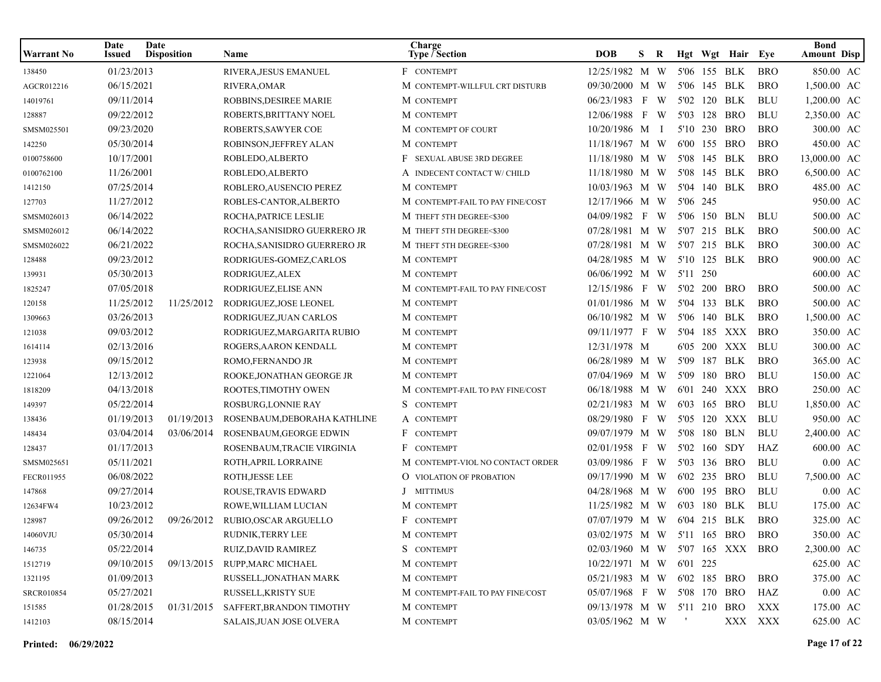| Warrant No | Date<br>Issued | Date<br><b>Disposition</b> | Name                         | Charge<br><b>Type / Section</b>  | <b>DOB</b>                      | S. | R |          |              | Hgt Wgt Hair Eye |            | <b>Bond</b><br><b>Amount Disp</b> |
|------------|----------------|----------------------------|------------------------------|----------------------------------|---------------------------------|----|---|----------|--------------|------------------|------------|-----------------------------------|
| 138450     | 01/23/2013     |                            | RIVERA, JESUS EMANUEL        | F CONTEMPT                       | 12/25/1982 M W                  |    |   |          |              | 5'06 155 BLK     | <b>BRO</b> | 850.00 AC                         |
| AGCR012216 | 06/15/2021     |                            | RIVERA, OMAR                 | M CONTEMPT-WILLFUL CRT DISTURB   | 09/30/2000 M W                  |    |   |          |              | 5'06 145 BLK     | <b>BRO</b> | 1,500.00 AC                       |
| 14019761   | 09/11/2014     |                            | ROBBINS, DESIREE MARIE       | M CONTEMPT                       | 06/23/1983 F W                  |    |   |          |              | 5'02 120 BLK     | <b>BLU</b> | 1,200.00 AC                       |
| 128887     | 09/22/2012     |                            | ROBERTS.BRITTANY NOEL        | M CONTEMPT                       | 12/06/1988 F W                  |    |   |          |              | 5'03 128 BRO     | <b>BLU</b> | 2,350.00 AC                       |
| SMSM025501 | 09/23/2020     |                            | ROBERTS, SAWYER COE          | M CONTEMPT OF COURT              | 10/20/1986 M I                  |    |   |          |              | 5'10 230 BRO     | <b>BRO</b> | 300.00 AC                         |
| 142250     | 05/30/2014     |                            | ROBINSON, JEFFREY ALAN       | M CONTEMPT                       | 11/18/1967 M W                  |    |   |          |              | 6'00 155 BRO     | <b>BRO</b> | 450.00 AC                         |
| 0100758600 | 10/17/2001     |                            | ROBLEDO, ALBERTO             | F SEXUAL ABUSE 3RD DEGREE        | 11/18/1980 M W                  |    |   |          | 5'08 145 BLK |                  | <b>BRO</b> | 13,000.00 AC                      |
| 0100762100 | 11/26/2001     |                            | ROBLEDO, ALBERTO             | A INDECENT CONTACT W/ CHILD      | 11/18/1980 M W                  |    |   |          | 5'08 145 BLK |                  | <b>BRO</b> | 6,500.00 AC                       |
| 1412150    | 07/25/2014     |                            | ROBLERO, AUSENCIO PEREZ      | M CONTEMPT                       | 10/03/1963 M W                  |    |   |          |              | 5'04 140 BLK     | <b>BRO</b> | 485.00 AC                         |
| 127703     | 11/27/2012     |                            | ROBLES-CANTOR, ALBERTO       | M CONTEMPT-FAIL TO PAY FINE/COST | 12/17/1966 M W                  |    |   | 5'06 245 |              |                  |            | 950.00 AC                         |
| SMSM026013 | 06/14/2022     |                            | ROCHA, PATRICE LESLIE        | M THEFT 5TH DEGREE<\$300         | 04/09/1982 F W                  |    |   |          |              | 5'06 150 BLN     | BLU        | 500.00 AC                         |
| SMSM026012 | 06/14/2022     |                            | ROCHA, SANISIDRO GUERRERO JR | M THEFT 5TH DEGREE<\$300         | 07/28/1981 M W                  |    |   |          |              | 5'07 215 BLK     | <b>BRO</b> | 500.00 AC                         |
| SMSM026022 | 06/21/2022     |                            | ROCHA, SANISIDRO GUERRERO JR | M THEFT 5TH DEGREE<\$300         | 07/28/1981 M W                  |    |   |          |              | 5'07 215 BLK     | <b>BRO</b> | 300.00 AC                         |
| 128488     | 09/23/2012     |                            | RODRIGUES-GOMEZ, CARLOS      | M CONTEMPT                       | 04/28/1985 M W                  |    |   |          |              | 5'10 125 BLK     | <b>BRO</b> | 900.00 AC                         |
| 139931     | 05/30/2013     |                            | RODRIGUEZ, ALEX              | M CONTEMPT                       | 06/06/1992 M W                  |    |   | 5'11 250 |              |                  |            | 600.00 AC                         |
| 1825247    | 07/05/2018     |                            | RODRIGUEZ, ELISE ANN         | M CONTEMPT-FAIL TO PAY FINE/COST | 12/15/1986 F W                  |    |   |          |              | 5'02 200 BRO     | <b>BRO</b> | 500.00 AC                         |
| 120158     | 11/25/2012     | 11/25/2012                 | RODRIGUEZ, JOSE LEONEL       | M CONTEMPT                       | 01/01/1986 M W                  |    |   |          |              | 5'04 133 BLK     | <b>BRO</b> | 500.00 AC                         |
| 1309663    | 03/26/2013     |                            | RODRIGUEZ, JUAN CARLOS       | M CONTEMPT                       | 06/10/1982 M W                  |    |   |          |              | 5'06 140 BLK     | <b>BRO</b> | 1,500.00 AC                       |
| 121038     | 09/03/2012     |                            | RODRIGUEZ, MARGARITA RUBIO   | M CONTEMPT                       | 09/11/1977 F W                  |    |   |          |              | 5'04 185 XXX     | <b>BRO</b> | 350.00 AC                         |
| 1614114    | 02/13/2016     |                            | ROGERS, AARON KENDALL        | M CONTEMPT                       | 12/31/1978 M                    |    |   |          |              | 6'05 200 XXX     | <b>BLU</b> | 300.00 AC                         |
| 123938     | 09/15/2012     |                            | ROMO,FERNANDO JR             | M CONTEMPT                       | 06/28/1989 M W                  |    |   |          |              | 5'09 187 BLK     | <b>BRO</b> | 365.00 AC                         |
| 1221064    | 12/13/2012     |                            | ROOKE, JONATHAN GEORGE JR    | M CONTEMPT                       | 07/04/1969 M W                  |    |   |          |              | 5'09 180 BRO     | <b>BLU</b> | 150.00 AC                         |
| 1818209    | 04/13/2018     |                            | ROOTES, TIMOTHY OWEN         | M CONTEMPT-FAIL TO PAY FINE/COST | 06/18/1988 M W                  |    |   |          |              | 6'01 240 XXX     | <b>BRO</b> | 250.00 AC                         |
| 149397     | 05/22/2014     |                            | ROSBURG, LONNIE RAY          | S CONTEMPT                       | 02/21/1983 M W                  |    |   |          |              | 6'03 165 BRO     | <b>BLU</b> | 1,850.00 AC                       |
| 138436     | 01/19/2013     | 01/19/2013                 | ROSENBAUM, DEBORAHA KATHLINE | A CONTEMPT                       | 08/29/1980 F W                  |    |   |          |              | 5'05 120 XXX     | BLU        | 950.00 AC                         |
| 148434     | 03/04/2014     | 03/06/2014                 | ROSENBAUM, GEORGE EDWIN      | F CONTEMPT                       | 09/07/1979 M W                  |    |   |          |              | 5'08 180 BLN     | <b>BLU</b> | 2,400.00 AC                       |
| 128437     | 01/17/2013     |                            | ROSENBAUM, TRACIE VIRGINIA   | F CONTEMPT                       | 02/01/1958 F W                  |    |   |          | 5'02 160 SDY |                  | HAZ        | 600.00 AC                         |
| SMSM025651 | 05/11/2021     |                            | ROTH, APRIL LORRAINE         | M CONTEMPT-VIOL NO CONTACT ORDER | 03/09/1986 F W                  |    |   |          |              | 5'03 136 BRO     | <b>BLU</b> | $0.00 \text{ AC}$                 |
| FECR011955 | 06/08/2022     |                            | ROTH, JESSE LEE              | <b>O</b> VIOLATION OF PROBATION  | 09/17/1990 M W                  |    |   |          |              | 6'02 235 BRO     | <b>BLU</b> | 7,500.00 AC                       |
| 147868     | 09/27/2014     |                            | ROUSE, TRAVIS EDWARD         | J MITTIMUS                       | 04/28/1968 M W                  |    |   |          |              | 6'00 195 BRO     | <b>BLU</b> | $0.00 \text{ AC}$                 |
| 12634FW4   | 10/23/2012     |                            | ROWE, WILLIAM LUCIAN         | M CONTEMPT                       | 11/25/1982 M W                  |    |   |          | 6'03 180 BLK |                  | <b>BLU</b> | 175.00 AC                         |
| 128987     | 09/26/2012     | 09/26/2012                 | RUBIO, OSCAR ARGUELLO        | F CONTEMPT                       | 07/07/1979 M W                  |    |   |          |              | 6'04 215 BLK     | <b>BRO</b> | 325.00 AC                         |
| 14060VJU   | 05/30/2014     |                            | RUDNIK, TERRY LEE            | M CONTEMPT                       | 03/02/1975 M W 5'11 165 BRO BRO |    |   |          |              |                  |            | 350.00 AC                         |
| 146735     | 05/22/2014     |                            | RUIZ, DAVID RAMIREZ          | S CONTEMPT                       | 02/03/1960 M W 5'07 165 XXX BRO |    |   |          |              |                  |            | 2,300.00 AC                       |
| 1512719    | 09/10/2015     | 09/13/2015                 | RUPP, MARC MICHAEL           | M CONTEMPT                       | 10/22/1971 M W 6'01 225         |    |   |          |              |                  |            | 625.00 AC                         |
| 1321195    | 01/09/2013     |                            | RUSSELL, JONATHAN MARK       | M CONTEMPT                       | 05/21/1983 M W 6'02 185 BRO     |    |   |          |              |                  | <b>BRO</b> | 375.00 AC                         |
| SRCR010854 | 05/27/2021     |                            | RUSSELL, KRISTY SUE          | M CONTEMPT-FAIL TO PAY FINE/COST | 05/07/1968 F W 5'08 170 BRO     |    |   |          |              |                  | HAZ        | $0.00\;\;{\rm AC}$                |
| 151585     | 01/28/2015     | 01/31/2015                 | SAFFERT, BRANDON TIMOTHY     | M CONTEMPT                       | 09/13/1978 M W 5'11 210 BRO     |    |   |          |              |                  | XXX        | 175.00 AC                         |
| 1412103    | 08/15/2014     |                            | SALAIS, JUAN JOSE OLVERA     | M CONTEMPT                       | 03/05/1962 M W                  |    |   | and the  |              |                  | XXX XXX    | 625.00 AC                         |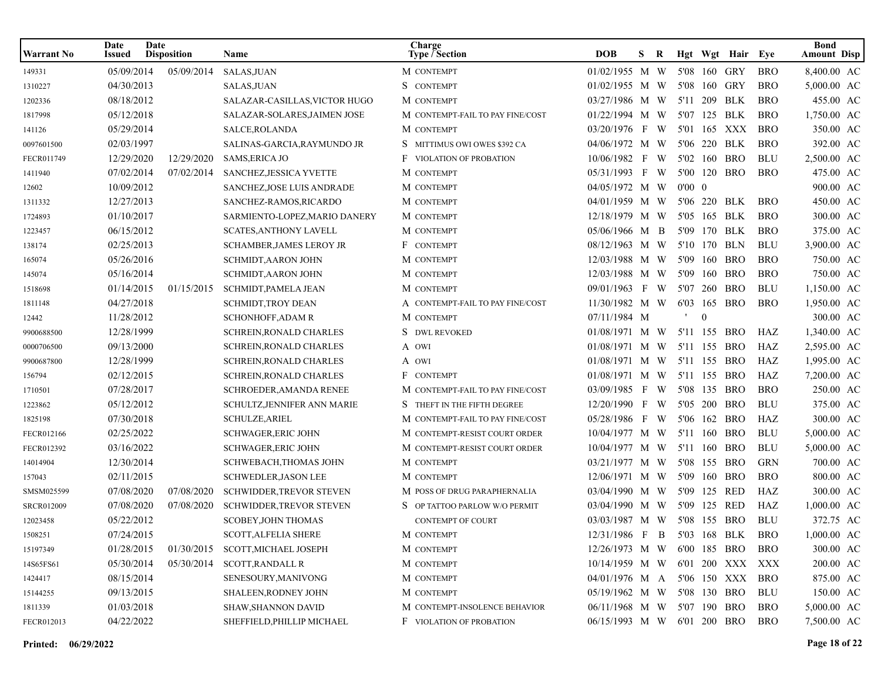| <b>Warrant No</b> | Date<br>Issued | Date<br><b>Disposition</b> | <b>Name</b>                     | Charge<br>Type / Section         | <b>DOB</b>                  | S. | R |                |          | Hgt Wgt Hair Eye |            | <b>Bond</b><br><b>Amount Disp</b> |
|-------------------|----------------|----------------------------|---------------------------------|----------------------------------|-----------------------------|----|---|----------------|----------|------------------|------------|-----------------------------------|
| 149331            | 05/09/2014     | 05/09/2014                 | SALAS, JUAN                     | M CONTEMPT                       | 01/02/1955 M W              |    |   |                | 5'08 160 | GRY              | <b>BRO</b> | 8,400.00 AC                       |
| 1310227           | 04/30/2013     |                            | SALAS, JUAN                     | S CONTEMPT                       | 01/02/1955 M W              |    |   |                |          | 5'08 160 GRY     | <b>BRO</b> | 5,000.00 AC                       |
| 1202336           | 08/18/2012     |                            | SALAZAR-CASILLAS, VICTOR HUGO   | M CONTEMPT                       | 03/27/1986 M W              |    |   |                | 5'11 209 | BLK              | <b>BRO</b> | 455.00 AC                         |
| 1817998           | 05/12/2018     |                            | SALAZAR-SOLARES, JAIMEN JOSE    | M CONTEMPT-FAIL TO PAY FINE/COST | 01/22/1994 M W              |    |   |                |          | 5'07 125 BLK     | <b>BRO</b> | 1,750.00 AC                       |
| 141126            | 05/29/2014     |                            | SALCE, ROLANDA                  | M CONTEMPT                       | 03/20/1976 F W              |    |   |                |          | 5'01 165 XXX     | <b>BRO</b> | 350.00 AC                         |
| 0097601500        | 02/03/1997     |                            | SALINAS-GARCIA, RAYMUNDO JR     | S MITTIMUS OWI OWES \$392 CA     | 04/06/1972 M W              |    |   |                | 5'06 220 | BLK              | <b>BRO</b> | 392.00 AC                         |
| FECR011749        | 12/29/2020     | 12/29/2020                 | <b>SAMS, ERICA JO</b>           | <b>F</b> VIOLATION OF PROBATION  | 10/06/1982 F                |    | W | 5'02 160       |          | <b>BRO</b>       | <b>BLU</b> | 2,500.00 AC                       |
| 1411940           | 07/02/2014     | 07/02/2014                 | SANCHEZ, JESSICA YVETTE         | M CONTEMPT                       | 05/31/1993 F                |    | W |                |          | 5'00 120 BRO     | <b>BRO</b> | 475.00 AC                         |
| 12602             | 10/09/2012     |                            | SANCHEZ, JOSE LUIS ANDRADE      | M CONTEMPT                       | 04/05/1972 M W              |    |   | $0'00 \quad 0$ |          |                  |            | 900.00 AC                         |
| 1311332           | 12/27/2013     |                            | SANCHEZ-RAMOS, RICARDO          | M CONTEMPT                       | 04/01/1959 M W              |    |   |                |          | 5'06 220 BLK     | <b>BRO</b> | 450.00 AC                         |
| 1724893           | 01/10/2017     |                            | SARMIENTO-LOPEZ, MARIO DANERY   | M CONTEMPT                       | 12/18/1979 M W              |    |   |                |          | 5'05 165 BLK     | <b>BRO</b> | 300.00 AC                         |
| 1223457           | 06/15/2012     |                            | <b>SCATES, ANTHONY LAVELL</b>   | M CONTEMPT                       | 05/06/1966 M B              |    |   |                |          | 5'09 170 BLK     | <b>BRO</b> | 375.00 AC                         |
| 138174            | 02/25/2013     |                            | <b>SCHAMBER, JAMES LEROY JR</b> | F CONTEMPT                       | 08/12/1963 M W              |    |   |                | 5'10 170 | BLN              | <b>BLU</b> | 3,900.00 AC                       |
| 165074            | 05/26/2016     |                            | <b>SCHMIDT, AARON JOHN</b>      | M CONTEMPT                       | 12/03/1988 M W              |    |   |                |          | 5'09 160 BRO     | <b>BRO</b> | 750.00 AC                         |
| 145074            | 05/16/2014     |                            | <b>SCHMIDT, AARON JOHN</b>      | M CONTEMPT                       | 12/03/1988 M W              |    |   |                |          | 5'09 160 BRO     | <b>BRO</b> | 750.00 AC                         |
| 1518698           | 01/14/2015     | 01/15/2015                 | <b>SCHMIDT, PAMELA JEAN</b>     | M CONTEMPT                       | 09/01/1963 F W              |    |   |                |          | 5'07 260 BRO     | <b>BLU</b> | 1,150.00 AC                       |
| 1811148           | 04/27/2018     |                            | <b>SCHMIDT,TROY DEAN</b>        | A CONTEMPT-FAIL TO PAY FINE/COST | 11/30/1982 M W              |    |   |                |          | 6'03 165 BRO     | <b>BRO</b> | 1,950.00 AC                       |
| 12442             | 11/28/2012     |                            | <b>SCHONHOFF, ADAM R</b>        | M CONTEMPT                       | 07/11/1984 M                |    |   |                | $\Omega$ |                  |            | 300.00 AC                         |
| 9900688500        | 12/28/1999     |                            | <b>SCHREIN, RONALD CHARLES</b>  | S DWL REVOKED                    | 01/08/1971 M W              |    |   |                |          | 5'11 155 BRO     | HAZ        | 1,340.00 AC                       |
| 0000706500        | 09/13/2000     |                            | <b>SCHREIN, RONALD CHARLES</b>  | A OWI                            | 01/08/1971 M W              |    |   |                |          | 5'11 155 BRO     | HAZ        | 2,595.00 AC                       |
| 9900687800        | 12/28/1999     |                            | SCHREIN, RONALD CHARLES         | A OWI                            | 01/08/1971 M W              |    |   |                |          | 5'11 155 BRO     | HAZ        | 1,995.00 AC                       |
| 156794            | 02/12/2015     |                            | SCHREIN, RONALD CHARLES         | F CONTEMPT                       | 01/08/1971 M W              |    |   |                |          | 5'11 155 BRO     | HAZ        | 7,200.00 AC                       |
| 1710501           | 07/28/2017     |                            | SCHROEDER, AMANDA RENEE         | M CONTEMPT-FAIL TO PAY FINE/COST | 03/09/1985 F W              |    |   |                |          | 5'08 135 BRO     | <b>BRO</b> | 250.00 AC                         |
| 1223862           | 05/12/2012     |                            | SCHULTZ, JENNIFER ANN MARIE     | S THEFT IN THE FIFTH DEGREE      | 12/20/1990 F W              |    |   |                | 5'05 200 | BRO              | <b>BLU</b> | 375.00 AC                         |
| 1825198           | 07/30/2018     |                            | <b>SCHULZE, ARIEL</b>           | M CONTEMPT-FAIL TO PAY FINE/COST | 05/28/1986 F                |    | W |                |          | 5'06 162 BRO     | HAZ        | 300.00 AC                         |
| FECR012166        | 02/25/2022     |                            | <b>SCHWAGER, ERIC JOHN</b>      | M CONTEMPT-RESIST COURT ORDER    | 10/04/1977 M W              |    |   |                |          | 5'11 160 BRO     | <b>BLU</b> | 5,000.00 AC                       |
| FECR012392        | 03/16/2022     |                            | <b>SCHWAGER, ERIC JOHN</b>      | M CONTEMPT-RESIST COURT ORDER    | 10/04/1977 M W              |    |   |                |          | 5'11 160 BRO     | <b>BLU</b> | 5,000.00 AC                       |
| 14014904          | 12/30/2014     |                            | SCHWEBACH, THOMAS JOHN          | M CONTEMPT                       | 03/21/1977 M W              |    |   |                |          | 5'08 155 BRO     | <b>GRN</b> | 700.00 AC                         |
| 157043            | 02/11/2015     |                            | <b>SCHWEDLER, JASON LEE</b>     | M CONTEMPT                       | 12/06/1971 M W              |    |   |                |          | 5'09 160 BRO     | <b>BRO</b> | 800.00 AC                         |
| SMSM025599        | 07/08/2020     | 07/08/2020                 | <b>SCHWIDDER, TREVOR STEVEN</b> | M POSS OF DRUG PARAPHERNALIA     | 03/04/1990 M W              |    |   |                |          | 5'09 125 RED     | HAZ        | 300.00 AC                         |
| SRCR012009        | 07/08/2020     | 07/08/2020                 | SCHWIDDER, TREVOR STEVEN        | S OP TATTOO PARLOW W/O PERMIT    | 03/04/1990 M W              |    |   |                | 5'09 125 | RED              | HAZ        | 1,000.00 AC                       |
| 12023458          | 05/22/2012     |                            | <b>SCOBEY, JOHN THOMAS</b>      | <b>CONTEMPT OF COURT</b>         | 03/03/1987 M W              |    |   |                |          | 5'08 155 BRO     | <b>BLU</b> | 372.75 AC                         |
| 1508251           | 07/24/2015     |                            | SCOTT, ALFELIA SHERE            | M CONTEMPT                       | 12/31/1986 F B 5'03 168 BLK |    |   |                |          |                  | <b>BRO</b> | 1,000.00 AC                       |
| 15197349          | 01/28/2015     | 01/30/2015                 | SCOTT, MICHAEL JOSEPH           | M CONTEMPT                       | 12/26/1973 M W              |    |   |                |          | 6'00 185 BRO     | <b>BRO</b> | 300.00 AC                         |
| 14S65FS61         | 05/30/2014     | 05/30/2014                 | SCOTT, RANDALL R                | M CONTEMPT                       | 10/14/1959 M W              |    |   |                |          | 6'01 200 XXX XXX |            | 200.00 AC                         |
| 1424417           | 08/15/2014     |                            | SENESOURY, MANIVONG             | M CONTEMPT                       | 04/01/1976 M A              |    |   |                |          | 5'06 150 XXX BRO |            | 875.00 AC                         |
| 15144255          | 09/13/2015     |                            | SHALEEN, RODNEY JOHN            | M CONTEMPT                       | 05/19/1962 M W              |    |   |                |          | 5'08 130 BRO     | BLU        | 150.00 AC                         |
| 1811339           | 01/03/2018     |                            | SHAW, SHANNON DAVID             | M CONTEMPT-INSOLENCE BEHAVIOR    | 06/11/1968 M W              |    |   |                |          | 5'07 190 BRO     | BRO        | 5,000.00 AC                       |
| FECR012013        | 04/22/2022     |                            | SHEFFIELD, PHILLIP MICHAEL      | <b>F</b> VIOLATION OF PROBATION  | 06/15/1993 M W              |    |   |                |          | 6'01 200 BRO     | <b>BRO</b> | 7,500.00 AC                       |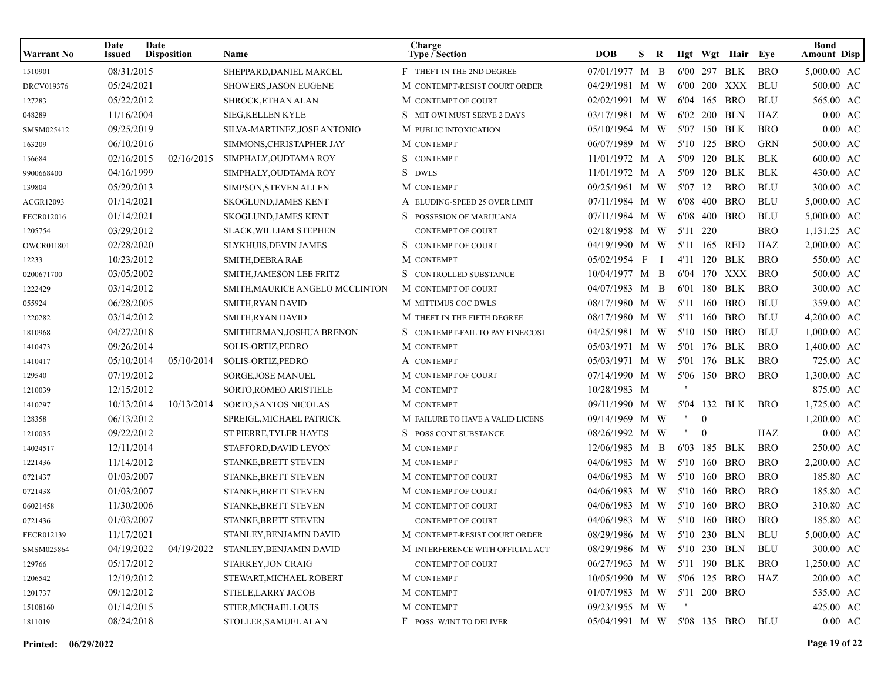| <b>Warrant No</b> | Date<br><b>Issued</b> | Date<br><b>Disposition</b> | <b>Name</b>                     | Charge<br><b>Type / Section</b>  | <b>DOB</b>                  | S. | R            |          |                | Hgt Wgt Hair Eye |            | <b>Bond</b><br><b>Amount Disp</b> |
|-------------------|-----------------------|----------------------------|---------------------------------|----------------------------------|-----------------------------|----|--------------|----------|----------------|------------------|------------|-----------------------------------|
| 1510901           | 08/31/2015            |                            | SHEPPARD, DANIEL MARCEL         | F THEFT IN THE 2ND DEGREE        | 07/01/1977 M B              |    |              |          |                | 6'00 297 BLK     | <b>BRO</b> | 5,000.00 AC                       |
| DRCV019376        | 05/24/2021            |                            | SHOWERS, JASON EUGENE           | M CONTEMPT-RESIST COURT ORDER    | 04/29/1981 M W              |    |              |          |                | 6'00 200 XXX     | <b>BLU</b> | 500.00 AC                         |
| 127283            | 05/22/2012            |                            | SHROCK, ETHAN ALAN              | M CONTEMPT OF COURT              | 02/02/1991 M W              |    |              |          |                | 6'04 165 BRO     | <b>BLU</b> | 565.00 AC                         |
| 048289            | 11/16/2004            |                            | <b>SIEG, KELLEN KYLE</b>        | S MIT OWI MUST SERVE 2 DAYS      | 03/17/1981 M W              |    |              |          | 6'02 200 BLN   |                  | HAZ        | $0.00$ AC                         |
| SMSM025412        | 09/25/2019            |                            | SILVA-MARTINEZ, JOSE ANTONIO    | M PUBLIC INTOXICATION            | 05/10/1964 M W              |    |              |          |                | 5'07 150 BLK     | <b>BRO</b> | $0.00$ AC                         |
| 163209            | 06/10/2016            |                            | SIMMONS, CHRISTAPHER JAY        | M CONTEMPT                       | 06/07/1989 M W              |    |              |          |                | 5'10 125 BRO     | <b>GRN</b> | 500.00 AC                         |
| 156684            | 02/16/2015            | 02/16/2015                 | SIMPHALY, OUDTAMA ROY           | S.<br><b>CONTEMPT</b>            | $11/01/1972$ M A            |    |              | 5'09     | 120            | BLK              | <b>BLK</b> | 600.00 AC                         |
| 9900668400        | 04/16/1999            |                            | SIMPHALY, OUDTAMA ROY           | S.<br><b>DWLS</b>                | $11/01/1972$ M A            |    |              | 5'09     | 120            | BLK              | <b>BLK</b> | 430.00 AC                         |
| 139804            | 05/29/2013            |                            | SIMPSON, STEVEN ALLEN           | M CONTEMPT                       | 09/25/1961 M W              |    |              | 5'07     | 12             | <b>BRO</b>       | <b>BLU</b> | 300.00 AC                         |
| ACGR12093         | 01/14/2021            |                            | SKOGLUND, JAMES KENT            | A ELUDING-SPEED 25 OVER LIMIT    | 07/11/1984 M W              |    |              |          |                | 6'08 400 BRO     | <b>BLU</b> | 5,000.00 AC                       |
| FECR012016        | 01/14/2021            |                            | <b>SKOGLUND, JAMES KENT</b>     | S POSSESION OF MARIJUANA         | 07/11/1984 M W              |    |              |          |                | 6'08 400 BRO     | <b>BLU</b> | 5,000.00 AC                       |
| 1205754           | 03/29/2012            |                            | <b>SLACK, WILLIAM STEPHEN</b>   | CONTEMPT OF COURT                | 02/18/1958 M W              |    |              | 5'11 220 |                |                  | <b>BRO</b> | 1,131.25 AC                       |
| OWCR011801        | 02/28/2020            |                            | SLYKHUIS, DEVIN JAMES           | S CONTEMPT OF COURT              | 04/19/1990 M W              |    |              |          | 5'11 165 RED   |                  | HAZ        | 2,000.00 AC                       |
| 12233             | 10/23/2012            |                            | SMITH, DEBRA RAE                | M CONTEMPT                       | 05/02/1954 F                |    | $\mathbf{I}$ |          |                | 4'11 120 BLK     | <b>BRO</b> | 550.00 AC                         |
| 0200671700        | 03/05/2002            |                            | SMITH, JAMESON LEE FRITZ        | S CONTROLLED SUBSTANCE           | 10/04/1977 M B              |    |              |          |                | 6'04 170 XXX     | <b>BRO</b> | 500.00 AC                         |
| 1222429           | 03/14/2012            |                            | SMITH, MAURICE ANGELO MCCLINTON | M CONTEMPT OF COURT              | 04/07/1983 M B              |    |              |          |                | 6'01 180 BLK     | <b>BRO</b> | 300.00 AC                         |
| 055924            | 06/28/2005            |                            | SMITH, RYAN DAVID               | M MITTIMUS COC DWLS              | 08/17/1980 M W              |    |              |          |                | 5'11 160 BRO     | <b>BLU</b> | 359.00 AC                         |
| 1220282           | 03/14/2012            |                            | SMITH, RYAN DAVID               | M THEFT IN THE FIFTH DEGREE      | 08/17/1980 M W              |    |              |          |                | 5'11 160 BRO     | <b>BLU</b> | 4,200.00 AC                       |
| 1810968           | 04/27/2018            |                            | SMITHERMAN, JOSHUA BRENON       | S CONTEMPT-FAIL TO PAY FINE/COST | 04/25/1981 M W              |    |              | 5'10     |                | 150 BRO          | <b>BLU</b> | $1,000.00$ AC                     |
| 1410473           | 09/26/2014            |                            | SOLIS-ORTIZ, PEDRO              | M CONTEMPT                       | 05/03/1971 M W              |    |              |          |                | 5'01 176 BLK     | <b>BRO</b> | 1,400.00 AC                       |
| 1410417           | 05/10/2014            | 05/10/2014                 | SOLIS-ORTIZ, PEDRO              | A CONTEMPT                       | 05/03/1971 M W              |    |              |          |                | 5'01 176 BLK     | <b>BRO</b> | 725.00 AC                         |
| 129540            | 07/19/2012            |                            | SORGE, JOSE MANUEL              | M CONTEMPT OF COURT              | 07/14/1990 M W              |    |              |          |                | 5'06 150 BRO     | <b>BRO</b> | 1,300.00 AC                       |
| 1210039           | 12/15/2012            |                            | SORTO, ROMEO ARISTIELE          | M CONTEMPT                       | 10/28/1983 M                |    |              |          |                |                  |            | 875.00 AC                         |
| 1410297           | 10/13/2014            | 10/13/2014                 | SORTO, SANTOS NICOLAS           | M CONTEMPT                       | 09/11/1990 M W              |    |              |          |                | 5'04 132 BLK     | <b>BRO</b> | 1,725.00 AC                       |
| 128358            | 06/13/2012            |                            | SPREIGL, MICHAEL PATRICK        | M FAILURE TO HAVE A VALID LICENS | 09/14/1969 M W              |    |              |          | $\theta$       |                  |            | 1,200.00 AC                       |
| 1210035           | 09/22/2012            |                            | ST PIERRE, TYLER HAYES          | S POSS CONT SUBSTANCE            | 08/26/1992 M W              |    |              |          | $\overline{0}$ |                  | HAZ        | $0.00$ AC                         |
| 14024517          | 12/11/2014            |                            | STAFFORD, DAVID LEVON           | M CONTEMPT                       | 12/06/1983 M B              |    |              |          | 6'03 185 BLK   |                  | <b>BRO</b> | 250.00 AC                         |
| 1221436           | 11/14/2012            |                            | STANKE, BRETT STEVEN            | M CONTEMPT                       | 04/06/1983 M W              |    |              |          |                | 5'10 160 BRO     | <b>BRO</b> | 2,200.00 AC                       |
| 0721437           | 01/03/2007            |                            | STANKE, BRETT STEVEN            | M CONTEMPT OF COURT              | 04/06/1983 M W              |    |              |          |                | 5'10 160 BRO     | <b>BRO</b> | 185.80 AC                         |
| 0721438           | 01/03/2007            |                            | STANKE, BRETT STEVEN            | M CONTEMPT OF COURT              | 04/06/1983 M W              |    |              |          |                | 5'10 160 BRO     | <b>BRO</b> | 185.80 AC                         |
| 06021458          | 11/30/2006            |                            | STANKE, BRETT STEVEN            | M CONTEMPT OF COURT              | 04/06/1983 M W              |    |              |          | 5'10 160       | <b>BRO</b>       | <b>BRO</b> | 310.80 AC                         |
| 0721436           | 01/03/2007            |                            | STANKE, BRETT STEVEN            | <b>CONTEMPT OF COURT</b>         | 04/06/1983 M W 5'10 160 BRO |    |              |          |                |                  | <b>BRO</b> | 185.80 AC                         |
| FECR012139        | 11/17/2021            |                            | STANLEY, BENJAMIN DAVID         | M CONTEMPT-RESIST COURT ORDER    | 08/29/1986 M W 5'10 230 BLN |    |              |          |                |                  | BLU        | 5,000.00 AC                       |
| SMSM025864        | 04/19/2022            | 04/19/2022                 | STANLEY, BENJAMIN DAVID         | M INTERFERENCE WITH OFFICIAL ACT | 08/29/1986 M W 5'10 230 BLN |    |              |          |                |                  | BLU        | 300.00 AC                         |
| 129766            | 05/17/2012            |                            | STARKEY, JON CRAIG              | <b>CONTEMPT OF COURT</b>         | 06/27/1963 M W 5'11 190 BLK |    |              |          |                |                  | <b>BRO</b> | 1,250.00 AC                       |
| 1206542           | 12/19/2012            |                            | STEWART, MICHAEL ROBERT         | M CONTEMPT                       | 10/05/1990 M W 5'06 125 BRO |    |              |          |                |                  | HAZ        | 200.00 AC                         |
| 1201737           | 09/12/2012            |                            | STIELE, LARRY JACOB             | M CONTEMPT                       | 01/07/1983 M W 5'11 200 BRO |    |              |          |                |                  |            | 535.00 AC                         |
| 15108160          | 01/14/2015            |                            | STIER, MICHAEL LOUIS            | M CONTEMPT                       | 09/23/1955 M W              |    |              | - 11     |                |                  |            | 425.00 AC                         |
| 1811019           | 08/24/2018            |                            | STOLLER, SAMUEL ALAN            | F POSS. W/INT TO DELIVER         | 05/04/1991 M W 5'08 135 BRO |    |              |          |                |                  | BLU        | $0.00\text{ AC}$                  |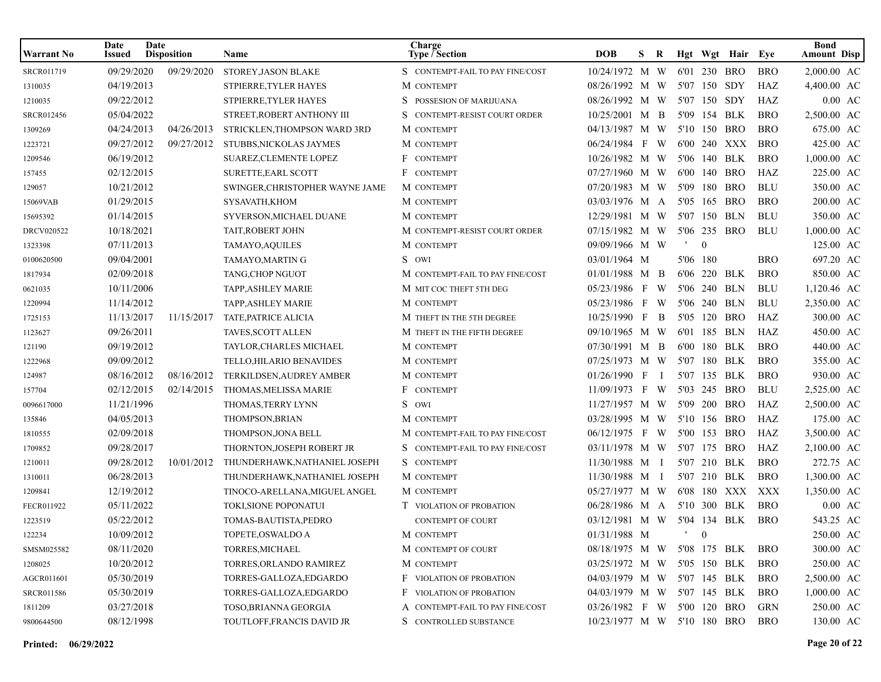| <b>Warrant No</b> | Date<br>Issued | <b>Date</b><br><b>Disposition</b> | Name                            | Charge<br><b>Type / Section</b>   | <b>DOB</b>                  | S. | R              |           |              | Hgt Wgt Hair Eye |            | <b>Bond</b><br><b>Amount Disp</b> |
|-------------------|----------------|-----------------------------------|---------------------------------|-----------------------------------|-----------------------------|----|----------------|-----------|--------------|------------------|------------|-----------------------------------|
| SRCR011719        | 09/29/2020     | 09/29/2020                        | <b>STOREY JASON BLAKE</b>       | S CONTEMPT-FAIL TO PAY FINE/COST  | 10/24/1972 M W              |    |                |           |              | 6'01 230 BRO     | <b>BRO</b> | 2,000.00 AC                       |
| 1310035           | 04/19/2013     |                                   | STPIERRE, TYLER HAYES           | M CONTEMPT                        | 08/26/1992 M W              |    |                |           | 5'07 150 SDY |                  | HAZ        | 4,400.00 AC                       |
| 1210035           | 09/22/2012     |                                   | STPIERRE, TYLER HAYES           | S.<br>POSSESION OF MARIJUANA      | 08/26/1992 M W              |    |                |           |              | 5'07 150 SDY     | HAZ        | $0.00$ AC                         |
| SRCR012456        | 05/04/2022     |                                   | STREET, ROBERT ANTHONY III      | S.<br>CONTEMPT-RESIST COURT ORDER | 10/25/2001 M B              |    |                |           |              | 5'09 154 BLK     | <b>BRO</b> | 2,500.00 AC                       |
| 1309269           | 04/24/2013     | 04/26/2013                        | STRICKLEN, THOMPSON WARD 3RD    | M CONTEMPT                        | 04/13/1987 M W              |    |                |           |              | 5'10 150 BRO     | <b>BRO</b> | 675.00 AC                         |
| 1223721           | 09/27/2012     | 09/27/2012                        | STUBBS, NICKOLAS JAYMES         | M CONTEMPT                        | 06/24/1984 F W              |    |                |           |              | 6'00 240 XXX     | <b>BRO</b> | 425.00 AC                         |
| 1209546           | 06/19/2012     |                                   | SUAREZ, CLEMENTE LOPEZ          | F CONTEMPT                        | 10/26/1982 M W              |    |                |           |              | 5'06 140 BLK     | <b>BRO</b> | 1.000.00 AC                       |
| 157455            | 02/12/2015     |                                   | SURETTE, EARL SCOTT             | F CONTEMPT                        | 07/27/1960 M W              |    |                | 6'00      |              | 140 BRO          | HAZ        | 225.00 AC                         |
| 129057            | 10/21/2012     |                                   | SWINGER, CHRISTOPHER WAYNE JAME | M CONTEMPT                        | 07/20/1983 M W              |    |                | 5'09      |              | 180 BRO          | <b>BLU</b> | 350.00 AC                         |
| 15069VAB          | 01/29/2015     |                                   | SYSAVATH, KHOM                  | M CONTEMPT                        | 03/03/1976 M A              |    |                |           |              | 5'05 165 BRO     | <b>BRO</b> | 200.00 AC                         |
| 15695392          | 01/14/2015     |                                   | SYVERSON, MICHAEL DUANE         | M CONTEMPT                        | 12/29/1981 M W              |    |                |           |              | 5'07 150 BLN     | <b>BLU</b> | 350.00 AC                         |
| DRCV020522        | 10/18/2021     |                                   | TAIT, ROBERT JOHN               | M CONTEMPT-RESIST COURT ORDER     | 07/15/1982 M W              |    |                |           |              | 5'06 235 BRO     | <b>BLU</b> | 1,000.00 AC                       |
| 1323398           | 07/11/2013     |                                   | TAMAYO, AQUILES                 | M CONTEMPT                        | 09/09/1966 M W              |    |                |           | $\theta$     |                  |            | 125.00 AC                         |
| 0100620500        | 09/04/2001     |                                   | TAMAYO, MARTING                 | S OWI                             | 03/01/1964 M                |    |                | 5'06 180  |              |                  | <b>BRO</b> | 697.20 AC                         |
| 1817934           | 02/09/2018     |                                   | TANG, CHOP NGUOT                | M CONTEMPT-FAIL TO PAY FINE/COST  | $01/01/1988$ M B            |    |                | 6'06      |              | 220 BLK          | <b>BRO</b> | 850.00 AC                         |
| 0621035           | 10/11/2006     |                                   | TAPP, ASHLEY MARIE              | M MIT COC THEFT 5TH DEG           | 05/23/1986 F W              |    |                |           |              | 5'06 240 BLN     | <b>BLU</b> | 1,120.46 AC                       |
| 1220994           | 11/14/2012     |                                   | <b>TAPP, ASHLEY MARIE</b>       | M CONTEMPT                        | 05/23/1986 F W              |    |                |           |              | 5'06 240 BLN     | <b>BLU</b> | 2,350.00 AC                       |
| 1725153           | 11/13/2017     | 11/15/2017                        | <b>TATE, PATRICE ALICIA</b>     | M THEFT IN THE 5TH DEGREE         | 10/25/1990 F                |    | $\overline{B}$ |           |              | 5'05 120 BRO     | HAZ        | 300.00 AC                         |
| 1123627           | 09/26/2011     |                                   | TAVES, SCOTT ALLEN              | M THEFT IN THE FIFTH DEGREE       | 09/10/1965 M W              |    |                |           |              | 6'01 185 BLN     | HAZ        | 450.00 AC                         |
| 121190            | 09/19/2012     |                                   | TAYLOR, CHARLES MICHAEL         | M CONTEMPT                        | 07/30/1991 M B              |    |                | 6'00      |              | 180 BLK          | <b>BRO</b> | 440.00 AC                         |
| 1222968           | 09/09/2012     |                                   | TELLO, HILARIO BENAVIDES        | M CONTEMPT                        | 07/25/1973 M W              |    |                |           |              | 5'07 180 BLK     | <b>BRO</b> | 355.00 AC                         |
| 124987            | 08/16/2012     | 08/16/2012                        | TERKILDSEN, AUDREY AMBER        | M CONTEMPT                        | $01/26/1990$ F              |    | <sup>1</sup>   |           |              | 5'07 135 BLK     | <b>BRO</b> | 930.00 AC                         |
| 157704            | 02/12/2015     | 02/14/2015                        | THOMAS, MELISSA MARIE           | F CONTEMPT                        | 11/09/1973 F W              |    |                |           |              | 5'03 245 BRO     | <b>BLU</b> | 2,525.00 AC                       |
| 0096617000        | 11/21/1996     |                                   | THOMAS, TERRY LYNN              | S OWI                             | 11/27/1957 M W              |    |                |           |              | 5'09 200 BRO     | HAZ        | 2,500.00 AC                       |
| 135846            | 04/05/2013     |                                   | <b>THOMPSON, BRIAN</b>          | M CONTEMPT                        | 03/28/1995 M W              |    |                |           |              | 5'10 156 BRO     | HAZ        | 175.00 AC                         |
| 1810555           | 02/09/2018     |                                   | THOMPSON, JONA BELL             | M CONTEMPT-FAIL TO PAY FINE/COST  | 06/12/1975 F W              |    |                | 5'00      |              | 153 BRO          | HAZ        | 3,500.00 AC                       |
| 1709852           | 09/28/2017     |                                   | THORNTON, JOSEPH ROBERT JR      | S CONTEMPT-FAIL TO PAY FINE/COST  | 03/11/1978 M W 5'07 175 BRO |    |                |           |              |                  | HAZ        | 2,100.00 AC                       |
| 1210011           | 09/28/2012     | 10/01/2012                        | THUNDERHAWK, NATHANIEL JOSEPH   | S CONTEMPT                        | 11/30/1988 M I              |    |                |           |              | 5'07 210 BLK     | <b>BRO</b> | 272.75 AC                         |
| 1310011           | 06/28/2013     |                                   | THUNDERHAWK, NATHANIEL JOSEPH   | M CONTEMPT                        | 11/30/1988 M I              |    |                |           |              | 5'07 210 BLK     | <b>BRO</b> | 1,300.00 AC                       |
| 1209841           | 12/19/2012     |                                   | TINOCO-ARELLANA, MIGUEL ANGEL   | M CONTEMPT                        | 05/27/1977 M W              |    |                |           |              | 6'08 180 XXX     | XXX        | 1,350.00 AC                       |
| FECR011922        | 05/11/2022     |                                   | TOKI, SIONE POPONATUI           | <b>T</b> VIOLATION OF PROBATION   | 06/28/1986 M A              |    |                |           |              | 5'10 300 BLK     | <b>BRO</b> | $0.00 \text{ AC}$                 |
| 1223519           | 05/22/2012     |                                   | TOMAS-BAUTISTA.PEDRO            | <b>CONTEMPT OF COURT</b>          | 03/12/1981 M W 5'04 134 BLK |    |                |           |              |                  | <b>BRO</b> | 543.25 AC                         |
| 122234            | 10/09/2012     |                                   | TOPETE, OSWALDO A               | M CONTEMPT                        | 01/31/1988 M                |    |                | $\cdot$ 0 |              |                  |            | 250.00 AC                         |
| SMSM025582        | 08/11/2020     |                                   | TORRES, MICHAEL                 | M CONTEMPT OF COURT               | 08/18/1975 M W 5'08 175 BLK |    |                |           |              |                  | <b>BRO</b> | 300.00 AC                         |
| 1208025           | 10/20/2012     |                                   | TORRES, ORLANDO RAMIREZ         | M CONTEMPT                        | 03/25/1972 M W 5'05 150 BLK |    |                |           |              |                  | <b>BRO</b> | 250.00 AC                         |
| AGCR011601        | 05/30/2019     |                                   | TORRES-GALLOZA,EDGARDO          | <b>F</b> VIOLATION OF PROBATION   | 04/03/1979 M W 5'07 145 BLK |    |                |           |              |                  | <b>BRO</b> | 2,500.00 AC                       |
| <b>SRCR011586</b> | 05/30/2019     |                                   | TORRES-GALLOZA,EDGARDO          | F VIOLATION OF PROBATION          | 04/03/1979 M W 5'07 145 BLK |    |                |           |              |                  | <b>BRO</b> | $1,000.00$ AC                     |
| 1811209           | 03/27/2018     |                                   | TOSO, BRIANNA GEORGIA           | A CONTEMPT-FAIL TO PAY FINE/COST  | 03/26/1982 F W 5'00 120 BRO |    |                |           |              |                  | GRN        | 250.00 AC                         |
| 9800644500        | 08/12/1998     |                                   | TOUTLOFF,FRANCIS DAVID JR       | S CONTROLLED SUBSTANCE            | 10/23/1977 M W 5'10 180 BRO |    |                |           |              |                  | <b>BRO</b> | 130.00 AC                         |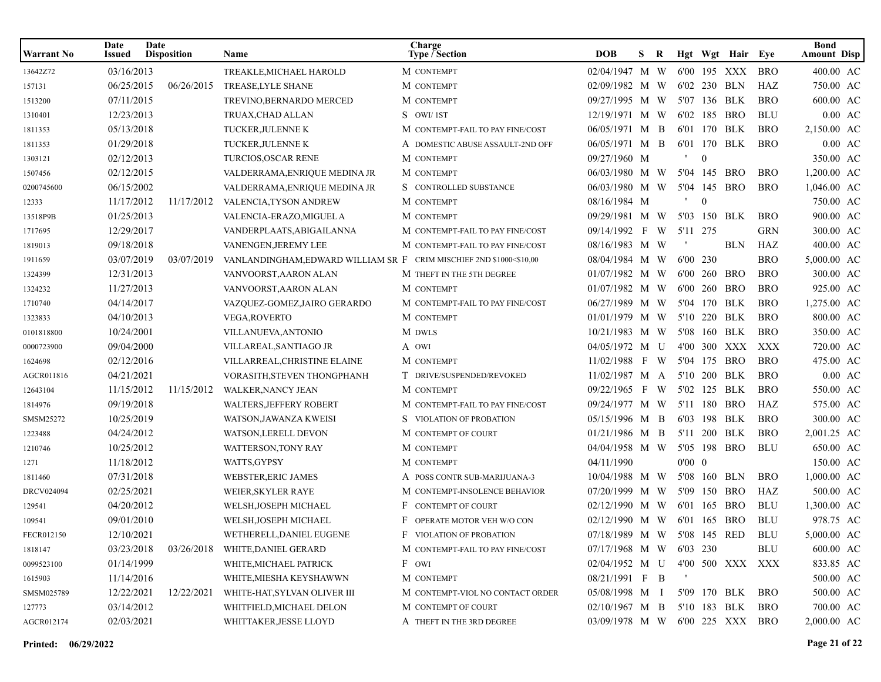| <b>Warrant No</b> | Date<br><b>Issued</b> | Date<br><b>Disposition</b> | <b>Name</b>                                                         | Charge<br>Type / Section         | <b>DOB</b>                      | S. | R |                |                | Hgt Wgt Hair Eye |            | Bond<br><b>Amount Disp</b> |
|-------------------|-----------------------|----------------------------|---------------------------------------------------------------------|----------------------------------|---------------------------------|----|---|----------------|----------------|------------------|------------|----------------------------|
| 13642Z72          | 03/16/2013            |                            | TREAKLE, MICHAEL HAROLD                                             | M CONTEMPT                       | 02/04/1947 M W                  |    |   |                |                | 6'00 195 XXX     | <b>BRO</b> | 400.00 AC                  |
| 157131            | 06/25/2015            | 06/26/2015                 | TREASE, LYLE SHANE                                                  | M CONTEMPT                       | 02/09/1982 M W                  |    |   |                |                | 6'02 230 BLN     | HAZ        | 750.00 AC                  |
| 1513200           | 07/11/2015            |                            | TREVINO, BERNARDO MERCED                                            | M CONTEMPT                       | 09/27/1995 M W                  |    |   |                |                | 5'07 136 BLK     | <b>BRO</b> | 600.00 AC                  |
| 1310401           | 12/23/2013            |                            | TRUAX, CHAD ALLAN                                                   | S OWI/1ST                        | 12/19/1971 M W                  |    |   |                |                | 6'02 185 BRO     | <b>BLU</b> | $0.00$ AC                  |
| 1811353           | 05/13/2018            |                            | TUCKER, JULENNE K                                                   | M CONTEMPT-FAIL TO PAY FINE/COST | 06/05/1971 M B                  |    |   |                |                | 6'01 170 BLK     | <b>BRO</b> | 2,150.00 AC                |
| 1811353           | 01/29/2018            |                            | TUCKER, JULENNE K                                                   | A DOMESTIC ABUSE ASSAULT-2ND OFF | 06/05/1971 M B                  |    |   |                |                | 6'01 170 BLK     | <b>BRO</b> | $0.00 \text{ AC}$          |
| 1303121           | 02/12/2013            |                            | TURCIOS, OSCAR RENE                                                 | M CONTEMPT                       | 09/27/1960 M                    |    |   |                | $\mathbf{0}$   |                  |            | 350.00 AC                  |
| 1507456           | 02/12/2015            |                            | VALDERRAMA, ENRIQUE MEDINA JR                                       | M CONTEMPT                       | 06/03/1980 M W                  |    |   |                |                | 5'04 145 BRO     | <b>BRO</b> | 1,200.00 AC                |
| 0200745600        | 06/15/2002            |                            | VALDERRAMA, ENRIQUE MEDINA JR                                       | S CONTROLLED SUBSTANCE           | 06/03/1980 M W                  |    |   |                |                | 5'04 145 BRO     | <b>BRO</b> | 1,046.00 AC                |
| 12333             | 11/17/2012            | 11/17/2012                 | VALENCIA, TYSON ANDREW                                              | M CONTEMPT                       | 08/16/1984 M                    |    |   | $\,$           | $\overline{0}$ |                  |            | 750.00 AC                  |
| 13518P9B          | 01/25/2013            |                            | VALENCIA-ERAZO,MIGUEL A                                             | M CONTEMPT                       | 09/29/1981 M W                  |    |   |                |                | 5'03 150 BLK     | <b>BRO</b> | 900.00 AC                  |
| 1717695           | 12/29/2017            |                            | VANDERPLAATS,ABIGAILANNA                                            | M CONTEMPT-FAIL TO PAY FINE/COST | 09/14/1992 F W                  |    |   | 5'11 275       |                |                  | <b>GRN</b> | 300.00 AC                  |
| 1819013           | 09/18/2018            |                            | VANENGEN, JEREMY LEE                                                | M CONTEMPT-FAIL TO PAY FINE/COST | 08/16/1983 M W                  |    |   |                |                | <b>BLN</b>       | HAZ        | 400.00 AC                  |
| 1911659           | 03/07/2019            | 03/07/2019                 | VANLANDINGHAM, EDWARD WILLIAM SR F CRIM MISCHIEF 2ND \$1000<\$10,00 |                                  | 08/04/1984 M W                  |    |   | 6'00 230       |                |                  | <b>BRO</b> | 5,000.00 AC                |
| 1324399           | 12/31/2013            |                            | VANVOORST,AARON ALAN                                                | M THEFT IN THE 5TH DEGREE        | $01/07/1982$ M W                |    |   |                |                | 6'00 260 BRO     | <b>BRO</b> | 300.00 AC                  |
| 1324232           | 11/27/2013            |                            | VANVOORST,AARON ALAN                                                | M CONTEMPT                       | 01/07/1982 M W                  |    |   |                |                | 6'00 260 BRO     | <b>BRO</b> | 925.00 AC                  |
| 1710740           | 04/14/2017            |                            | VAZQUEZ-GOMEZ,JAIRO GERARDO                                         | M CONTEMPT-FAIL TO PAY FINE/COST | 06/27/1989 M W                  |    |   |                |                | 5'04 170 BLK     | <b>BRO</b> | 1,275.00 AC                |
| 1323833           | 04/10/2013            |                            | <b>VEGA, ROVERTO</b>                                                | M CONTEMPT                       | 01/01/1979 M W                  |    |   |                |                | 5'10 220 BLK     | <b>BRO</b> | 800.00 AC                  |
| 0101818800        | 10/24/2001            |                            | VILLANUEVA, ANTONIO                                                 | M DWLS                           | 10/21/1983 M W                  |    |   |                |                | 5'08 160 BLK     | <b>BRO</b> | 350.00 AC                  |
| 0000723900        | 09/04/2000            |                            | VILLAREAL, SANTIAGO JR                                              | A OWI                            | 04/05/1972 M U                  |    |   |                |                | 4'00 300 XXX     | XXX        | 720.00 AC                  |
| 1624698           | 02/12/2016            |                            | VILLARREAL, CHRISTINE ELAINE                                        | M CONTEMPT                       | 11/02/1988 F W                  |    |   |                |                | 5'04 175 BRO     | <b>BRO</b> | 475.00 AC                  |
| AGCR011816        | 04/21/2021            |                            | VORASITH, STEVEN THONGPHANH                                         | T DRIVE/SUSPENDED/REVOKED        | $11/02/1987$ M A                |    |   |                |                | 5'10 200 BLK     | <b>BRO</b> | $0.00$ AC                  |
| 12643104          | 11/15/2012            | 11/15/2012                 | <b>WALKER, NANCY JEAN</b>                                           | M CONTEMPT                       | 09/22/1965 F W                  |    |   |                |                | 5'02 125 BLK     | <b>BRO</b> | 550.00 AC                  |
| 1814976           | 09/19/2018            |                            | <b>WALTERS, JEFFERY ROBERT</b>                                      | M CONTEMPT-FAIL TO PAY FINE/COST | 09/24/1977 M W                  |    |   |                |                | 5'11 180 BRO     | HAZ        | 575.00 AC                  |
| SMSM25272         | 10/25/2019            |                            | WATSON, JAWANZA KWEISI                                              | S VIOLATION OF PROBATION         | 05/15/1996 M B                  |    |   |                |                | 6'03 198 BLK     | <b>BRO</b> | 300.00 AC                  |
| 1223488           | 04/24/2012            |                            | WATSON, LERELL DEVON                                                | M CONTEMPT OF COURT              | $01/21/1986$ M B                |    |   |                |                | 5'11 200 BLK     | <b>BRO</b> | 2,001.25 AC                |
| 1210746           | 10/25/2012            |                            | WATTERSON, TONY RAY                                                 | M CONTEMPT                       | 04/04/1958 M W                  |    |   |                |                | 5'05 198 BRO     | <b>BLU</b> | 650.00 AC                  |
| 1271              | 11/18/2012            |                            | WATTS, GYPSY                                                        | M CONTEMPT                       | 04/11/1990                      |    |   | $0'00 \quad 0$ |                |                  |            | 150.00 AC                  |
| 1811460           | 07/31/2018            |                            | <b>WEBSTER, ERIC JAMES</b>                                          | A POSS CONTR SUB-MARIJUANA-3     | 10/04/1988 M W                  |    |   |                |                | 5'08 160 BLN     | <b>BRO</b> | 1,000.00 AC                |
| <b>DRCV024094</b> | 02/25/2021            |                            | WEIER, SKYLER RAYE                                                  | M CONTEMPT-INSOLENCE BEHAVIOR    | 07/20/1999 M W                  |    |   |                |                | 5'09 150 BRO     | HAZ        | 500.00 AC                  |
| 129541            | 04/20/2012            |                            | WELSH, JOSEPH MICHAEL                                               | F CONTEMPT OF COURT              | 02/12/1990 M W                  |    |   |                |                | 6'01 165 BRO     | <b>BLU</b> | 1,300.00 AC                |
| 109541            | 09/01/2010            |                            | WELSH, JOSEPH MICHAEL                                               | F OPERATE MOTOR VEH W/O CON      | 02/12/1990 M W                  |    |   |                |                | 6'01 165 BRO     | <b>BLU</b> | 978.75 AC                  |
| FECR012150        | 12/10/2021            |                            | WETHERELL, DANIEL EUGENE                                            | F VIOLATION OF PROBATION         | 07/18/1989 M W 5'08 145 RED     |    |   |                |                |                  | BLU        | 5,000.00 AC                |
| 1818147           | 03/23/2018            | 03/26/2018                 | WHITE, DANIEL GERARD                                                | M CONTEMPT-FAIL TO PAY FINE/COST | 07/17/1968 M W                  |    |   |                | 6'03 230       |                  | BLU        | 600.00 AC                  |
| 0099523100        | 01/14/1999            |                            | WHITE, MICHAEL PATRICK                                              | F OWI                            | $02/04/1952$ M U                |    |   |                |                | 4'00 500 XXX XXX |            | 833.85 AC                  |
| 1615903           | 11/14/2016            |                            | WHITE, MIESHA KEYSHAWWN                                             | M CONTEMPT                       | 08/21/1991 F B                  |    |   |                |                |                  |            | 500.00 AC                  |
| SMSM025789        | 12/22/2021            | 12/22/2021                 | WHITE-HAT, SYLVAN OLIVER III                                        | M CONTEMPT-VIOL NO CONTACT ORDER | 05/08/1998 M I                  |    |   |                |                | 5'09 170 BLK     | <b>BRO</b> | 500.00 AC                  |
| 127773            | 03/14/2012            |                            | WHITFIELD, MICHAEL DELON                                            | M CONTEMPT OF COURT              | $02/10/1967$ M B                |    |   |                |                | 5'10 183 BLK     | <b>BRO</b> | 700.00 AC                  |
| AGCR012174        | 02/03/2021            |                            | WHITTAKER, JESSE LLOYD                                              | A THEFT IN THE 3RD DEGREE        | 03/09/1978 M W 6'00 225 XXX BRO |    |   |                |                |                  |            | 2,000.00 AC                |